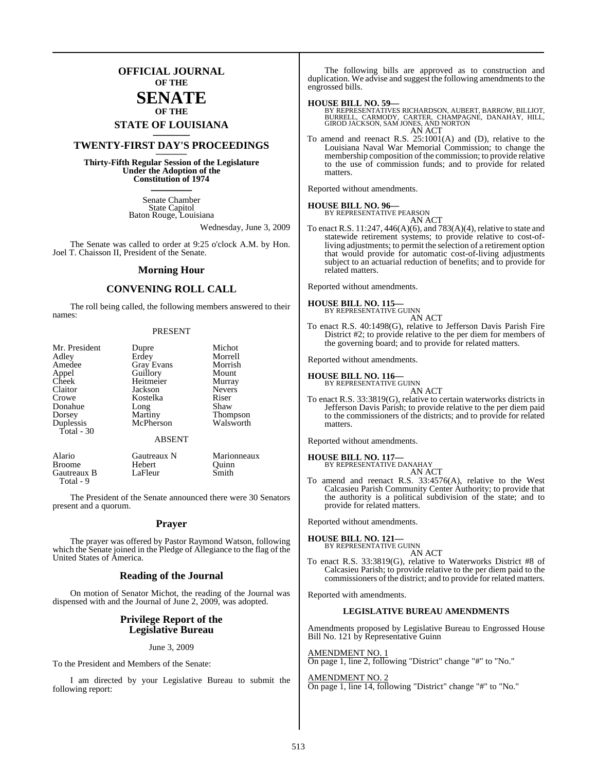### **OFFICIAL JOURNAL OF THE**

### **SENATE OF THE**

## **STATE OF LOUISIANA \_\_\_\_\_\_\_**

### **TWENTY-FIRST DAY'S PROCEEDINGS \_\_\_\_\_\_\_**

**Thirty-Fifth Regular Session of the Legislature Under the Adoption of the Constitution of 1974 \_\_\_\_\_\_\_**

> Senate Chamber State Capitol Baton Rouge, Louisiana

> > Wednesday, June 3, 2009

The Senate was called to order at 9:25 o'clock A.M. by Hon. Joel T. Chaisson II, President of the Senate.

#### **Morning Hour**

#### **CONVENING ROLL CALL**

The roll being called, the following members answered to their names:

#### PRESENT

| Mr. President            | Dupre                      | Michot          |
|--------------------------|----------------------------|-----------------|
| Adley                    | Erdey                      | Morrell         |
| Amedee                   | <b>Gray Evans</b>          | Morrish         |
| Appel                    | Guillory                   | Mount           |
| Cheek                    | Heitmeier                  | Murray          |
| Claitor                  | Jackson                    | <b>Nevers</b>   |
| Crowe                    | Kostelka                   | Riser           |
| Donahue                  | Long                       | Shaw            |
| Dorsey                   | Martiny                    | <b>Thompson</b> |
| Duplessis<br>Total $-30$ | McPherson<br><b>ABSENT</b> | Walsworth       |
| Alario                   | Gautreaux N                | Marionneaux     |
| <b>Broome</b>            | Hebert                     | Ouinn           |
| Gautreaux B              | LaFleur                    | Smith           |

Total - 9

The President of the Senate announced there were 30 Senators present and a quorum.

#### **Prayer**

The prayer was offered by Pastor Raymond Watson, following which the Senate joined in the Pledge of Allegiance to the flag of the United States of America.

#### **Reading of the Journal**

On motion of Senator Michot, the reading of the Journal was dispensed with and the Journal of June 2, 2009, was adopted.

#### **Privilege Report of the Legislative Bureau**

June 3, 2009

To the President and Members of the Senate:

I am directed by your Legislative Bureau to submit the following report:

The following bills are approved as to construction and duplication. We advise and suggest the following amendments to the engrossed bills.

#### **HOUSE BILL NO. 59—**

BY REPRESENTATIVES RICHARDSON, AUBERT, BARROW, BILLIOT,<br>BURRELL, CARMODY, CARTER, CHAMPAGNE, DANAHAY, HILL,<br>GIROD JACKSON, SAM JONES, AND NORTON AN ACT

To amend and reenact R.S. 25:1001(A) and (D), relative to the Louisiana Naval War Memorial Commission; to change the membership composition of the commission; to provide relative to the use of commission funds; and to provide for related matters.

Reported without amendments.

#### **HOUSE BILL NO. 96—** BY REPRESENTATIVE PEARSON AN ACT

To enact R.S. 11:247, 446(A)(6), and 783(A)(4), relative to state and statewide retirement systems; to provide relative to cost-ofliving adjustments; to permit the selection of a retirement option that would provide for automatic cost-of-living adjustments subject to an actuarial reduction of benefits; and to provide for related matters.

Reported without amendments.

#### **HOUSE BILL NO. 115—**

BY REPRESENTATIVE GUINN AN ACT

To enact R.S. 40:1498(G), relative to Jefferson Davis Parish Fire District #2; to provide relative to the per diem for members of the governing board; and to provide for related matters.

Reported without amendments.

### **HOUSE BILL NO. 116—** BY REPRESENTATIVE GUINN

AN ACT To enact R.S. 33:3819(G), relative to certain waterworks districts in Jefferson Davis Parish; to provide relative to the per diem paid to the commissioners of the districts; and to provide for related matters.

Reported without amendments.

### **HOUSE BILL NO. 117—** BY REPRESENTATIVE DANAHAY

AN ACT

To amend and reenact R.S. 33:4576(A), relative to the West Calcasieu Parish Community Center Authority; to provide that the authority is a political subdivision of the state; and to provide for related matters.

Reported without amendments.

#### **HOUSE BILL NO. 121—**

BY REPRESENTATIVE GUINN AN ACT

To enact R.S. 33:3819(G), relative to Waterworks District #8 of Calcasieu Parish; to provide relative to the per diem paid to the commissioners of the district; and to provide for related matters.

Reported with amendments.

#### **LEGISLATIVE BUREAU AMENDMENTS**

Amendments proposed by Legislative Bureau to Engrossed House Bill No. 121 by Representative Guinn

AMENDMENT NO. 1 On page 1, line 2, following "District" change "#" to "No."

#### AMENDMENT NO. 2 On page 1, line 14, following "District" change "#" to "No."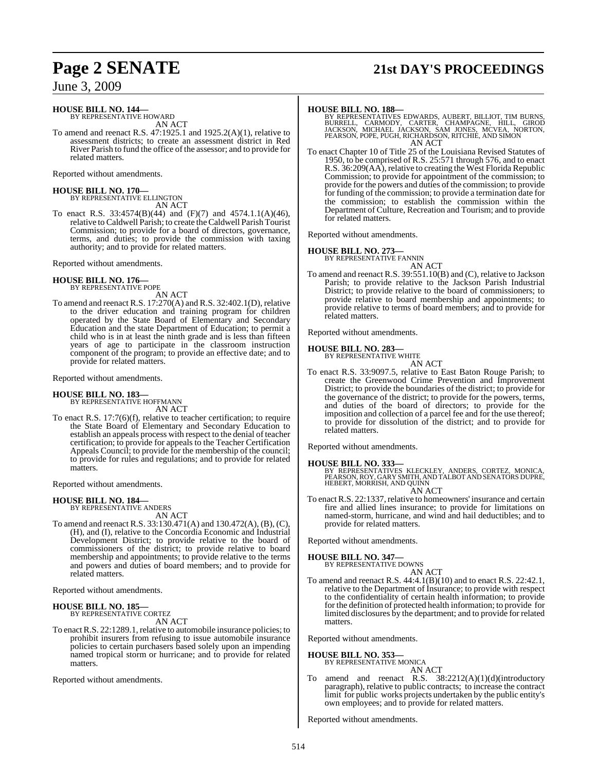## **Page 2 SENATE 21st DAY'S PROCEEDINGS**

June 3, 2009

#### **HOUSE BILL NO. 144—** BY REPRESENTATIVE HOWARD

AN ACT

To amend and reenact R.S. 47:1925.1 and 1925.2(A)(1), relative to assessment districts; to create an assessment district in Red River Parish to fund the office of the assessor; and to provide for related matters.

Reported without amendments.

**HOUSE BILL NO. 170—** BY REPRESENTATIVE ELLINGTON AN ACT

To enact R.S. 33:4574(B)(44) and (F)(7) and 4574.1.1(A)(46), relative to Caldwell Parish; to create theCaldwell Parish Tourist Commission; to provide for a board of directors, governance, terms, and duties; to provide the commission with taxing authority; and to provide for related matters.

Reported without amendments.

#### **HOUSE BILL NO. 176—** BY REPRESENTATIVE POPE

AN ACT

To amend and reenact R.S. 17:270(A) and R.S. 32:402.1(D), relative to the driver education and training program for children operated by the State Board of Elementary and Secondary Education and the state Department of Education; to permit a child who is in at least the ninth grade and is less than fifteen years of age to participate in the classroom instruction component of the program; to provide an effective date; and to provide for related matters.

Reported without amendments.

## **HOUSE BILL NO. 183—** BY REPRESENTATIVE HOFFMANN

AN ACT

To enact R.S. 17:7(6)(f), relative to teacher certification; to require the State Board of Elementary and Secondary Education to establish an appeals process with respect to the denial of teacher certification; to provide for appeals to the Teacher Certification Appeals Council; to provide for the membership of the council; to provide for rules and regulations; and to provide for related matters.

Reported without amendments.

## **HOUSE BILL NO. 184—** BY REPRESENTATIVE ANDERS

AN ACT

To amend and reenact R.S. 33:130.471(A) and 130.472(A), (B), (C), (H), and (I), relative to the Concordia Economic and Industrial Development District; to provide relative to the board of commissioners of the district; to provide relative to board membership and appointments; to provide relative to the terms and powers and duties of board members; and to provide for related matters.

Reported without amendments.

#### **HOUSE BILL NO. 185—** BY REPRESENTATIVE CORTEZ

AN ACT

To enact R.S. 22:1289.1, relative to automobile insurance policies; to prohibit insurers from refusing to issue automobile insurance policies to certain purchasers based solely upon an impending named tropical storm or hurricane; and to provide for related matters.

Reported without amendments.

#### **HOUSE BILL NO. 188—**

BY REPRESENTATIVES EDWARDS, AUBERT, BILLIOT, TIM BURNS,<br>BURRELL, CARMODY, CARTER, CHAMPAGNE, HILL, GIROD<br>JACKSON, MICHAEL JACKSON, SAM JONES, MCVEA, NORTON,<br>PEARSON, POPE, PUGH, RICHARDSON, RITCHIE, AND SI AN ACT

To enact Chapter 10 of Title 25 of the Louisiana Revised Statutes of 1950, to be comprised of R.S. 25:571 through 576, and to enact R.S. 36:209(AA), relative to creating the West Florida Republic Commission; to provide for appointment of the commission; to provide for the powers and duties of the commission; to provide for funding of the commission; to provide a termination date for the commission; to establish the commission within the Department of Culture, Recreation and Tourism; and to provide for related matters.

Reported without amendments.

#### **HOUSE BILL NO. 273—**

BY REPRESENTATIVE FANNIN AN ACT

To amend and reenact R.S. 39:551.10(B) and (C), relative to Jackson Parish; to provide relative to the Jackson Parish Industrial District; to provide relative to the board of commissioners; to provide relative to board membership and appointments; to provide relative to terms of board members; and to provide for related matters.

Reported without amendments.

#### **HOUSE BILL NO. 283—**

BY REPRESENTATIVE WHITE AN ACT

To enact R.S. 33:9097.5, relative to East Baton Rouge Parish; to create the Greenwood Crime Prevention and Improvement District; to provide the boundaries of the district; to provide for the governance of the district; to provide for the powers, terms, and duties of the board of directors; to provide for the imposition and collection of a parcel fee and for the use thereof; to provide for dissolution of the district; and to provide for related matters.

Reported without amendments.

#### **HOUSE BILL NO. 333—**

BY REPRESENTATIVES KLECKLEY, ANDERS, CORTEZ, MONICA, PEARSON, ROY, GARY SMITH, AND TALBOT AND SENATORS DUPRE, HEBERT, MORRISH, AND QUINN AN ACT

To enact R.S. 22:1337, relative to homeowners' insurance and certain fire and allied lines insurance; to provide for limitations on named-storm, hurricane, and wind and hail deductibles; and to provide for related matters.

Reported without amendments.

#### **HOUSE BILL NO. 347—**

BY REPRESENTATIVE DOWNS AN ACT

To amend and reenact R.S. 44:4.1(B)(10) and to enact R.S. 22:42.1, relative to the Department of Insurance; to provide with respect to the confidentiality of certain health information; to provide for the definition of protected health information; to provide for limited disclosures by the department; and to provide for related matters.

Reported without amendments.

## **HOUSE BILL NO. 353—** BY REPRESENTATIVE MONICA

AN ACT

To amend and reenact R.S. 38:2212(A)(1)(d)(introductory paragraph), relative to public contracts; to increase the contract limit for public works projects undertaken by the public entity's own employees; and to provide for related matters.

Reported without amendments.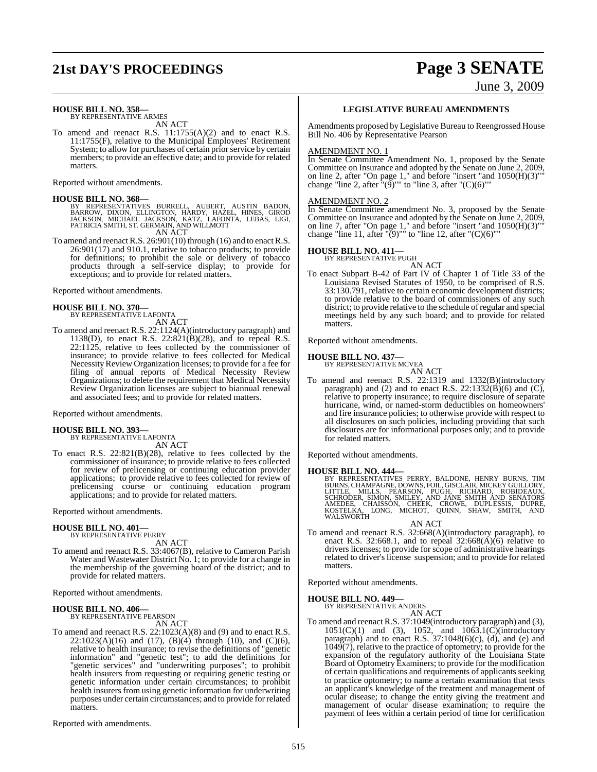## **21st DAY'S PROCEEDINGS Page 3 SENATE**

# June 3, 2009

**HOUSE BILL NO. 358—** BY REPRESENTATIVE ARMES

AN ACT To amend and reenact R.S. 11:1755(A)(2) and to enact R.S. 11:1755(F), relative to the Municipal Employees' Retirement System; to allow for purchases of certain prior service by certain members; to provide an effective date; and to provide for related matters.

Reported without amendments.

**HOUSE BILL NO. 368—**<br>BY REPRESENTATIVES BURRELL, AUBERT, AUSTIN BADON,<br>BARROW, DIXON, ELLINGTON, HARDY, HAZEL, HINES, GIROD<br>JACKSON, MICHAEL JACKSON, KATZ, LAFONTA, LEBAS, LIGI,<br>PATRICIA SMITH, ST. GERMAIN, AND WILLMOTT AN ACT

To amend and reenact R.S. 26:901(10) through (16) and to enact R.S. 26:901(17) and 910.1, relative to tobacco products; to provide for definitions; to prohibit the sale or delivery of tobacco products through a self-service display; to provide for exceptions; and to provide for related matters.

Reported without amendments.

**HOUSE BILL NO. 370—** BY REPRESENTATIVE LAFONTA AN ACT

To amend and reenact R.S. 22:1124(A)(introductory paragraph) and 1138(D), to enact R.S. 22:821(B)(28), and to repeal R.S. 22:1125, relative to fees collected by the commissioner of insurance; to provide relative to fees collected for Medical Necessity Review Organization licenses; to provide for a fee for filing of annual reports of Medical Necessity Review Organizations; to delete the requirement that Medical Necessity Review Organization licenses are subject to biannual renewal and associated fees; and to provide for related matters.

Reported without amendments.

#### **HOUSE BILL NO. 393—** BY REPRESENTATIVE LAFONTA

AN ACT

To enact R.S. 22:821(B)(28), relative to fees collected by the commissioner of insurance; to provide relative to fees collected for review of prelicensing or continuing education provider applications; to provide relative to fees collected for review of prelicensing course or continuing education program applications; and to provide for related matters.

Reported without amendments.

#### **HOUSE BILL NO. 401—** BY REPRESENTATIVE PERRY

AN ACT

To amend and reenact R.S. 33:4067(B), relative to Cameron Parish Water and Wastewater District No. 1; to provide for a change in the membership of the governing board of the district; and to provide for related matters.

Reported without amendments.

**HOUSE BILL NO. 406—** BY REPRESENTATIVE PEARSON

AN ACT To amend and reenact R.S. 22:1023(A)(8) and (9) and to enact R.S.  $22:1023(A)(16)$  and  $(17)$ ,  $(B)(4)$  through  $(10)$ , and  $(C)(6)$ , relative to health insurance; to revise the definitions of "genetic information" and "genetic test"; to add the definitions for "genetic services" and "underwriting purposes"; to prohibit health insurers from requesting or requiring genetic testing or genetic information under certain circumstances; to prohibit health insurers from using genetic information for underwriting purposes under certain circumstances; and to provide for related matters.

Reported with amendments.

#### **LEGISLATIVE BUREAU AMENDMENTS**

Amendments proposed by Legislative Bureau to Reengrossed House Bill No. 406 by Representative Pearson

#### AMENDMENT NO. 1

In Senate Committee Amendment No. 1, proposed by the Senate Committee on Insurance and adopted by the Senate on June 2, 2009, on line 2, after "On page 1," and before "insert "and 1050(H)(3)"" change "line 2, after  $\lceil (\overline{9}) \rceil$ " to "line 3, after "(C)(6)""

#### AMENDMENT NO. 2

In Senate Committee amendment No. 3, proposed by the Senate Committee on Insurance and adopted by the Senate on June 2, 2009, on line 7, after "On page 1," and before "insert "and 1050(H)(3)"" change "line 11, after " $(9)$ "" to "line 12, after " $(C)(6)$ ""

### **HOUSE BILL NO. 411—** BY REPRESENTATIVE PUGH

AN ACT To enact Subpart B-42 of Part IV of Chapter 1 of Title 33 of the Louisiana Revised Statutes of 1950, to be comprised of R.S. 33:130.791, relative to certain economic development districts; to provide relative to the board of commissioners of any such district; to provide relative to the schedule of regular and special meetings held by any such board; and to provide for related matters.

Reported without amendments.

#### **HOUSE BILL NO. 437—**

BY REPRESENTATIVE MCVEA

- AN ACT
- To amend and reenact R.S. 22:1319 and 1332(B)(introductory paragraph) and (2) and to enact R.S.  $22:1332(B)(6)$  and (C), relative to property insurance; to require disclosure of separate hurricane, wind, or named-storm deductibles on homeowners' and fire insurance policies; to otherwise provide with respect to all disclosures on such policies, including providing that such disclosures are for informational purposes only; and to provide for related matters.

Reported without amendments.

**HOUSE BILL NO. 444—**<br>BY REPRESENTATIVES PERRY, BALDONE, HENRY BURNS, TIM<br>BURNS, CHAMPAGNE, DOWNS, FOIL, GISCLAIR, MICKEY GUILLORY,<br>LITTLE, MILLS, PEARSON, PUGH, RICHARD, ROBIDEAUX,<br>SCHRODER, SIMON, SMILEY, AND JANE SMITH

- AN ACT
- To amend and reenact R.S. 32:668(A)(introductory paragraph), to enact R.S. 32:668.1, and to repeal  $32:668(A)(6)$  relative to drivers licenses; to provide for scope of administrative hearings related to driver's license suspension; and to provide for related matters.

Reported without amendments.

#### **HOUSE BILL NO. 449—**

BY REPRESENTATIVE ANDERS

- AN ACT
- To amend and reenact R.S. 37:1049(introductory paragraph) and (3),  $1051(C)(1)$  and (3),  $1052$ , and  $1063.1(C)(\text{introducing}$ paragraph) and to enact R.S. 37:1048(6)(c), (d), and (e) and 1049(7), relative to the practice of optometry; to provide for the expansion of the regulatory authority of the Louisiana State Board of Optometry Examiners; to provide for the modification of certain qualifications and requirements of applicants seeking to practice optometry; to name a certain examination that tests an applicant's knowledge of the treatment and management of ocular disease; to change the entity giving the treatment and management of ocular disease examination; to require the payment of fees within a certain period of time for certification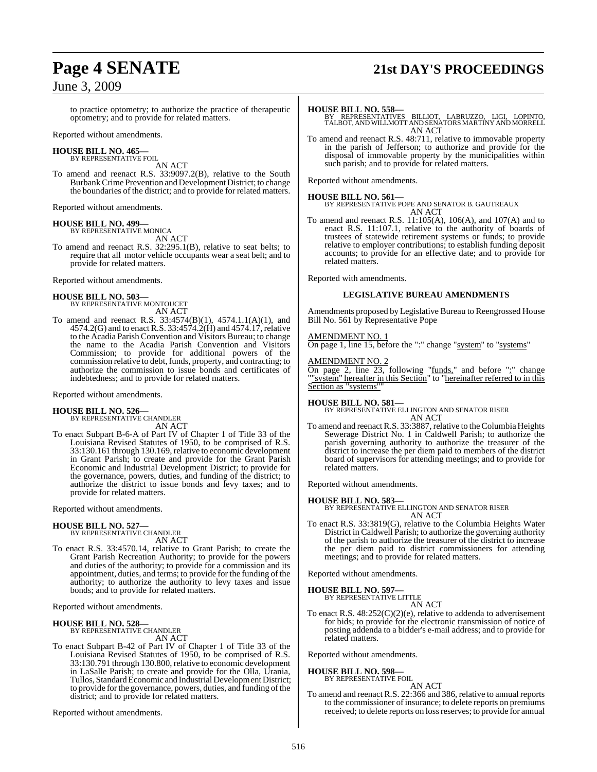### June 3, 2009

#### to practice optometry; to authorize the practice of therapeutic optometry; and to provide for related matters.

Reported without amendments.

#### **HOUSE BILL NO. 465—** BY REPRESENTATIVE FOIL

AN ACT

To amend and reenact R.S. 33:9097.2(B), relative to the South Burbank Crime Prevention and Development District; to change the boundaries of the district; and to provide for related matters.

Reported without amendments.

#### **HOUSE BILL NO. 499—** BY REPRESENTATIVE MONICA

AN ACT

To amend and reenact R.S. 32:295.1(B), relative to seat belts; to require that all motor vehicle occupants wear a seat belt; and to provide for related matters.

Reported without amendments.

## **HOUSE BILL NO. 503—** BY REPRESENTATIVE MONTOUCET

AN ACT

To amend and reenact R.S. 33:4574(B)(1), 4574.1.1(A)(1), and 4574.2(G) and to enact R.S. 33:4574.2(H) and 4574.17, relative to the Acadia Parish Convention and Visitors Bureau; to change the name to the Acadia Parish Convention and Visitors Commission; to provide for additional powers of the commission relative to debt, funds, property, and contracting; to authorize the commission to issue bonds and certificates of indebtedness; and to provide for related matters.

Reported without amendments.

#### **HOUSE BILL NO. 526—**

BY REPRESENTATIVE CHANDLER AN ACT

To enact Subpart B-6-A of Part IV of Chapter 1 of Title 33 of the Louisiana Revised Statutes of 1950, to be comprised of R.S. 33:130.161 through 130.169, relative to economic development in Grant Parish; to create and provide for the Grant Parish Economic and Industrial Development District; to provide for the governance, powers, duties, and funding of the district; to authorize the district to issue bonds and levy taxes; and to provide for related matters.

Reported without amendments.

### **HOUSE BILL NO. 527—**

BY REPRESENTATIVE CHANDLER AN ACT

To enact R.S. 33:4570.14, relative to Grant Parish; to create the Grant Parish Recreation Authority; to provide for the powers and duties of the authority; to provide for a commission and its appointment, duties, and terms; to provide for the funding of the authority; to authorize the authority to levy taxes and issue bonds; and to provide for related matters.

Reported without amendments.

### **HOUSE BILL NO. 528—** BY REPRESENTATIVE CHANDLER

AN ACT

To enact Subpart B-42 of Part IV of Chapter 1 of Title 33 of the Louisiana Revised Statutes of 1950, to be comprised of R.S. 33:130.791 through 130.800, relative to economic development in LaSalle Parish; to create and provide for the Olla, Urania, Tullos, Standard Economic and Industrial Development District; to provide for the governance, powers, duties, and funding of the district; and to provide for related matters.

Reported without amendments.

## **Page 4 SENATE 21st DAY'S PROCEEDINGS**

**HOUSE BILL NO. 558—** BY REPRESENTATIVES BILLIOT, LABRUZZO, LIGI, LOPINTO, TALBOT, AND WILLMOTT AND SENATORS MARTINY AND MORRELL AN ACT

To amend and reenact R.S. 48:711, relative to immovable property in the parish of Jefferson; to authorize and provide for the disposal of immovable property by the municipalities within such parish; and to provide for related matters.

Reported without amendments.

**HOUSE BILL NO. 561—** BY REPRESENTATIVE POPE AND SENATOR B. GAUTREAUX AN ACT

To amend and reenact R.S. 11:105(A), 106(A), and 107(A) and to enact R.S. 11:107.1, relative to the authority of boards of trustees of statewide retirement systems or funds; to provide relative to employer contributions; to establish funding deposit accounts; to provide for an effective date; and to provide for related matters.

Reported with amendments.

#### **LEGISLATIVE BUREAU AMENDMENTS**

Amendments proposed by Legislative Bureau to Reengrossed House Bill No. 561 by Representative Pope

#### AMENDMENT NO. 1

On page 1, line 15, before the ":" change "system" to "systems"

#### AMENDMENT NO. 2

On page 2, line 23, following "funds," and before ":" change ""system" hereafter in this Section" to "hereinafter referred to in this Section as "systems"

#### **HOUSE BILL NO. 581—**

BY REPRESENTATIVE ELLINGTON AND SENATOR RISER AN ACT

To amend and reenact R.S. 33:3887, relative to the Columbia Heights Sewerage District No. 1 in Caldwell Parish; to authorize the parish governing authority to authorize the treasurer of the district to increase the per diem paid to members of the district board of supervisors for attending meetings; and to provide for related matters.

Reported without amendments.

**HOUSE BILL NO. 583—** BY REPRESENTATIVE ELLINGTON AND SENATOR RISER AN ACT

To enact R.S. 33:3819(G), relative to the Columbia Heights Water District in Caldwell Parish; to authorize the governing authority of the parish to authorize the treasurer of the district to increase the per diem paid to district commissioners for attending meetings; and to provide for related matters.

Reported without amendments.

### **HOUSE BILL NO. 597—** BY REPRESENTATIVE LITTLE

AN ACT

To enact R.S. 48:252(C)(2)(e), relative to addenda to advertisement for bids; to provide for the electronic transmission of notice of posting addenda to a bidder's e-mail address; and to provide for related matters.

Reported without amendments.

#### **HOUSE BILL NO. 598—**

BY REPRESENTATIVE FOIL AN ACT

To amend and reenact R.S. 22:366 and 386, relative to annual reports to the commissioner of insurance; to delete reports on premiums received; to delete reports on lossreserves; to provide for annual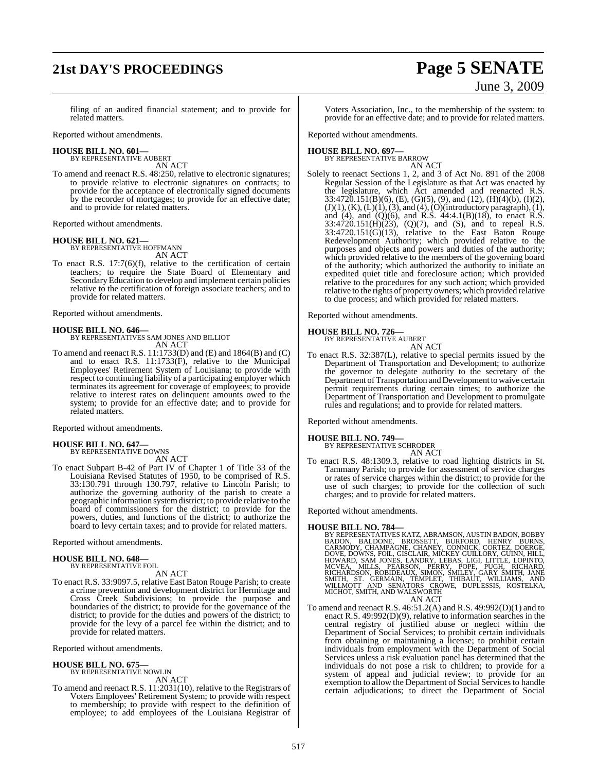## **21st DAY'S PROCEEDINGS Page 5 SENATE**

# June 3, 2009

filing of an audited financial statement; and to provide for related matters.

Reported without amendments.

#### **HOUSE BILL NO. 601—** BY REPRESENTATIVE AUBERT

AN ACT

To amend and reenact R.S. 48:250, relative to electronic signatures; to provide relative to electronic signatures on contracts; to provide for the acceptance of electronically signed documents by the recorder of mortgages; to provide for an effective date; and to provide for related matters.

Reported without amendments.

### **HOUSE BILL NO. 621—** BY REPRESENTATIVE HOFFMANN

AN ACT

To enact R.S. 17:7(6)(f), relative to the certification of certain teachers; to require the State Board of Elementary and Secondary Education to develop and implement certain policies relative to the certification of foreign associate teachers; and to provide for related matters.

Reported without amendments.

#### **HOUSE BILL NO. 646—**

BY REPRESENTATIVES SAM JONES AND BILLIOT AN ACT

To amend and reenact R.S. 11:1733(D) and (E) and 1864(B) and (C) and to enact R.S. 11:1733(F), relative to the Municipal Employees' Retirement System of Louisiana; to provide with respect to continuing liability of a participating employer which terminates its agreement for coverage of employees; to provide relative to interest rates on delinquent amounts owed to the system; to provide for an effective date; and to provide for related matters.

Reported without amendments.

#### **HOUSE BILL NO. 647—** BY REPRESENTATIVE DOWNS

AN ACT

To enact Subpart B-42 of Part IV of Chapter 1 of Title 33 of the Louisiana Revised Statutes of 1950, to be comprised of R.S. 33:130.791 through 130.797, relative to Lincoln Parish; to authorize the governing authority of the parish to create a geographic information systemdistrict; to provide relative to the board of commissioners for the district; to provide for the powers, duties, and functions of the district; to authorize the board to levy certain taxes; and to provide for related matters.

Reported without amendments.

#### **HOUSE BILL NO. 648—** BY REPRESENTATIVE FOIL

AN ACT

To enact R.S. 33:9097.5, relative East Baton Rouge Parish; to create a crime prevention and development district for Hermitage and Cross Creek Subdivisions; to provide the purpose and boundaries of the district; to provide for the governance of the district; to provide for the duties and powers of the district; to provide for the levy of a parcel fee within the district; and to provide for related matters.

Reported without amendments.

## **HOUSE BILL NO. 675—** BY REPRESENTATIVE NOWLIN

AN ACT

To amend and reenact R.S. 11:2031(10), relative to the Registrars of Voters Employees' Retirement System; to provide with respect to membership; to provide with respect to the definition of employee; to add employees of the Louisiana Registrar of

Voters Association, Inc., to the membership of the system; to provide for an effective date; and to provide for related matters.

Reported without amendments.

#### **HOUSE BILL NO. 697—**

BY REPRESENTATIVE BARROW AN ACT

Solely to reenact Sections 1, 2, and 3 of Act No. 891 of the 2008 Regular Session of the Legislature as that Act was enacted by the legislature, which Act amended and reenacted R.S. 33:4720.151(B)(6), (E), (G)(5), (9), and (12), (H)(4)(b), (I)(2),  $(J)(1)$ ,  $(K)$ ,  $(L)(1)$ ,  $(3)$ , and  $(4)$ ,  $(O)(introductiony$  paragraph $), (1)$ , and (4), and (Q)(6), and R.S.  $44:4.1(B)(18)$ , to enact R.S. 33:4720.151(H)(23), (Q)(7), and (S), and to repeal R.S. 33:4720.151(G)(13), relative to the East Baton Rouge Redevelopment Authority; which provided relative to the purposes and objects and powers and duties of the authority; which provided relative to the members of the governing board of the authority; which authorized the authority to initiate an expedited quiet title and foreclosure action; which provided relative to the procedures for any such action; which provided relative to the rights of property owners; which provided relative to due process; and which provided for related matters.

Reported without amendments.

#### **HOUSE BILL NO. 726—**

BY REPRESENTATIVE AUBERT AN ACT

To enact R.S. 32:387(L), relative to special permits issued by the Department of Transportation and Development; to authorize the governor to delegate authority to the secretary of the Department of Transportation and Development to waive certain permit requirements during certain times; to authorize the Department of Transportation and Development to promulgate rules and regulations; and to provide for related matters.

Reported without amendments.

**HOUSE BILL NO. 749—** BY REPRESENTATIVE SCHRODER AN ACT

To enact R.S. 48:1309.3, relative to road lighting districts in St. Tammany Parish; to provide for assessment of service charges or rates of service charges within the district; to provide for the use of such charges; to provide for the collection of such charges; and to provide for related matters.

Reported without amendments.

#### **HOUSE BILL NO. 784—**

- BY REPRESENTATIVES KATZ, ABRAMSON, AUSTIN BADON, BOBBY<br>BADON, BALDONE, BROSSETT, BURFORD, HENRY BURNS,<br>CARMODY, CHAMPAGNE, CHANEY, CONNICK, CORTEZ, DOERGE,<br>DOVE, DOWNS, FOIL, GISCLAIR, MICKEY GUILLORY, GUINN, HILL,<br>HOWARD, MICHOT, SMITH, AND WALSWORTH AN ACT
- To amend and reenact R.S. 46:51.2(A) and R.S. 49:992(D)(1) and to enact R.S. 49:992(D)(9), relative to information searches in the central registry of justified abuse or neglect within the Department of Social Services; to prohibit certain individuals from obtaining or maintaining a license; to prohibit certain individuals from employment with the Department of Social Services unless a risk evaluation panel has determined that the individuals do not pose a risk to children; to provide for a system of appeal and judicial review; to provide for an exemption to allow the Department of Social Services to handle certain adjudications; to direct the Department of Social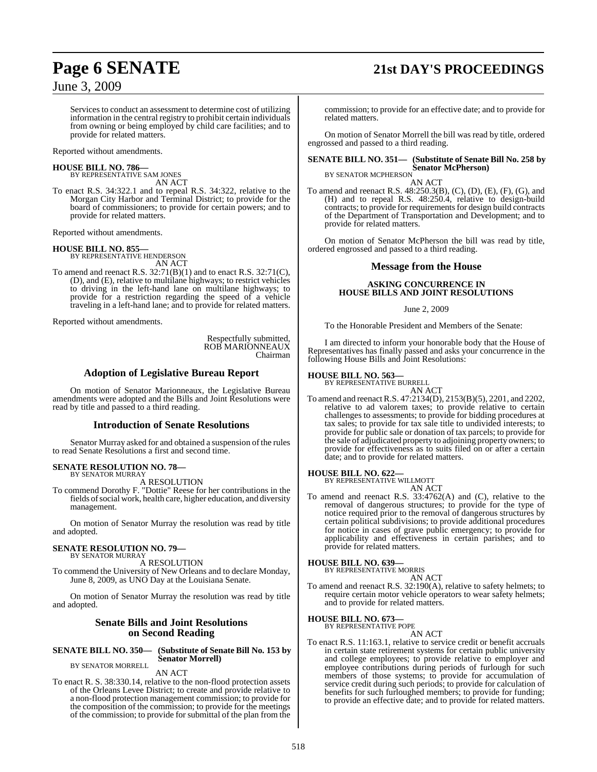## **Page 6 SENATE 21st DAY'S PROCEEDINGS**

June 3, 2009

Services to conduct an assessment to determine cost of utilizing information in the central registry to prohibit certain individuals from owning or being employed by child care facilities; and to provide for related matters.

Reported without amendments.

#### **HOUSE BILL NO. 786—**

BY REPRESENTATIVE SAM JONES AN ACT

To enact R.S. 34:322.1 and to repeal R.S. 34:322, relative to the Morgan City Harbor and Terminal District; to provide for the board of commissioners; to provide for certain powers; and to provide for related matters.

Reported without amendments.

#### **HOUSE BILL NO. 855—**

BY REPRESENTATIVE HENDERSON AN ACT

To amend and reenact R.S. 32:71(B)(1) and to enact R.S. 32:71(C), (D), and (E), relative to multilane highways; to restrict vehicles to driving in the left-hand lane on multilane highways; to provide for a restriction regarding the speed of a vehicle traveling in a left-hand lane; and to provide for related matters.

Reported without amendments.

Respectfully submitted, ROB MARIONNEAUX Chairman

#### **Adoption of Legislative Bureau Report**

On motion of Senator Marionneaux, the Legislative Bureau amendments were adopted and the Bills and Joint Resolutions were read by title and passed to a third reading.

#### **Introduction of Senate Resolutions**

Senator Murray asked for and obtained a suspension of the rules to read Senate Resolutions a first and second time.

#### **SENATE RESOLUTION NO. 78—** BY SENATOR MURRAY

A RESOLUTION

To commend Dorothy F. "Dottie" Reese for her contributions in the fields of social work, health care, higher education, and diversity management.

On motion of Senator Murray the resolution was read by title and adopted.

#### **SENATE RESOLUTION NO. 79—**

BY SENATOR MURRAY A RESOLUTION

To commend the University of New Orleans and to declare Monday, June 8, 2009, as UNO Day at the Louisiana Senate.

On motion of Senator Murray the resolution was read by title and adopted.

### **Senate Bills and Joint Resolutions on Second Reading**

#### **SENATE BILL NO. 350— (Substitute of Senate Bill No. 153 by Senator Morrell)**

BY SENATOR MORRELL

AN ACT

To enact R. S. 38:330.14, relative to the non-flood protection assets of the Orleans Levee District; to create and provide relative to a non-flood protection management commission; to provide for the composition of the commission; to provide for the meetings of the commission; to provide for submittal of the plan from the

commission; to provide for an effective date; and to provide for related matters.

On motion of Senator Morrell the bill was read by title, ordered engrossed and passed to a third reading.

### **SENATE BILL NO. 351— (Substitute of Senate Bill No. 258 by Senator McPherson)** BY SENATOR MCPHERSON

AN ACT

To amend and reenact R.S. 48:250.3(B), (C), (D), (E), (F), (G), and (H) and to repeal R.S. 48:250.4, relative to design-build contracts; to provide for requirements for design build contracts of the Department of Transportation and Development; and to provide for related matters.

On motion of Senator McPherson the bill was read by title, ordered engrossed and passed to a third reading.

#### **Message from the House**

#### **ASKING CONCURRENCE IN HOUSE BILLS AND JOINT RESOLUTIONS**

#### June 2, 2009

To the Honorable President and Members of the Senate:

I am directed to inform your honorable body that the House of Representatives has finally passed and asks your concurrence in the following House Bills and Joint Resolutions:

### **HOUSE BILL NO. 563—** BY REPRESENTATIVE BURRELL



AN ACT To amend and reenactR.S. 47:2134(D), 2153(B)(5), 2201, and 2202, relative to ad valorem taxes; to provide relative to certain challenges to assessments; to provide for bidding procedures at tax sales; to provide for tax sale title to undivided interests; to provide for public sale or donation of tax parcels; to provide for the sale of adjudicated property to adjoining property owners; to provide for effectiveness as to suits filed on or after a certain date; and to provide for related matters.

#### **HOUSE BILL NO. 622—**

BY REPRESENTATIVE WILLMOTT AN ACT

To amend and reenact R.S. 33:4762(A) and (C), relative to the removal of dangerous structures; to provide for the type of notice required prior to the removal of dangerous structures by certain political subdivisions; to provide additional procedures for notice in cases of grave public emergency; to provide for applicability and effectiveness in certain parishes; and to provide for related matters.

#### **HOUSE BILL NO. 639—**

BY REPRESENTATIVE MORRIS AN ACT

To amend and reenact R.S. 32:190(A), relative to safety helmets; to require certain motor vehicle operators to wear safety helmets; and to provide for related matters.

**HOUSE BILL NO. 673—** BY REPRESENTATIVE POPE

AN ACT

To enact R.S. 11:163.1, relative to service credit or benefit accruals in certain state retirement systems for certain public university and college employees; to provide relative to employer and employee contributions during periods of furlough for such members of those systems; to provide for accumulation of service credit during such periods; to provide for calculation of benefits for such furloughed members; to provide for funding; to provide an effective date; and to provide for related matters.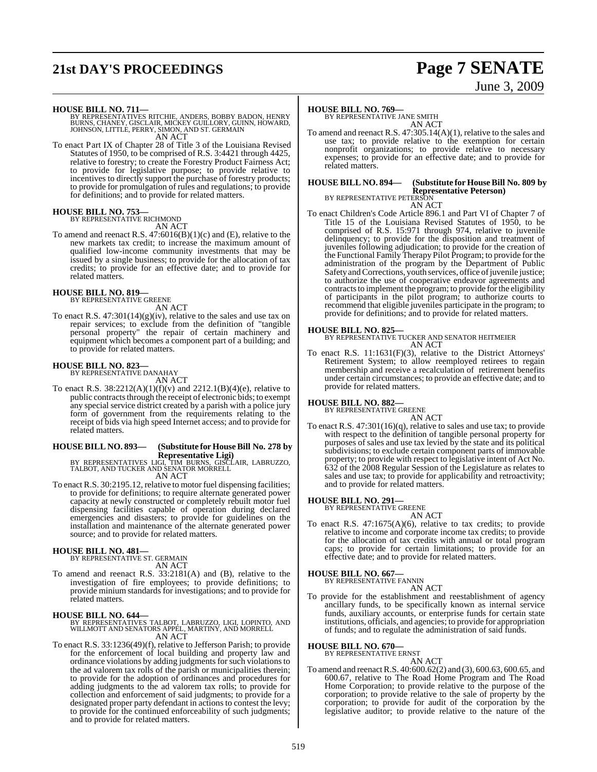## **21st DAY'S PROCEEDINGS Page 7 SENATE**

# June 3, 2009

**HOUSE BILL NO. 711—** BY REPRESENTATIVES RITCHIE, ANDERS, BOBBY BADON, HENRY BURNS, CHANEY, GISCLAIR, MICKEY GUILLORY, GUINN, HOWARD, JOHNSON, LITTLE, PERRY, SIMON, AND ST. GERMAIN AN ACT

To enact Part IX of Chapter 28 of Title 3 of the Louisiana Revised To enact Part IX of Chapter 28 of Title 3 of the Louisiana Revised<br>Statutes of 1950, to be comprised of R.S. 3:4421 through 4425, relative to forestry; to create the Forestry Product Fairness Act; to provide for legislative purpose; to provide relative to incentives to directly support the purchase of forestry products; to provide for promulgation of rules and regulations; to provide for definitions; and to provide for related matters.

**HOUSE BILL NO. 753—** BY REPRESENTATIVE RICHMOND AN ACT

To amend and reenact R.S. 47:6016(B)(1)(c) and (E), relative to the new markets tax credit; to increase the maximum amount of qualified low-income community investments that may be issued by a single business; to provide for the allocation of tax credits; to provide for an effective date; and to provide for related matters.

### **HOUSE BILL NO. 819—** BY REPRESENTATIVE GREENE

AN ACT

To enact R.S.  $47:301(14)(g)(iv)$ , relative to the sales and use tax on repair services; to exclude from the definition of "tangible personal property" the repair of certain machinery and equipment which becomes a component part of a building; and to provide for related matters.

### **HOUSE BILL NO. 823—** BY REPRESENTATIVE DANAHAY

AN ACT

To enact R.S.  $38:2212(A)(1)(f)(v)$  and  $2212.1(B)(4)(e)$ , relative to public contracts through the receipt of electronic bids; to exempt any special service district created by a parish with a police jury form of government from the requirements relating to the receipt of bids via high speed Internet access; and to provide for related matters.

### **HOUSE BILL NO. 893— (Substitute for HouseBill No. 278 by**

**Representative Ligi)** BY REPRESENTATIVES LIGI, TIM BURNS, GISCLAIR, LABRUZZO, TALBOT, AND TUCKER AND SENATOR MORRELL AN ACT

To enact R.S. 30:2195.12, relative to motor fuel dispensing facilities; to provide for definitions; to require alternate generated power capacity at newly constructed or completely rebuilt motor fuel dispensing facilities capable of operation during declared emergencies and disasters; to provide for guidelines on the installation and maintenance of the alternate generated power source; and to provide for related matters.

## **HOUSE BILL NO. 481—** BY REPRESENTATIVE ST. GERMAIN

AN ACT

To amend and reenact R.S. 33:2181(A) and (B), relative to the investigation of fire employees; to provide definitions; to provide minium standards for investigations; and to provide for related matters.

#### **HOUSE BILL NO. 644—**

BY REPRESENTATIVES TALBOT, LABRUZZO, LIGI, LOPINTO, AND WILLMOTT AND SENATORS APPEL, MARTINY, AND MORRELL AN ACT

To enact R.S. 33:1236(49)(f), relative to Jefferson Parish; to provide for the enforcement of local building and property law and ordinance violations by adding judgments for such violations to the ad valorem tax rolls of the parish or municipalities therein; to provide for the adoption of ordinances and procedures for adding judgments to the ad valorem tax rolls; to provide for collection and enforcement of said judgments; to provide for a designated proper party defendant in actions to contest the levy; to provide for the continued enforceability of such judgments; and to provide for related matters.

#### **HOUSE BILL NO. 769—**

BY REPRESENTATIVE JANE SMITH AN ACT

To amend and reenact R.S. 47:305.14(A)(1), relative to the sales and use tax; to provide relative to the exemption for certain nonprofit organizations; to provide relative to necessary expenses; to provide for an effective date; and to provide for related matters.

### **HOUSE BILL NO. 894— (Substitute for HouseBill No. 809 by Representative Peterson)** BY REPRESENTATIVE PETERSON

AN ACT

To enact Children's Code Article 896.1 and Part VI of Chapter 7 of Title 15 of the Louisiana Revised Statutes of 1950, to be comprised of R.S. 15:971 through 974, relative to juvenile delinquency; to provide for the disposition and treatment of juveniles following adjudication; to provide for the creation of the Functional Family Therapy Pilot Program; to provide for the administration of the program by the Department of Public Safety and Corrections, youth services, office of juvenile justice; to authorize the use of cooperative endeavor agreements and contracts to implement the program; to provide for the eligibility of participants in the pilot program; to authorize courts to recommend that eligible juveniles participate in the program; to provide for definitions; and to provide for related matters.

**HOUSE BILL NO. 825—** BY REPRESENTATIVE TUCKER AND SENATOR HEITMEIER AN ACT

To enact R.S. 11:1631(F)(3), relative to the District Attorneys' Retirement System; to allow reemployed retirees to regain membership and receive a recalculation of retirement benefits under certain circumstances; to provide an effective date; and to provide for related matters.

### **HOUSE BILL NO. 882—** BY REPRESENTATIVE GREENE

- AN ACT
- To enact R.S. 47:301(16)(q), relative to sales and use tax; to provide with respect to the definition of tangible personal property for purposes of sales and use tax levied by the state and its political subdivisions; to exclude certain component parts of immovable property; to provide with respect to legislative intent of Act No. 632 of the 2008 Regular Session of the Legislature as relates to sales and use tax; to provide for applicability and retroactivity; and to provide for related matters.

### **HOUSE BILL NO. 291—** BY REPRESENTATIVE GREENE

AN ACT To enact R.S. 47:1675(A)(6), relative to tax credits; to provide relative to income and corporate income tax credits; to provide for the allocation of tax credits with annual or total program caps; to provide for certain limitations; to provide for an effective date; and to provide for related matters.

#### **HOUSE BILL NO. 667—**

BY REPRESENTATIVE FANNIN AN ACT

To provide for the establishment and reestablishment of agency ancillary funds, to be specifically known as internal service funds, auxiliary accounts, or enterprise funds for certain state institutions, officials, and agencies; to provide for appropriation of funds; and to regulate the administration of said funds.

#### **HOUSE BILL NO. 670—**

BY REPRESENTATIVE ERNST AN ACT

To amend and reenactR.S. 40:600.62(2) and (3), 600.63, 600.65, and 600.67, relative to The Road Home Program and The Road Home Corporation; to provide relative to the purpose of the corporation; to provide relative to the sale of property by the corporation; to provide for audit of the corporation by the legislative auditor; to provide relative to the nature of the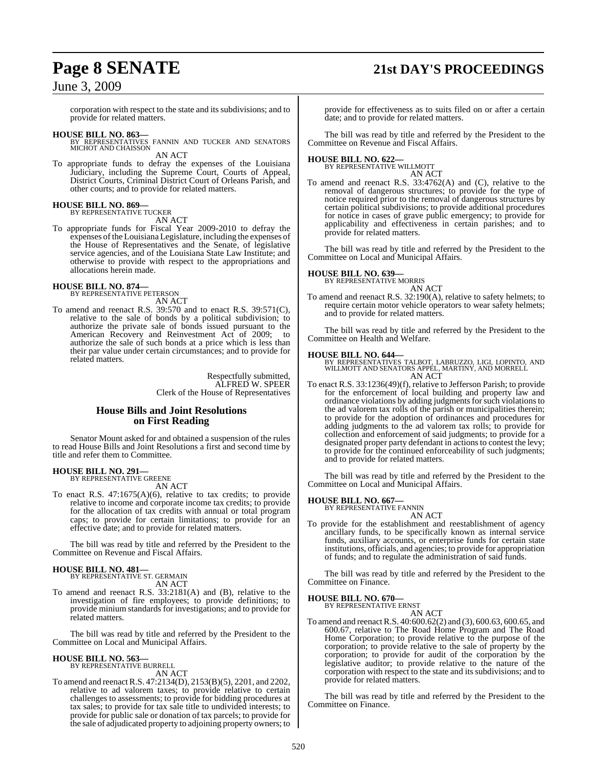## **Page 8 SENATE 21st DAY'S PROCEEDINGS**

### June 3, 2009

corporation with respect to the state and its subdivisions; and to provide for related matters.

**HOUSE BILL NO. 863—** BY REPRESENTATIVES FANNIN AND TUCKER AND SENATORS MICHOT AND CHAISSON AN ACT

To appropriate funds to defray the expenses of the Louisiana Judiciary, including the Supreme Court, Courts of Appeal, District Courts, Criminal District Court of Orleans Parish, and other courts; and to provide for related matters.

#### **HOUSE BILL NO. 869—** BY REPRESENTATIVE TUCKER

AN ACT

To appropriate funds for Fiscal Year 2009-2010 to defray the expenses ofthe Louisiana Legislature, including the expenses of the House of Representatives and the Senate, of legislative service agencies, and of the Louisiana State Law Institute; and otherwise to provide with respect to the appropriations and allocations herein made.

### **HOUSE BILL NO. 874—** BY REPRESENTATIVE PETERSON

AN ACT

To amend and reenact R.S. 39:570 and to enact R.S. 39:571(C), relative to the sale of bonds by a political subdivision; to authorize the private sale of bonds issued pursuant to the American Recovery and Reinvestment Act of 2009; to authorize the sale of such bonds at a price which is less than their par value under certain circumstances; and to provide for related matters.

> Respectfully submitted, ALFRED W. SPEER Clerk of the House of Representatives

#### **House Bills and Joint Resolutions on First Reading**

Senator Mount asked for and obtained a suspension of the rules to read House Bills and Joint Resolutions a first and second time by title and refer them to Committee.

#### **HOUSE BILL NO. 291—** BY REPRESENTATIVE GREENE

AN ACT

To enact R.S. 47:1675(A)(6), relative to tax credits; to provide relative to income and corporate income tax credits; to provide for the allocation of tax credits with annual or total program caps; to provide for certain limitations; to provide for an effective date; and to provide for related matters.

The bill was read by title and referred by the President to the Committee on Revenue and Fiscal Affairs.

#### **HOUSE BILL NO. 481—**

BY REPRESENTATIVE ST. GERMAIN AN ACT

To amend and reenact R.S. 33:2181(A) and (B), relative to the investigation of fire employees; to provide definitions; to provide minium standards for investigations; and to provide for related matters.

The bill was read by title and referred by the President to the Committee on Local and Municipal Affairs.

#### **HOUSE BILL NO. 563—**

BY REPRESENTATIVE BURRELL AN ACT

To amend and reenactR.S. 47:2134(D), 2153(B)(5), 2201, and 2202, relative to ad valorem taxes; to provide relative to certain challenges to assessments; to provide for bidding procedures at tax sales; to provide for tax sale title to undivided interests; to provide for public sale or donation of tax parcels; to provide for the sale of adjudicated property to adjoining property owners; to

provide for effectiveness as to suits filed on or after a certain date; and to provide for related matters.

The bill was read by title and referred by the President to the Committee on Revenue and Fiscal Affairs.

## **HOUSE BILL NO. 622—** BY REPRESENTATIVE WILLMOTT

AN ACT

To amend and reenact R.S. 33:4762(A) and (C), relative to the removal of dangerous structures; to provide for the type of notice required prior to the removal of dangerous structures by certain political subdivisions; to provide additional procedures for notice in cases of grave public emergency; to provide for applicability and effectiveness in certain parishes; and to provide for related matters.

The bill was read by title and referred by the President to the Committee on Local and Municipal Affairs.

## **HOUSE BILL NO. 639—** BY REPRESENTATIVE MORRIS

AN ACT

To amend and reenact R.S. 32:190(A), relative to safety helmets; to require certain motor vehicle operators to wear safety helmets; and to provide for related matters.

The bill was read by title and referred by the President to the Committee on Health and Welfare.

**HOUSE BILL NO. 644—** BY REPRESENTATIVES TALBOT, LABRUZZO, LIGI, LOPINTO, AND WILLMOTT AND SENATORS APPEL, MARTINY, AND MORRELL AN ACT

To enact R.S. 33:1236(49)(f), relative to Jefferson Parish; to provide for the enforcement of local building and property law and ordinance violations by adding judgments for such violations to the ad valorem tax rolls of the parish or municipalities therein; to provide for the adoption of ordinances and procedures for adding judgments to the ad valorem tax rolls; to provide for collection and enforcement of said judgments; to provide for a designated proper party defendant in actions to contest the levy; to provide for the continued enforceability of such judgments; and to provide for related matters.

The bill was read by title and referred by the President to the Committee on Local and Municipal Affairs.

## **HOUSE BILL NO. 667—** BY REPRESENTATIVE FANNIN

AN ACT

To provide for the establishment and reestablishment of agency ancillary funds, to be specifically known as internal service funds, auxiliary accounts, or enterprise funds for certain state institutions, officials, and agencies; to provide for appropriation of funds; and to regulate the administration of said funds.

The bill was read by title and referred by the President to the Committee on Finance.

#### **HOUSE BILL NO. 670—**

BY REPRESENTATIVE ERNST AN ACT

To amend and reenactR.S. 40:600.62(2) and (3), 600.63, 600.65, and 600.67, relative to The Road Home Program and The Road Home Corporation; to provide relative to the purpose of the corporation; to provide relative to the sale of property by the corporation; to provide for audit of the corporation by the legislative auditor; to provide relative to the nature of the corporation with respect to the state and its subdivisions; and to provide for related matters.

The bill was read by title and referred by the President to the Committee on Finance.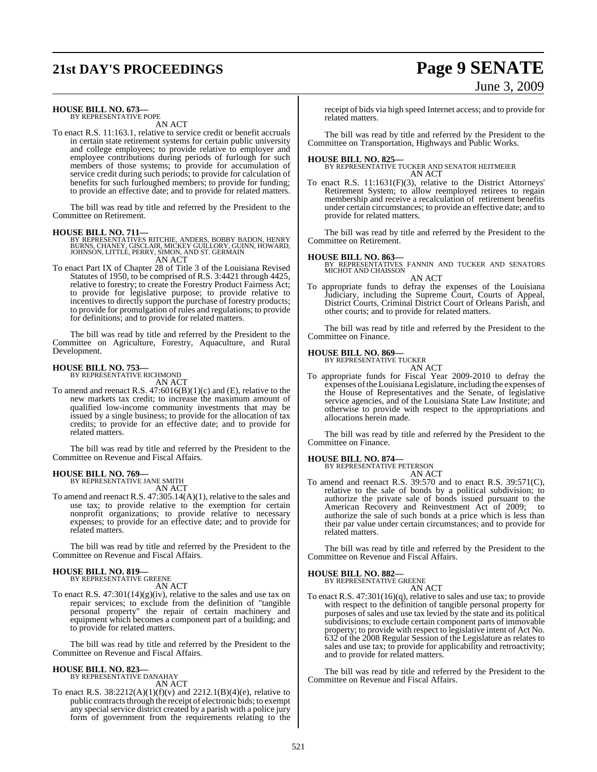## **21st DAY'S PROCEEDINGS Page 9 SENATE** June 3, 2009

#### **HOUSE BILL NO. 673—** BY REPRESENTATIVE POPE

AN ACT

To enact R.S. 11:163.1, relative to service credit or benefit accruals in certain state retirement systems for certain public university and college employees; to provide relative to employer and employee contributions during periods of furlough for such members of those systems; to provide for accumulation of service credit during such periods; to provide for calculation of benefits for such furloughed members; to provide for funding; to provide an effective date; and to provide for related matters.

The bill was read by title and referred by the President to the Committee on Retirement.

#### **HOUSE BILL NO. 711—**

BY REPRESENTATIVES RITCHIE, ANDERS, BOBBY BADON, HENRY<br>BURNS, CHANEY, GISCLAIR, MICKEY GUILLORY, GUINN, HOWARD,<br>JOHNSON, LITTLE, PERRY, SIMON, AND ST. GERMAIN<br>AN ACT

To enact Part IX of Chapter 28 of Title 3 of the Louisiana Revised Statutes of 1950, to be comprised of R.S. 3:4421 through 4425, relative to forestry; to create the Forestry Product Fairness Act; to provide for legislative purpose; to provide relative to incentives to directly support the purchase of forestry products; to provide for promulgation of rules and regulations; to provide for definitions; and to provide for related matters.

The bill was read by title and referred by the President to the Committee on Agriculture, Forestry, Aquaculture, and Rural Development.

#### **HOUSE BILL NO. 753—**

BY REPRESENTATIVE RICHMOND AN ACT

To amend and reenact R.S. 47:6016(B)(1)(c) and (E), relative to the new markets tax credit; to increase the maximum amount of qualified low-income community investments that may be issued by a single business; to provide for the allocation of tax credits; to provide for an effective date; and to provide for related matters.

The bill was read by title and referred by the President to the Committee on Revenue and Fiscal Affairs.

#### **HOUSE BILL NO. 769—** BY REPRESENTATIVE JANE SMITH

AN ACT

To amend and reenact R.S.  $47:305.14(A)(1)$ , relative to the sales and use tax; to provide relative to the exemption for certain nonprofit organizations; to provide relative to necessary expenses; to provide for an effective date; and to provide for related matters.

The bill was read by title and referred by the President to the Committee on Revenue and Fiscal Affairs.

## **HOUSE BILL NO. 819—** BY REPRESENTATIVE GREENE

AN ACT

To enact R.S. 47:301(14)(g)(iv), relative to the sales and use tax on repair services; to exclude from the definition of "tangible personal property" the repair of certain machinery and equipment which becomes a component part of a building; and to provide for related matters.

The bill was read by title and referred by the President to the Committee on Revenue and Fiscal Affairs.

#### **HOUSE BILL NO. 823—**

BY REPRESENTATIVE DANAHAY AN ACT

To enact R.S.  $38:2212(A)(1)(f)(v)$  and  $2212.1(B)(4)(e)$ , relative to public contracts through the receipt of electronic bids; to exempt any special service district created by a parish with a police jury form of government from the requirements relating to the

receipt of bids via high speed Internet access; and to provide for related matters.

The bill was read by title and referred by the President to the Committee on Transportation, Highways and Public Works.

#### **HOUSE BILL NO. 825—**

BY REPRESENTATIVE TUCKER AND SENATOR HEITMEIER AN ACT

To enact R.S. 11:1631(F)(3), relative to the District Attorneys' Retirement System; to allow reemployed retirees to regain membership and receive a recalculation of retirement benefits under certain circumstances; to provide an effective date; and to provide for related matters.

The bill was read by title and referred by the President to the Committee on Retirement.

#### **HOUSE BILL NO. 863—**

BY REPRESENTATIVES FANNIN AND TUCKER AND SENATORS MICHOT AND CHAISSON AN ACT

To appropriate funds to defray the expenses of the Louisiana Judiciary, including the Supreme Court, Courts of Appeal, District Courts, Criminal District Court of Orleans Parish, and other courts; and to provide for related matters.

The bill was read by title and referred by the President to the Committee on Finance.

#### **HOUSE BILL NO. 869—**

BY REPRESENTATIVE TUCKER AN ACT

To appropriate funds for Fiscal Year 2009-2010 to defray the expenses of the Louisiana Legislature, including the expenses of the House of Representatives and the Senate, of legislative service agencies, and of the Louisiana State Law Institute; and otherwise to provide with respect to the appropriations and allocations herein made.

The bill was read by title and referred by the President to the Committee on Finance.

### **HOUSE BILL NO. 874—** BY REPRESENTATIVE PETERSON

AN ACT

To amend and reenact R.S. 39:570 and to enact R.S. 39:571(C), relative to the sale of bonds by a political subdivision; to authorize the private sale of bonds issued pursuant to the American Recovery and Reinvestment Act of 2009; to authorize the sale of such bonds at a price which is less than their par value under certain circumstances; and to provide for related matters.

The bill was read by title and referred by the President to the Committee on Revenue and Fiscal Affairs.

#### **HOUSE BILL NO. 882—**

BY REPRESENTATIVE GREENE AN ACT

To enact R.S. 47:301(16)(q), relative to sales and use tax; to provide with respect to the definition of tangible personal property for purposes of sales and use tax levied by the state and its political subdivisions; to exclude certain component parts of immovable property; to provide with respect to legislative intent of Act No. 632 of the 2008 Regular Session of the Legislature as relates to sales and use tax; to provide for applicability and retroactivity; and to provide for related matters.

The bill was read by title and referred by the President to the Committee on Revenue and Fiscal Affairs.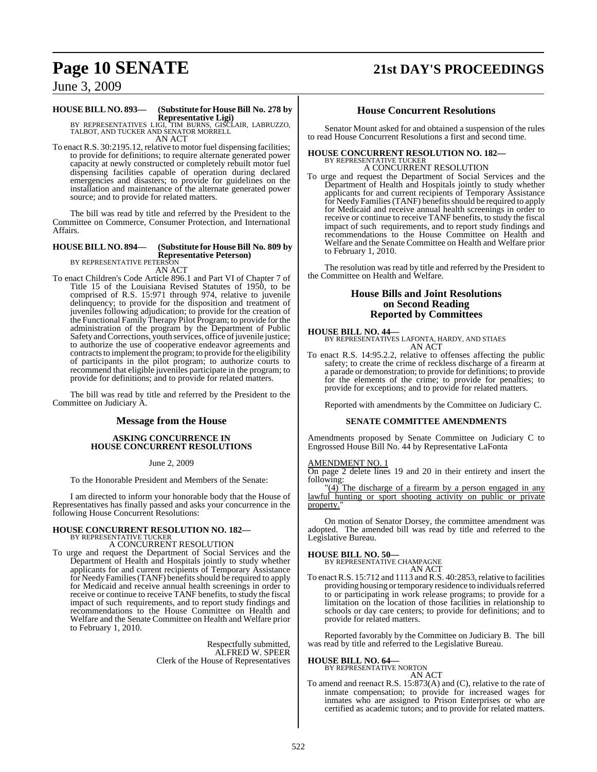## **Page 10 SENATE 21st DAY'S PROCEEDINGS**

### June 3, 2009

### **HOUSE BILL NO. 893— (Substitute for HouseBill No. 278 by**

**Representative Ligi)** BY REPRESENTATIVES LIGI, TIM BURNS, GISCLAIR, LABRUZZO, TALBOT, AND TUCKER AND SENATOR MORRELL AN ACT

To enact R.S. 30:2195.12, relative to motor fuel dispensing facilities; to provide for definitions; to require alternate generated power capacity at newly constructed or completely rebuilt motor fuel dispensing facilities capable of operation during declared emergencies and disasters; to provide for guidelines on the installation and maintenance of the alternate generated power source; and to provide for related matters.

The bill was read by title and referred by the President to the Committee on Commerce, Consumer Protection, and International Affairs.

### **HOUSE BILL NO. 894— (Substitute for HouseBill No. 809 by**

**Representative Peterson)** BY REPRESENTATIVE PETERSON AN ACT

To enact Children's Code Article 896.1 and Part VI of Chapter 7 of Title 15 of the Louisiana Revised Statutes of 1950, to be comprised of R.S. 15:971 through 974, relative to juvenile delinquency; to provide for the disposition and treatment of juveniles following adjudication; to provide for the creation of the Functional Family Therapy Pilot Program; to provide for the administration of the program by the Department of Public Safety and Corrections, youth services, office of juvenile justice; to authorize the use of cooperative endeavor agreements and contracts to implement the program; to provide for the eligibility of participants in the pilot program; to authorize courts to recommend that eligible juveniles participate in the program; to provide for definitions; and to provide for related matters.

The bill was read by title and referred by the President to the Committee on Judiciary A.

#### **Message from the House**

#### **ASKING CONCURRENCE IN HOUSE CONCURRENT RESOLUTIONS**

June 2, 2009

To the Honorable President and Members of the Senate:

I am directed to inform your honorable body that the House of Representatives has finally passed and asks your concurrence in the following House Concurrent Resolutions:

## **HOUSE CONCURRENT RESOLUTION NO. 182—** BY REPRESENTATIVE TUCKER

#### A CONCURRENT RESOLUTION

To urge and request the Department of Social Services and the Department of Health and Hospitals jointly to study whether applicants for and current recipients of Temporary Assistance for Needy Families (TANF) benefits should be required to apply for Medicaid and receive annual health screenings in order to receive or continue to receive TANF benefits, to study the fiscal impact of such requirements, and to report study findings and recommendations to the House Committee on Health and Welfare and the Senate Committee on Health and Welfare prior to February 1, 2010.

> Respectfully submitted, ALFRED W. SPEER Clerk of the House of Representatives

#### **House Concurrent Resolutions**

Senator Mount asked for and obtained a suspension of the rules to read House Concurrent Resolutions a first and second time.

### **HOUSE CONCURRENT RESOLUTION NO. 182—**

BY REPRESENTATIVE TUCKER A CONCURRENT RESOLUTION

To urge and request the Department of Social Services and the Department of Health and Hospitals jointly to study whether applicants for and current recipients of Temporary Assistance for Needy Families (TANF) benefits should be required to apply for Medicaid and receive annual health screenings in order to receive or continue to receive TANF benefits, to study the fiscal impact of such requirements, and to report study findings and recommendations to the House Committee on Health and Welfare and the Senate Committee on Health and Welfare prior to February 1, 2010.

The resolution was read by title and referred by the President to the Committee on Health and Welfare.

#### **House Bills and Joint Resolutions on Second Reading Reported by Committees**

#### **HOUSE BILL NO. 44—**

BY REPRESENTATIVES LAFONTA, HARDY, AND STIAES AN ACT

To enact R.S. 14:95.2.2, relative to offenses affecting the public safety; to create the crime of reckless discharge of a firearm at a parade or demonstration; to provide for definitions; to provide for the elements of the crime; to provide for penalties; to provide for exceptions; and to provide for related matters.

Reported with amendments by the Committee on Judiciary C.

#### **SENATE COMMITTEE AMENDMENTS**

Amendments proposed by Senate Committee on Judiciary C to Engrossed House Bill No. 44 by Representative LaFonta

#### AMENDMENT NO. 1

On page 2 delete lines 19 and 20 in their entirety and insert the following:

"(4) The discharge of a firearm by a person engaged in any lawful hunting or sport shooting activity on public or private property."

On motion of Senator Dorsey, the committee amendment was adopted. The amended bill was read by title and referred to the Legislative Bureau.

### **HOUSE BILL NO. 50—** BY REPRESENTATIVE CHAMPAGNE

AN ACT

To enact R.S. 15:712 and 1113 and R.S. 40:2853, relative to facilities providing housing or temporary residence to individuals referred to or participating in work release programs; to provide for a limitation on the location of those facilities in relationship to schools or day care centers; to provide for definitions; and to provide for related matters.

Reported favorably by the Committee on Judiciary B. The bill was read by title and referred to the Legislative Bureau.

#### **HOUSE BILL NO. 64—**

BY REPRESENTATIVE NORTON

AN ACT To amend and reenact R.S. 15:873(A) and (C), relative to the rate of inmate compensation; to provide for increased wages for inmates who are assigned to Prison Enterprises or who are certified as academic tutors; and to provide for related matters.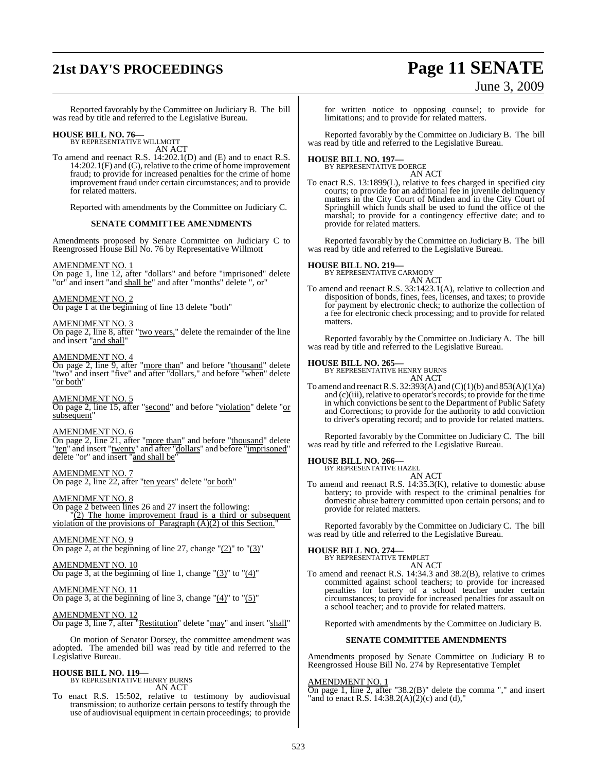## **21st DAY'S PROCEEDINGS Page 11 SENATE**

# June 3, 2009

Reported favorably by the Committee on Judiciary B. The bill was read by title and referred to the Legislative Bureau.

### **HOUSE BILL NO. 76—** BY REPRESENTATIVE WILLMOTT

AN ACT

To amend and reenact R.S. 14:202.1(D) and (E) and to enact R.S. 14:202.1(F) and (G), relative to the crime of home improvement fraud; to provide for increased penalties for the crime of home improvement fraud under certain circumstances; and to provide for related matters.

Reported with amendments by the Committee on Judiciary C.

#### **SENATE COMMITTEE AMENDMENTS**

Amendments proposed by Senate Committee on Judiciary C to Reengrossed House Bill No. 76 by Representative Willmott

#### AMENDMENT NO. 1

On page 1, line 12, after "dollars" and before "imprisoned" delete "or" and insert "and shall be" and after "months" delete ", or"

#### AMENDMENT NO. 2

On page 1 at the beginning of line 13 delete "both"

#### AMENDMENT NO. 3

On page 2, line 8, after "two years," delete the remainder of the line and insert "and shall"

#### AMENDMENT NO. 4

On page 2, line 9, after "more than" and before "thousand" delete "two" and insert "five" and after "dollars," and before "when" delete "or both"

#### AMENDMENT NO. 5

On page 2, line 15, after "second" and before "violation" delete "or subsequent

#### AMENDMENT NO. 6

On page 2, line 21, after "more than" and before "thousand" delete "ten" and insert "twenty" and after "dollars" and before "imprisoned" delete "or" and insert "and shall be"

#### AMENDMENT NO. 7

On page 2, line 22, after "ten years" delete "or both"

#### AMENDMENT NO. 8

On page 2 between lines 26 and 27 insert the following: "(2) The home improvement fraud is a third or subsequent violation of the provisions of Paragraph (A)(2) of this Section."

#### AMENDMENT NO. 9

On page 2, at the beginning of line 27, change " $(2)$ " to " $(3)$ "

AMENDMENT NO. 10 On page 3, at the beginning of line 1, change  $\degree$ (3) $\degree$  to  $\degree$ (4) $\degree$ 

#### AMENDMENT NO. 11

On page 3, at the beginning of line 3, change  $"(4)"$  to  $"(5)"$ 

#### AMENDMENT NO. 12

On page 3, line 7, after "Restitution" delete "may" and insert "shall"

On motion of Senator Dorsey, the committee amendment was adopted. The amended bill was read by title and referred to the Legislative Bureau.

#### **HOUSE BILL NO. 119—** BY REPRESENTATIVE HENRY BURNS

AN ACT

To enact R.S. 15:502, relative to testimony by audiovisual transmission; to authorize certain persons to testify through the use of audiovisual equipment in certain proceedings; to provide

for written notice to opposing counsel; to provide for limitations; and to provide for related matters.

Reported favorably by the Committee on Judiciary B. The bill was read by title and referred to the Legislative Bureau.

### **HOUSE BILL NO. 197—** BY REPRESENTATIVE DOERGE

AN ACT

To enact R.S. 13:1899(L), relative to fees charged in specified city courts; to provide for an additional fee in juvenile delinquency matters in the City Court of Minden and in the City Court of Springhill which funds shall be used to fund the office of the marshal; to provide for a contingency effective date; and to provide for related matters.

Reported favorably by the Committee on Judiciary B. The bill was read by title and referred to the Legislative Bureau.

#### **HOUSE BILL NO. 219—**

BY REPRESENTATIVE CARMODY AN ACT

To amend and reenact R.S. 33:1423.1(A), relative to collection and disposition of bonds, fines, fees, licenses, and taxes; to provide for payment by electronic check; to authorize the collection of a fee for electronic check processing; and to provide for related matters.

Reported favorably by the Committee on Judiciary A. The bill was read by title and referred to the Legislative Bureau.

### **HOUSE BILL NO. 265—** BY REPRESENTATIVE HENRY BURNS

AN ACT

To amend and reenact R.S. 32:393(A) and (C)(1)(b) and 853(A)(1)(a) and  $(c)(iii)$ , relative to operator's records; to provide for the time in which convictions be sent to the Department of Public Safety and Corrections; to provide for the authority to add conviction to driver's operating record; and to provide for related matters.

Reported favorably by the Committee on Judiciary C. The bill was read by title and referred to the Legislative Bureau.

#### **HOUSE BILL NO. 266—**

BY REPRESENTATIVE HAZEL AN ACT

To amend and reenact R.S. 14:35.3(K), relative to domestic abuse battery; to provide with respect to the criminal penalties for domestic abuse battery committed upon certain persons; and to provide for related matters.

Reported favorably by the Committee on Judiciary C. The bill was read by title and referred to the Legislative Bureau.

## **HOUSE BILL NO. 274—** BY REPRESENTATIVE TEMPLET

AN ACT To amend and reenact R.S. 14:34.3 and 38.2(B), relative to crimes committed against school teachers; to provide for increased penalties for battery of a school teacher under certain circumstances; to provide for increased penalties for assault on a school teacher; and to provide for related matters.

Reported with amendments by the Committee on Judiciary B.

#### **SENATE COMMITTEE AMENDMENTS**

Amendments proposed by Senate Committee on Judiciary B to Reengrossed House Bill No. 274 by Representative Templet

#### AMENDMENT NO. 1

On page 1, line 2, after "38.2(B)" delete the comma "," and insert "and to enact R.S.  $14:38.2(A)(2)(c)$  and (d),"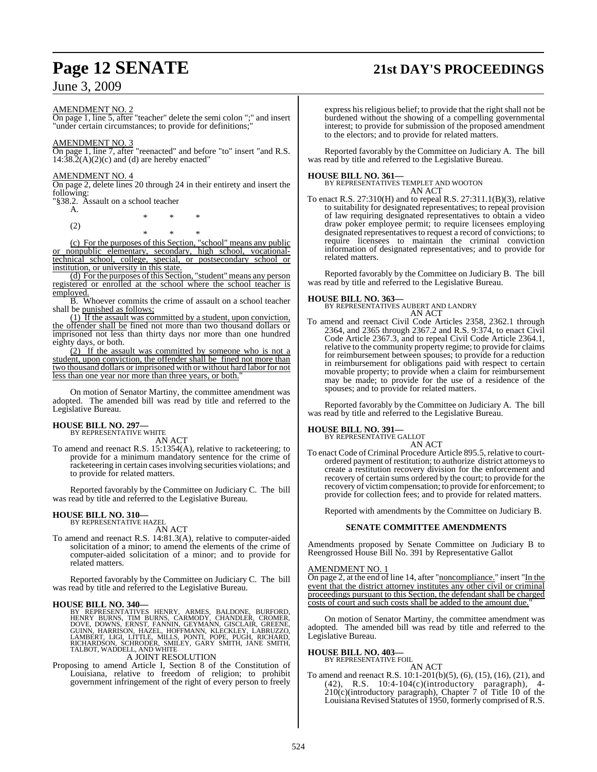## **Page 12 SENATE 21st DAY'S PROCEEDINGS**

### June 3, 2009

#### AMENDMENT NO. 2

On page 1, line 5, after "teacher" delete the semi colon ";" and insert "under certain circumstances; to provide for definitions;"

#### AMENDMENT NO. 3

On page 1, line 7, after "reenacted" and before "to" insert "and R.S.  $14:38.2(A)(2)(c)$  and (d) are hereby enacted"

#### AMENDMENT NO. 4

On page 2, delete lines 20 through 24 in their entirety and insert the following:

"§38.2. Assault on a school teacher

A. \* \* \* (2)

\* \* \* (c) For the purposes of this Section, "school" means any public or nonpublic elementary, secondary, high school, vocationaltechnical school, college, special, or postsecondary school or institution, or university in this state.

(d) For the purposes of this Section, "student" means any person registered or enrolled at the school where the school teacher is employed.

B. Whoever commits the crime of assault on a school teacher shall be punished as follows;

(1) If the assault was committed by a student, upon conviction, the offender shall be fined not more than two thousand dollars or imprisoned not less than thirty days nor more than one hundred eighty days, or both.

 $(2)$  If the assault was committed by someone who is not a student, upon conviction, the offender shall be fined not more than two thousand dollars or imprisoned with or without hard labor for not less than one year nor more than three years, or both.

On motion of Senator Martiny, the committee amendment was adopted. The amended bill was read by title and referred to the Legislative Bureau.

### **HOUSE BILL NO. 297—** BY REPRESENTATIVE WHITE

AN ACT

To amend and reenact R.S. 15:1354(A), relative to racketeering; to provide for a minimum mandatory sentence for the crime of racketeering in certain casesinvolving securities violations; and to provide for related matters.

Reported favorably by the Committee on Judiciary C. The bill was read by title and referred to the Legislative Bureau.

#### **HOUSE BILL NO. 310—** BY REPRESENTATIVE HAZEL

AN ACT

To amend and reenact R.S. 14:81.3(A), relative to computer-aided solicitation of a minor; to amend the elements of the crime of computer-aided solicitation of a minor; and to provide for related matters.

Reported favorably by the Committee on Judiciary C. The bill was read by title and referred to the Legislative Bureau.

HOUSE BILL NO. 340—<br>
BY REPRESENTATIVES HENRY, ARMES, BALDONE, BURFORD,<br>
HENRY BURNS, TIM BURNS, CARMODY, CHANDLER, CROMER,<br>
DOVE, DOWNS, ERNST, FANNIN, GEYMANN, GISCLAIR, GREENE,<br>
GUINN, HARRISON, HAZEL, HOFFMANN, KLECKLE

Proposing to amend Article I, Section 8 of the Constitution of Louisiana, relative to freedom of religion; to prohibit government infringement of the right of every person to freely

express his religious belief; to provide that the right shall not be burdened without the showing of a compelling governmental interest; to provide for submission of the proposed amendment to the electors; and to provide for related matters.

Reported favorably by the Committee on Judiciary A. The bill was read by title and referred to the Legislative Bureau.

**HOUSE BILL NO. 361—** BY REPRESENTATIVES TEMPLET AND WOOTON AN ACT

To enact R.S. 27:310(H) and to repeal R.S. 27:311.1(B)(3), relative to suitability for designated representatives; to repeal provision of law requiring designated representatives to obtain a video draw poker employee permit; to require licensees employing designated representatives to request a record of convictions; to require licensees to maintain the criminal conviction information of designated representatives; and to provide for related matters.

Reported favorably by the Committee on Judiciary B. The bill was read by title and referred to the Legislative Bureau.

#### **HOUSE BILL NO. 363—**

BY REPRESENTATIVES AUBERT AND LANDRY AN ACT

To amend and reenact Civil Code Articles 2358, 2362.1 through 2364, and 2365 through 2367.2 and R.S. 9:374, to enact Civil Code Article 2367.3, and to repeal Civil Code Article 2364.1, relative to the community property regime; to provide for claims for reimbursement between spouses; to provide for a reduction in reimbursement for obligations paid with respect to certain movable property; to provide when a claim for reimbursement may be made; to provide for the use of a residence of the spouses; and to provide for related matters.

Reported favorably by the Committee on Judiciary A. The bill was read by title and referred to the Legislative Bureau.

#### **HOUSE BILL NO. 391—**

BY REPRESENTATIVE GALLOT AN ACT

To enact Code of Criminal Procedure Article 895.5, relative to courtordered payment of restitution; to authorize district attorneys to create a restitution recovery division for the enforcement and recovery of certain sums ordered by the court; to provide for the recovery of victimcompensation; to provide for enforcement; to provide for collection fees; and to provide for related matters.

Reported with amendments by the Committee on Judiciary B.

#### **SENATE COMMITTEE AMENDMENTS**

Amendments proposed by Senate Committee on Judiciary B to Reengrossed House Bill No. 391 by Representative Gallot

#### AMENDMENT NO. 1

On page 2, at the end of line 14, after "noncompliance." insert "In the event that the district attorney institutes any other civil or criminal proceedings pursuant to this Section, the defendant shall be charged costs of court and such costs shall be added to the amount due.

On motion of Senator Martiny, the committee amendment was adopted. The amended bill was read by title and referred to the Legislative Bureau.

### **HOUSE BILL NO. 403—** BY REPRESENTATIVE FOIL

AN ACT

To amend and reenact R.S. 10:1-201(b)(5), (6), (15), (16), (21), and (42), R.S. 10:4-104(c)(introductory paragraph), 4- 210(c)(introductory paragraph), Chapter 7 of Title 10 of the Louisiana Revised Statutes of 1950, formerly comprised of R.S.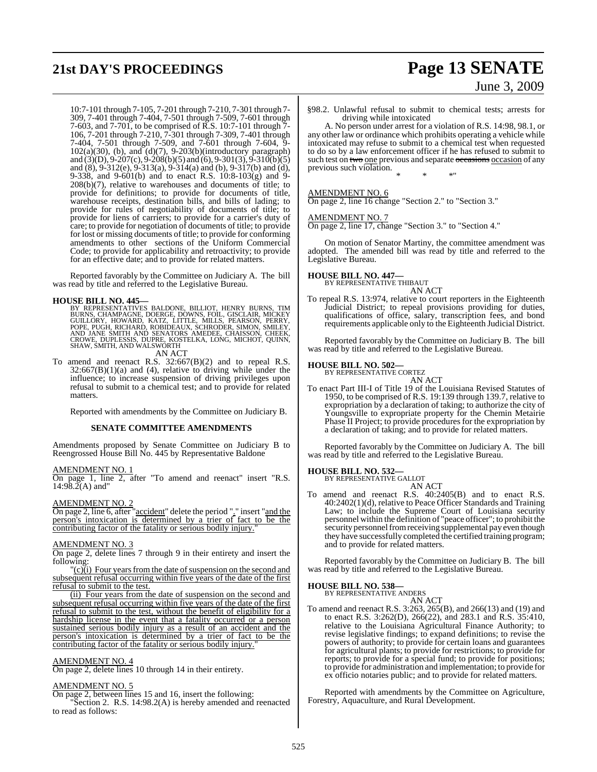## **21st DAY'S PROCEEDINGS Page 13 SENATE**

# June 3, 2009

10:7-101 through 7-105, 7-201 through 7-210, 7-301 through 7- 309, 7-401 through 7-404, 7-501 through 7-509, 7-601 through 7-603, and 7-701, to be comprised of R.S. 10:7-101 through 7- 106, 7-201 through 7-210, 7-301 through 7-309, 7-401 through 7-404, 7-501 through 7-509, and 7-601 through 7-604, 9- 102(a)(30), (b), and (d)(7), 9-203(b)(introductory paragraph) and (3)(D), 9-207(c), 9-208(b)(5) and (6), 9-301(3), 9-310(b)(5) and (8), 9-312(e), 9-313(a), 9-314(a) and (b), 9-317(b) and (d), 9-338, and 9-601(b) and to enact R.S. 10:8-103(g) and 9- 208(b)(7), relative to warehouses and documents of title; to provide for definitions; to provide for documents of title, warehouse receipts, destination bills, and bills of lading; to provide for rules of negotiability of documents of title; to provide for liens of carriers; to provide for a carrier's duty of care; to provide for negotiation of documents of title; to provide for lost or missing documents of title; to provide for conforming amendments to other sections of the Uniform Commercial Code; to provide for applicability and retroactivity; to provide for an effective date; and to provide for related matters.

Reported favorably by the Committee on Judiciary A. The bill was read by title and referred to the Legislative Bureau.

**HOUSE BILL NO. 445—**<br>BY REPRESENTATIVES BALDONE, BILLIOT, HENRY BURNS, THAMPAGNE, DOERGE, DOWNS, FOIL, GISCLAIR, MICKEY<br>GUILLORY, HOWARD, KATZ, LITTLE, MILLS, PEARSON, PERRY,<br>POPE, PUGH, RICHARD, ROBIDEAUX, SCHRODER, SIMO

AN ACT

To amend and reenact R.S. 32:667(B)(2) and to repeal R.S.  $32:667(B)(1)(a)$  and (4), relative to driving while under the influence; to increase suspension of driving privileges upon refusal to submit to a chemical test; and to provide for related matters.

Reported with amendments by the Committee on Judiciary B.

#### **SENATE COMMITTEE AMENDMENTS**

Amendments proposed by Senate Committee on Judiciary B to Reengrossed House Bill No. 445 by Representative Baldone

#### AMENDMENT NO. 1

On page 1, line 2, after "To amend and reenact" insert "R.S.  $14:98.\tilde{2}(A)$  and"

#### AMENDMENT NO. 2

On page 2, line 6, after "accident" delete the period "." insert "and the person's intoxication is determined by a trier of fact to be the contributing factor of the fatality or serious bodily injury.

#### AMENDMENT NO. 3

On page 2, delete lines 7 through 9 in their entirety and insert the following:

 $\frac{r(c)}{(i)}$  Four years from the date of suspension on the second and subsequent refusal occurring within five years of the date of the first refusal to submit to the test.

(ii) Four years from the date of suspension on the second and subsequent refusal occurring within five years of the date of the first refusal to submit to the test, without the benefit of eligibility for a hardship license in the event that a fatality occurred or a person sustained serious bodily injury as a result of an accident and the person's intoxication is determined by a trier of fact to be the contributing factor of the fatality or serious bodily injury.

#### AMENDMENT NO. 4

On page 2, delete lines 10 through 14 in their entirety.

#### AMENDMENT NO. 5

On page 2, between lines 15 and 16, insert the following: "Section 2. R.S. 14:98.2(A) is hereby amended and reenacted to read as follows:

§98.2. Unlawful refusal to submit to chemical tests; arrests for driving while intoxicated

A. No person under arrest for a violation of R.S. 14:98, 98.1, or any other law or ordinance which prohibits operating a vehicle while intoxicated may refuse to submit to a chemical test when requested to do so by a law enforcement officer if he has refused to submit to such test on two one previous and separate occasions occasion of any previous such violation.

\* \* \*"

#### AMENDMENT NO. 6

On page 2, line 16 change "Section 2." to "Section 3."

#### AMENDMENT NO. 7

On page 2, line 17, change "Section 3." to "Section 4."

On motion of Senator Martiny, the committee amendment was adopted. The amended bill was read by title and referred to the Legislative Bureau.

### **HOUSE BILL NO. 447—** BY REPRESENTATIVE THIBAUT

AN ACT To repeal R.S. 13:974, relative to court reporters in the Eighteenth Judicial District; to repeal provisions providing for duties, qualifications of office, salary, transcription fees, and bond requirements applicable only to the Eighteenth Judicial District.

Reported favorably by the Committee on Judiciary B. The bill was read by title and referred to the Legislative Bureau.

## **HOUSE BILL NO. 502—** BY REPRESENTATIVE CORTEZ

AN ACT

To enact Part III-I of Title 19 of the Louisiana Revised Statutes of 1950, to be comprised of R.S. 19:139 through 139.7, relative to expropriation by a declaration of taking; to authorize the city of Youngsville to expropriate property for the Chemin Metairie Phase II Project; to provide procedures for the expropriation by a declaration of taking; and to provide for related matters.

Reported favorably by the Committee on Judiciary A. The bill was read by title and referred to the Legislative Bureau.

#### **HOUSE BILL NO. 532—**

BY REPRESENTATIVE GALLOT

AN ACT

To amend and reenact R.S. 40:2405(B) and to enact R.S. 40:2402(1)(d), relative to Peace Officer Standards and Training Law; to include the Supreme Court of Louisiana security personnel within the definition of "peace officer"; to prohibit the security personnel from receiving supplemental pay even though they have successfully completed the certified training program; and to provide for related matters.

Reported favorably by the Committee on Judiciary B. The bill was read by title and referred to the Legislative Bureau.

#### **HOUSE BILL NO. 538—**

BY REPRESENTATIVE ANDERS AN ACT

To amend and reenact R.S. 3:263, 265(B), and 266(13) and (19) and to enact R.S. 3:262(D), 266(22), and 283.1 and R.S. 35:410, relative to the Louisiana Agricultural Finance Authority; to revise legislative findings; to expand definitions; to revise the powers of authority; to provide for certain loans and guarantees for agricultural plants; to provide for restrictions; to provide for reports; to provide for a special fund; to provide for positions; to provide for administration and implementation; to provide for ex officio notaries public; and to provide for related matters.

Reported with amendments by the Committee on Agriculture, Forestry, Aquaculture, and Rural Development.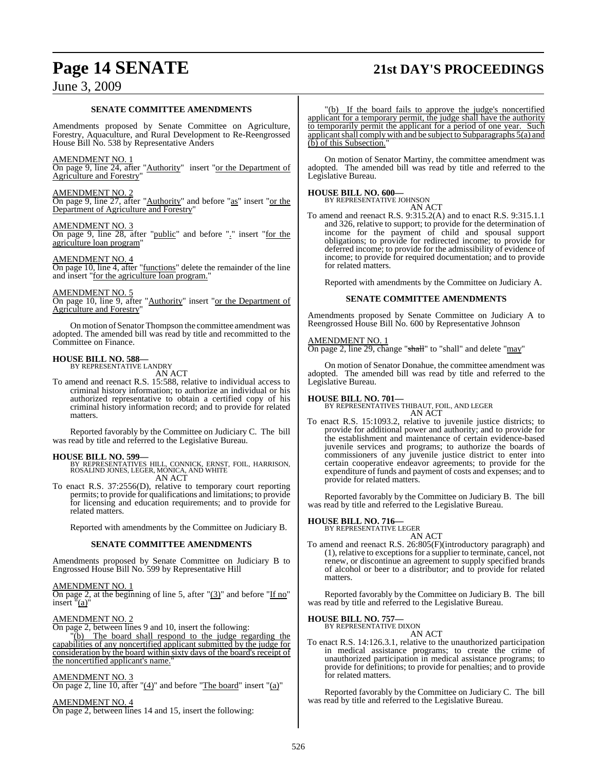## **Page 14 SENATE 21st DAY'S PROCEEDINGS**

### June 3, 2009

#### **SENATE COMMITTEE AMENDMENTS**

Amendments proposed by Senate Committee on Agriculture, Forestry, Aquaculture, and Rural Development to Re-Reengrossed House Bill No. 538 by Representative Anders

#### AMENDMENT NO. 1

On page 9, line 24, after "Authority" insert "or the Department of Agriculture and Forestry"

#### AMENDMENT NO. 2

On page 9, line 27, after "Authority" and before "as" insert "or the Department of Agriculture and Forestry"

#### AMENDMENT NO. 3

On page 9, line 28, after "public" and before "." insert "for the agriculture loan program"

#### AMENDMENT NO. 4

On page 10, line 4, after "functions" delete the remainder of the line and insert "for the agriculture loan program."

#### AMENDMENT NO. 5

On page 10, line 9, after "Authority" insert "or the Department of Agriculture and Forestry"

On motion of Senator Thompson the committee amendment was adopted. The amended bill was read by title and recommitted to the Committee on Finance.

### **HOUSE BILL NO. 588—** BY REPRESENTATIVE LANDRY

AN ACT

To amend and reenact R.S. 15:588, relative to individual access to criminal history information; to authorize an individual or his authorized representative to obtain a certified copy of his criminal history information record; and to provide for related matters.

Reported favorably by the Committee on Judiciary C. The bill was read by title and referred to the Legislative Bureau.

**HOUSE BILL NO. 599—** BY REPRESENTATIVES HILL, CONNICK, ERNST, FOIL, HARRISON, ROSALIND JONES, LEGER, MONICA, AND WHITE AN ACT

To enact R.S. 37:2556(D), relative to temporary court reporting permits; to provide for qualifications and limitations; to provide for licensing and education requirements; and to provide for related matters.

Reported with amendments by the Committee on Judiciary B.

#### **SENATE COMMITTEE AMENDMENTS**

Amendments proposed by Senate Committee on Judiciary B to Engrossed House Bill No. 599 by Representative Hill

#### AMENDMENT NO. 1

On page 2, at the beginning of line 5, after  $\frac{1}{3}$  and before "If no" insert "(a)"

#### AMENDMENT NO. 2

On page 2, between lines 9 and 10, insert the following:<br>"(b) The board shall respond to the judge respond

The board shall respond to the judge regarding the capabilities of any noncertified applicant submitted by the judge for consideration by the board within sixty days of the board's receipt of the noncertified applicant's name."

#### AMENDMENT NO. 3

On page 2, line 10, after " $(4)$ " and before "The board" insert " $(a)$ "

AMENDMENT NO. 4 On page 2, between lines 14 and 15, insert the following:

"(b) If the board fails to approve the judge's noncertified applicant for a temporary permit, the judge shall have the authority to temporarily permit the applicant for a period of one year. Such applicantshall complywith and be subject to Subparagraphs 5(a) and (b) of this Subsection.

On motion of Senator Martiny, the committee amendment was adopted. The amended bill was read by title and referred to the Legislative Bureau.

#### **HOUSE BILL NO. 600—**

BY REPRESENTATIVE JOHNSON AN ACT

To amend and reenact R.S. 9:315.2(A) and to enact R.S. 9:315.1.1 and 326, relative to support; to provide for the determination of income for the payment of child and spousal support obligations; to provide for redirected income; to provide for deferred income; to provide for the admissibility of evidence of income; to provide for required documentation; and to provide for related matters.

Reported with amendments by the Committee on Judiciary A.

#### **SENATE COMMITTEE AMENDMENTS**

Amendments proposed by Senate Committee on Judiciary A to Reengrossed House Bill No. 600 by Representative Johnson

#### AMENDMENT NO. 1

On page 2, line 29, change "shall" to "shall" and delete "may"

On motion of Senator Donahue, the committee amendment was adopted. The amended bill was read by title and referred to the Legislative Bureau.

#### **HOUSE BILL NO. 701—**

BY REPRESENTATIVES THIBAUT, FOIL, AND LEGER AN ACT

To enact R.S. 15:1093.2, relative to juvenile justice districts; to provide for additional power and authority; and to provide for the establishment and maintenance of certain evidence-based juvenile services and programs; to authorize the boards of commissioners of any juvenile justice district to enter into certain cooperative endeavor agreements; to provide for the expenditure of funds and payment of costs and expenses; and to provide for related matters.

Reported favorably by the Committee on Judiciary B. The bill was read by title and referred to the Legislative Bureau.

#### **HOUSE BILL NO. 716—**

BY REPRESENTATIVE LEGER AN ACT

To amend and reenact R.S. 26:805(F)(introductory paragraph) and (1), relative to exceptionsfor a supplier to terminate, cancel, not renew, or discontinue an agreement to supply specified brands of alcohol or beer to a distributor; and to provide for related matters.

Reported favorably by the Committee on Judiciary B. The bill was read by title and referred to the Legislative Bureau.

### **HOUSE BILL NO. 757—** BY REPRESENTATIVE DIXON

AN ACT

To enact R.S. 14:126.3.1, relative to the unauthorized participation in medical assistance programs; to create the crime of unauthorized participation in medical assistance programs; to provide for definitions; to provide for penalties; and to provide for related matters.

Reported favorably by the Committee on Judiciary C. The bill was read by title and referred to the Legislative Bureau.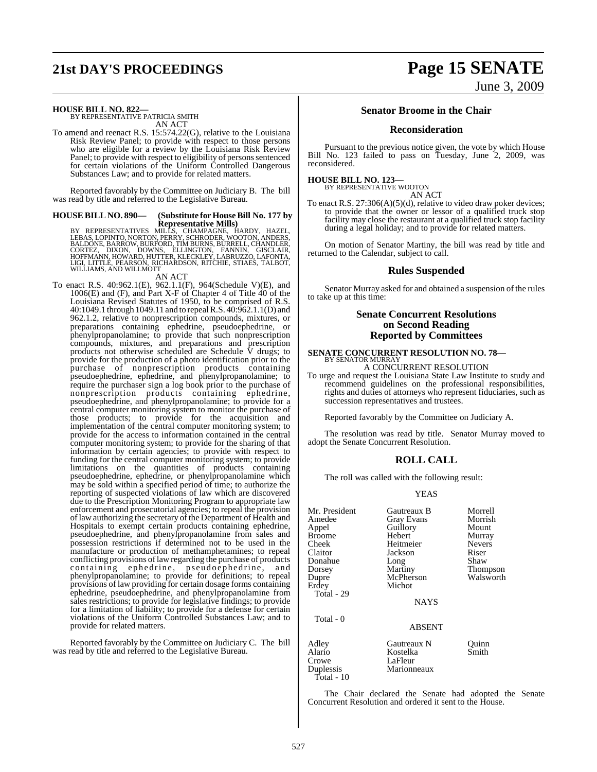# **21st DAY'S PROCEEDINGS Page 15 SENATE**

June 3, 2009

### **HOUSE BILL NO. 822—** BY REPRESENTATIVE PATRICIA SMITH

AN ACT

To amend and reenact R.S. 15:574.22(G), relative to the Louisiana Risk Review Panel; to provide with respect to those persons who are eligible for a review by the Louisiana Risk Review Panel; to provide with respect to eligibility of persons sentenced for certain violations of the Uniform Controlled Dangerous Substances Law; and to provide for related matters.

Reported favorably by the Committee on Judiciary B. The bill was read by title and referred to the Legislative Bureau.

## **HOUSE BILL NO. 890— (Substitute for HouseBill No. 177 by**

Representative Mills)<br>BY REPRESENTATIVES MILLS, CHAMPAGNE, HARDY, HAZEL,<br>LEBAS, LOPINTO, NORTON, PERRY, SCHRODER, WOOTON, ANDERS,<br>BALDONE, BARROW, BURFORD, TIM BURNS, BURRELL, CHANDLER,<br>CORTEZ, `DIXON, `DOWNS, `ELLINGTON,

#### AN ACT

To enact R.S. 40:962.1(E), 962.1.1(F), 964(Schedule V)(E), and 1006(E) and (F), and Part X-F of Chapter 4 of Title 40 of the Louisiana Revised Statutes of 1950, to be comprised of R.S. 40:1049.1 through 1049.11 and to repeal R.S. 40:962.1.1(D) and 962.1.2, relative to nonprescription compounds, mixtures, or preparations containing ephedrine, pseudoephedrine, or phenylpropanolamine; to provide that such nonprescription compounds, mixtures, and preparations and prescription products not otherwise scheduled are Schedule V drugs; to provide for the production of a photo identification prior to the purchase of nonprescription products containing pseudoephedrine, ephedrine, and phenylpropanolamine; to require the purchaser sign a log book prior to the purchase of nonprescription products containing ephedrine, pseudoephedrine, and phenylpropanolamine; to provide for a central computer monitoring system to monitor the purchase of those products; to provide for the acquisition and implementation of the central computer monitoring system; to provide for the access to information contained in the central computer monitoring system; to provide for the sharing of that information by certain agencies; to provide with respect to funding for the central computer monitoring system; to provide limitations on the quantities of products containing pseudoephedrine, ephedrine, or phenylpropanolamine which may be sold within a specified period of time; to authorize the reporting of suspected violations of law which are discovered due to the Prescription Monitoring Program to appropriate law enforcement and prosecutorial agencies; to repeal the provision oflaw authorizing the secretary ofthe Department of Health and Hospitals to exempt certain products containing ephedrine, pseudoephedrine, and phenylpropanolamine from sales and possession restrictions if determined not to be used in the manufacture or production of methamphetamines; to repeal conflicting provisions oflaw regarding the purchase of products containing ephedrine, pseudoephedrine, and phenylpropanolamine; to provide for definitions; to repeal provisions of law providing for certain dosage forms containing ephedrine, pseudoephedrine, and phenylpropanolamine from sales restrictions; to provide for legislative findings; to provide for a limitation of liability; to provide for a defense for certain violations of the Uniform Controlled Substances Law; and to provide for related matters.

Reported favorably by the Committee on Judiciary C. The bill was read by title and referred to the Legislative Bureau.

#### **Senator Broome in the Chair**

#### **Reconsideration**

Pursuant to the previous notice given, the vote by which House Bill No. 123 failed to pass on Tuesday, June 2, 2009, was reconsidered.

### **HOUSE BILL NO. 123—** BY REPRESENTATIVE WOOTON

AN ACT

To enact R.S. 27:306(A)(5)(d), relative to video draw poker devices; to provide that the owner or lessor of a qualified truck stop facility may close the restaurant at a qualified truck stop facility during a legal holiday; and to provide for related matters.

On motion of Senator Martiny, the bill was read by title and returned to the Calendar, subject to call.

#### **Rules Suspended**

Senator Murray asked for and obtained a suspension of the rules to take up at this time:

#### **Senate Concurrent Resolutions on Second Reading Reported by Committees**

**SENATE CONCURRENT RESOLUTION NO. 78—** BY SENATOR MURRAY

A CONCURRENT RESOLUTION

To urge and request the Louisiana State Law Institute to study and recommend guidelines on the professional responsibilities, rights and duties of attorneys who represent fiduciaries, such as succession representatives and trustees.

Reported favorably by the Committee on Judiciary A.

The resolution was read by title. Senator Murray moved to adopt the Senate Concurrent Resolution.

#### **ROLL CALL**

The roll was called with the following result:

#### YEAS

| Mr. President<br>Amedee<br>Appel<br><b>Broome</b><br>Cheek<br>Claitor<br>Donahue<br>Dorsey<br>Dupre<br>Erdey<br>Total - 29 | Gautreaux B<br><b>Gray Evans</b><br>Guillory<br>Hebert<br>Heitmeier<br>Jackson<br>Long<br>Martiny<br>McPherson<br>Michot | Morrell<br>Morrish<br>Mount<br>Murray<br><b>Nevers</b><br>Riser<br>Shaw<br>Thompson<br>Walsworth |
|----------------------------------------------------------------------------------------------------------------------------|--------------------------------------------------------------------------------------------------------------------------|--------------------------------------------------------------------------------------------------|
| Total - 0                                                                                                                  | <b>NAYS</b><br><b>ABSENT</b>                                                                                             |                                                                                                  |
| Adley<br>Alario<br>Crowe<br>Duplessis<br>Total - 10                                                                        | Gautreaux N<br>Kostelka<br>LaFleur<br>Marionneaux                                                                        | Quinn<br>Smith                                                                                   |

The Chair declared the Senate had adopted the Senate Concurrent Resolution and ordered it sent to the House.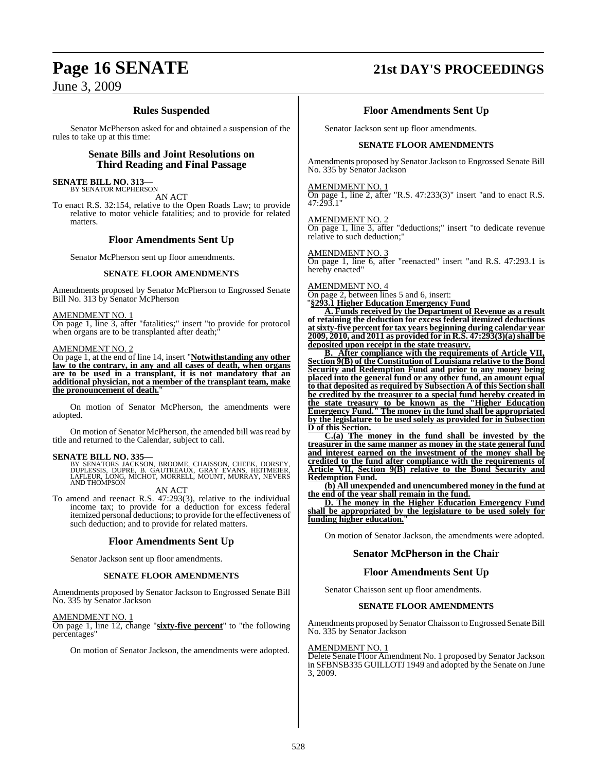### June 3, 2009

### **Rules Suspended**

Senator McPherson asked for and obtained a suspension of the rules to take up at this time:

#### **Senate Bills and Joint Resolutions on Third Reading and Final Passage**

**SENATE BILL NO. 313—** BY SENATOR MCPHERSON

AN ACT

To enact R.S. 32:154, relative to the Open Roads Law; to provide relative to motor vehicle fatalities; and to provide for related matters.

#### **Floor Amendments Sent Up**

Senator McPherson sent up floor amendments.

#### **SENATE FLOOR AMENDMENTS**

Amendments proposed by Senator McPherson to Engrossed Senate Bill No. 313 by Senator McPherson

#### AMENDMENT NO. 1

On page 1, line 3, after "fatalities;" insert "to provide for protocol when organs are to be transplanted after death;

#### AMENDMENT NO. 2

On page 1, at the end of line 14, insert "**Notwithstanding any other law to the contrary, in any and all cases of death, when organs are to be used in a transplant, it is not mandatory that an additional physician, not a member of the transplant team, make the pronouncement of death.**"

On motion of Senator McPherson, the amendments were adopted.

On motion of Senator McPherson, the amended bill was read by title and returned to the Calendar, subject to call.

**SENATE BILL NO. 335—**<br>BY SENATORS JACKSON, BROOME, CHAISSON, CHEEK, DORSEY, DUPLESSIS, DUPRE, B. GAUTREAUX, GRAY EVANS, HEITMEIER,<br>LAFLEUR, LONG, MICHOT, MORRELL, MOUNT, MURRAY, NEVERS<br>AND THOMPSON

AN ACT

To amend and reenact R.S. 47:293(3), relative to the individual income tax; to provide for a deduction for excess federal itemized personal deductions; to provide forthe effectiveness of such deduction; and to provide for related matters.

#### **Floor Amendments Sent Up**

Senator Jackson sent up floor amendments.

#### **SENATE FLOOR AMENDMENTS**

Amendments proposed by Senator Jackson to Engrossed Senate Bill No. 335 by Senator Jackson

AMENDMENT NO. 1

On page 1, line 12, change "**sixty-five percent**" to "the following percentages"

On motion of Senator Jackson, the amendments were adopted.

## **Page 16 SENATE 21st DAY'S PROCEEDINGS**

#### **Floor Amendments Sent Up**

Senator Jackson sent up floor amendments.

#### **SENATE FLOOR AMENDMENTS**

Amendments proposed by Senator Jackson to Engrossed Senate Bill No. 335 by Senator Jackson

#### AMENDMENT NO. 1

On page 1, line 2, after "R.S. 47:233(3)" insert "and to enact R.S. 47:293.1"

AMENDMENT NO. 2 On page 1, line 3, after "deductions;" insert "to dedicate revenue relative to such deduction;

AMENDMENT NO. 3 On page 1, line 6, after "reenacted" insert "and R.S. 47:293.1 is hereby enacted"

#### AMENDMENT NO. 4

On page 2, between lines 5 and 6, insert:

"**§293.1 Higher Education Emergency Fund**

**A. Funds received by the Department of Revenue as a result of retaining the deduction for excess federal itemized deductions atsixty-five percent for tax years beginning during calendar year 2009, 2010, and 2011 as provided for in R.S. 47:293(3)(a)shall be deposited upon receipt in the state treasury.**

**B. After compliance with the requirements of Article VII, Section 9(B) of the Constitution of Louisiana relative to the Bond Security and Redemption Fund and prior to any money being placed into the general fund or any other fund, an amount equal to that deposited as required by Subsection A of this Section shall be credited by the treasurer to a special fund hereby created in the state treasury to be known as the "Higher Education Emergency Fund." The money in the fund shall be appropriated by the legislature to be used solely as provided for in Subsection D of this Section.**

**C.(a) The money in the fund shall be invested by the treasurer in the same manner as money in the state general fund and interest earned on the investment of the money shall be credited to the fund after compliance with the requirements of Article VII, Section 9(B) relative to the Bond Security and Redemption Fund.**

**(b) All unexpended and unencumbered money in the fund at the end of the year shall remain in the fund.**

**D. The money in the Higher Education Emergency Fund shall be appropriated by the legislature to be used solely for funding higher education.**"

On motion of Senator Jackson, the amendments were adopted.

### **Senator McPherson in the Chair**

#### **Floor Amendments Sent Up**

Senator Chaisson sent up floor amendments.

#### **SENATE FLOOR AMENDMENTS**

Amendments proposed bySenatorChaisson to Engrossed Senate Bill No. 335 by Senator Jackson

#### AMENDMENT NO. 1

Delete Senate Floor Amendment No. 1 proposed by Senator Jackson in SFBNSB335 GUILLOTJ 1949 and adopted by the Senate on June 3, 2009.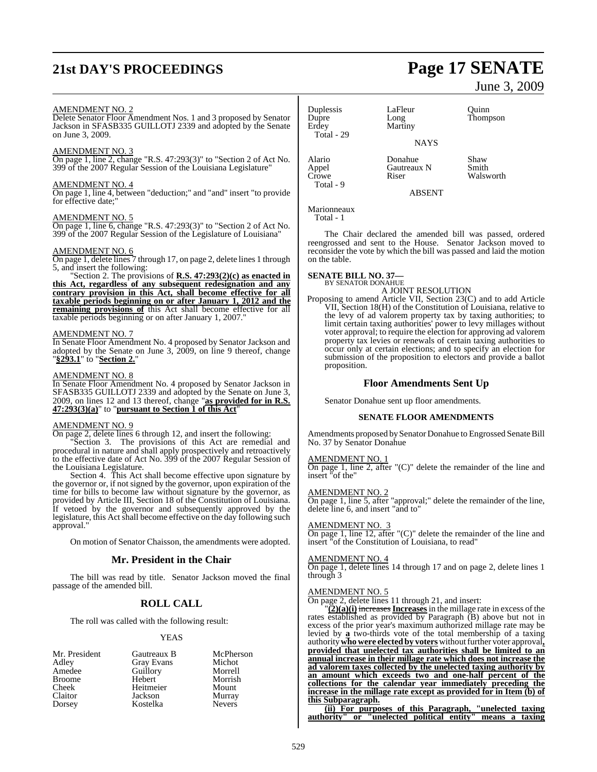## **21st DAY'S PROCEEDINGS Page 17 SENATE**

#### AMENDMENT NO. 2

Delete Senator Floor Amendment Nos. 1 and 3 proposed by Senator Jackson in SFASB335 GUILLOTJ 2339 and adopted by the Senate on June 3, 2009.

#### AMENDMENT NO. 3

On page 1, line 2, change "R.S. 47:293(3)" to "Section 2 of Act No. 399 of the 2007 Regular Session of the Louisiana Legislature"

#### AMENDMENT NO. 4

On page 1, line 4, between "deduction;" and "and" insert "to provide for effective date;"

#### AMENDMENT NO. 5

On page 1, line 6, change "R.S. 47:293(3)" to "Section 2 of Act No. 399 of the 2007 Regular Session of the Legislature of Louisiana"

#### AMENDMENT NO. 6

On page 1, delete lines 7 through 17, on page 2, delete lines 1 through 5, and insert the following:

"Section 2. The provisions of **R.S. 47:293(2)(c) as enacted in this Act, regardless of any subsequent redesignation and any contrary provision in this Act, shall become effective for all taxable periods beginning on or after January 1, 2012 and the remaining provisions of** this Act shall become effective for all taxable periods beginning or on after January 1, 2007."

#### AMENDMENT NO. 7

In Senate Floor Amendment No. 4 proposed by Senator Jackson and adopted by the Senate on June 3, 2009, on line 9 thereof, change "**§293.1**" to "**Section 2.**"

#### AMENDMENT NO. 8

In Senate Floor Amendment No. 4 proposed by Senator Jackson in SFASB335 GUILLOTJ 2339 and adopted by the Senate on June 3, 2009, on lines 12 and 13 thereof, change "**as provided for in R.S. 47:293(3)(a)**" to "**pursuant to Section 1 of this Act**"

#### AMENDMENT NO. 9

On page 2, delete lines 6 through 12, and insert the following:

"Section 3. The provisions of this Act are remedial and procedural in nature and shall apply prospectively and retroactively to the effective date of Act No. 399 of the 2007 Regular Session of the Louisiana Legislature.

Section 4. This Act shall become effective upon signature by the governor or, if not signed by the governor, upon expiration of the time for bills to become law without signature by the governor, as provided by Article III, Section 18 of the Constitution of Louisiana. If vetoed by the governor and subsequently approved by the legislature, this Act shall become effective on the day following such approval."

On motion of Senator Chaisson, the amendments were adopted.

#### **Mr. President in the Chair**

The bill was read by title. Senator Jackson moved the final passage of the amended bill.

### **ROLL CALL**

The roll was called with the following result:

#### YEAS

| Mr. President | Gautreaux B       | McPherson     |
|---------------|-------------------|---------------|
| Adley         | <b>Gray Evans</b> | Michot        |
| Amedee        | Guillory          | Morrell       |
| <b>Broome</b> | Hebert            | Morrish       |
| Cheek         | Heitmeier         | Mount         |
| Claitor       | Jackson           | Murray        |
| Dorsey        | Kostelka          | <b>Nevers</b> |

Duplessis LaFleur Quinn<br>
Dupre Long Thomp Dupre Long Thompson<br>
Erdev Martiny Thompson Total - 29

Martiny

**NAYS** 

Alario Donahue Shaw<br>
Appel Gautreaux N Smith Gautreaux N Crowe Riser Walsworth

ABSENT

Marionneaux Total - 1

Total - 9

The Chair declared the amended bill was passed, ordered reengrossed and sent to the House. Senator Jackson moved to reconsider the vote by which the bill was passed and laid the motion on the table.

### **SENATE BILL NO. 37—** BY SENATOR DONAHUE

A JOINT RESOLUTION

Proposing to amend Article VII, Section 23(C) and to add Article VII, Section 18(H) of the Constitution of Louisiana, relative to the levy of ad valorem property tax by taxing authorities; to limit certain taxing authorities' power to levy millages without voter approval; to require the election for approving ad valorem property tax levies or renewals of certain taxing authorities to occur only at certain elections; and to specify an election for submission of the proposition to electors and provide a ballot proposition.

#### **Floor Amendments Sent Up**

Senator Donahue sent up floor amendments.

#### **SENATE FLOOR AMENDMENTS**

Amendments proposed by Senator Donahue to Engrossed Senate Bill No. 37 by Senator Donahue

### AMENDMENT NO. 1

On page 1, line 2, after "(C)" delete the remainder of the line and insert "of the"

#### AMENDMENT NO. 2

On page 1, line 5, after "approval;" delete the remainder of the line, delete line 6, and insert "and to"

#### AMENDMENT NO. 3

On page 1, line 12, after " $(C)$ " delete the remainder of the line and insert "of the Constitution of Louisiana, to read"

#### AMENDMENT NO. 4

On page 1, delete lines 14 through 17 and on page 2, delete lines 1 through 3

#### AMENDMENT NO. 5

 $\overline{\text{On page 2, delete lines}}$  11 through 21, and insert:

"**(2)(a)(i)** increases**Increases**in the millage rate in excess of the rates established as provided by Paragraph (B) above but not in excess of the prior year's maximum authorized millage rate may be levied by **a** two-thirds vote of the total membership of a taxing authority**who were elected by voters**withoutfurther voter approval**, provided that unelected tax authorities shall be limited to an annual increase in their millage rate which does not increase the ad valorem taxes collected by the unelected taxing authority by an amount which exceeds two and one-half percent of the collections for the calendar year immediately preceding the increase in the millage rate except as provided for in Item (b) of this Subparagraph.**

**(ii) For purposes of this Paragraph, "unelected taxing authority" or "unelected political entity" means a taxing**

June 3, 2009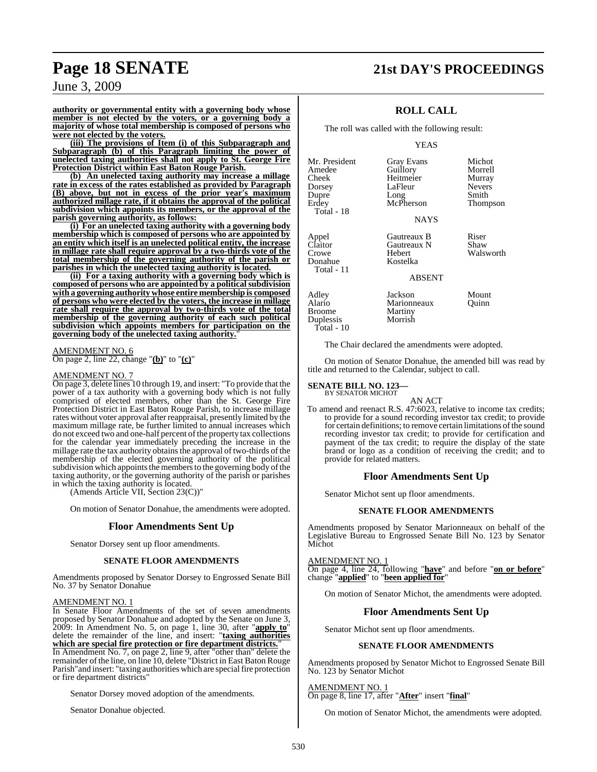### **Page 18 SENATE 21st DAY'S PROCEEDINGS**

### June 3, 2009

**authority or governmental entity with a governing body whose member is not elected by the voters, or a governing body a majority of whose total membership is composed of persons who were not elected by the voters.**

**(iii) The provisions of Item (i) of this Subparagraph and Subparagraph (b) of this Paragraph limiting the power of unelected taxing authorities shall not apply to St. George Fire Protection District within East Baton Rouge Parish.**

**(b) An unelected taxing authority may increase a millage rate in excess of the rates established as provided by Paragraph (B) above, but not in excess of the prior year's maximum authorized millage rate, if it obtains the approval of the political subdivision which appoints its members, or the approval of the parish governing authority, as follows:**

**(i) For an unelected taxing authority with a governing body membership which is composed of persons who are appointed by an entity which itself is an unelected political entity, the increase in millage rate shall require approval by a two-thirds vote of the total membership of the governing authority of the parish or parishes in which the unelected taxing authority is located.**

**(ii) For a taxing authority with a governing body which is composed of persons who are appointed by a politicalsubdivision with a governing authority whose entire membership is composed of persons who were elected by the voters, the increase in millage rate shall require the approval by two-thirds vote of the total membership of the governing authority of each such political subdivision which appoints members for participation on the governing body of the unelected taxing authority.**"

### AMENDMENT NO. 6

On page 2, line 22, change "**(b)**" to "**(c)**"

#### AMENDMENT NO. 7

On page 3, delete lines 10 through 19, and insert: "To provide that the power of a tax authority with a governing body which is not fully comprised of elected members, other than the St. George Fire Protection District in East Baton Rouge Parish, to increase millage rates without voter approval afterreappraisal, presently limited by the maximum millage rate, be further limited to annual increases which do not exceed two and one-half percent ofthe property tax collections for the calendar year immediately preceding the increase in the millage rate the tax authority obtains the approval of two-thirds of the membership of the elected governing authority of the political subdivision which appoints the members to the governing body of the taxing authority, or the governing authority of the parish or parishes in which the taxing authority is located.

(Amends Article VII, Section 23(C))"

On motion of Senator Donahue, the amendments were adopted.

#### **Floor Amendments Sent Up**

Senator Dorsey sent up floor amendments.

#### **SENATE FLOOR AMENDMENTS**

Amendments proposed by Senator Dorsey to Engrossed Senate Bill No. 37 by Senator Donahue

#### AMENDMENT NO. 1

In Senate Floor Amendments of the set of seven amendments proposed by Senator Donahue and adopted by the Senate on June 3, 2009: In Amendment No. 5, on page 1, line 30, after "**apply to**" delete the remainder of the line, and insert: "**taxing authorities which are special fire protection or fire department districts.**" In Amendment No. 7, on page 2, line 9, after "other than" delete the remainder of the line, on line 10, delete "District in East Baton Rouge

Parish" and insert: "taxing authorities which are special fire protection or fire department districts"

Senator Dorsey moved adoption of the amendments.

Senator Donahue objected.

#### **ROLL CALL**

The roll was called with the following result:

YEAS

| Mr. President<br>Amedee<br>Cheek<br>Dorsey<br>Dupre         | <b>Gray Evans</b><br>Guillory<br>Heitmeier<br>LaFleur<br>Long | Michot<br>Morrell<br>Murray<br><b>Nevers</b><br>Smith |
|-------------------------------------------------------------|---------------------------------------------------------------|-------------------------------------------------------|
| Erdey<br>Total - 18                                         | McPherson<br><b>NAYS</b>                                      | Thompson                                              |
| Appel<br>Claitor<br>Crowe<br>Donahue<br>Total - 11          | Gautreaux B<br>Gautreaux N<br>Hebert<br>Kostelka              | Riser<br>Shaw<br>Walsworth                            |
|                                                             | <b>ABSENT</b>                                                 |                                                       |
| Adley<br>Alario<br><b>Broome</b><br>Duplessis<br>Total - 10 | Jackson<br>Marionneaux<br>Martiny<br>Morrish                  | Mount<br>Ouinn                                        |

The Chair declared the amendments were adopted.

On motion of Senator Donahue, the amended bill was read by title and returned to the Calendar, subject to call.

### **SENATE BILL NO. 123—** BY SENATOR MICHOT

AN ACT

To amend and reenact R.S. 47:6023, relative to income tax credits; to provide for a sound recording investor tax credit; to provide for certain definitions; to remove certain limitations of the sound recording investor tax credit; to provide for certification and payment of the tax credit; to require the display of the state brand or logo as a condition of receiving the credit; and to provide for related matters.

#### **Floor Amendments Sent Up**

Senator Michot sent up floor amendments.

#### **SENATE FLOOR AMENDMENTS**

Amendments proposed by Senator Marionneaux on behalf of the Legislative Bureau to Engrossed Senate Bill No. 123 by Senator Michot

AMENDMENT NO. 1

On page 4, line 24, following "**have**" and before "**on or before**" change "**applied**" to "**been applied for**"

On motion of Senator Michot, the amendments were adopted.

#### **Floor Amendments Sent Up**

Senator Michot sent up floor amendments.

#### **SENATE FLOOR AMENDMENTS**

Amendments proposed by Senator Michot to Engrossed Senate Bill No. 123 by Senator Michot

AMENDMENT NO. 1 On page 8, line 17, after "**After**" insert "**final**"

On motion of Senator Michot, the amendments were adopted.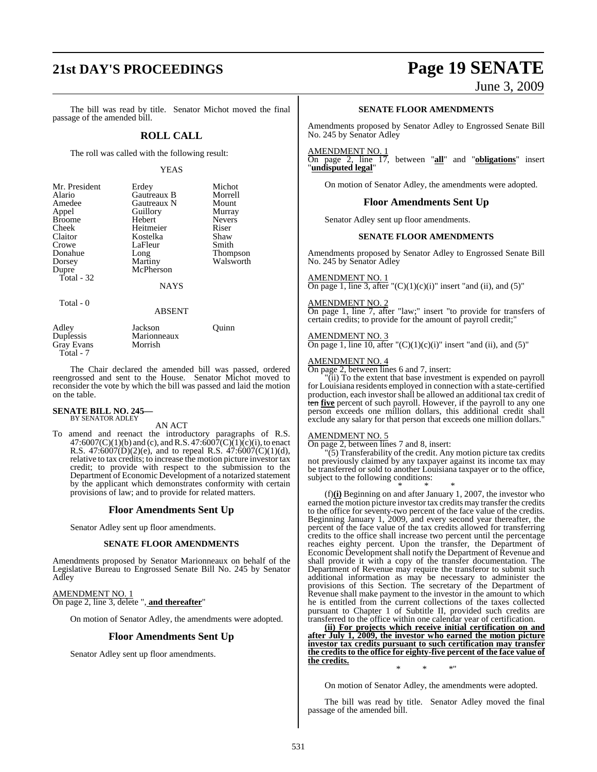## **21st DAY'S PROCEEDINGS Page 19 SENATE**

June 3, 2009

The bill was read by title. Senator Michot moved the final passage of the amended bill.

### **ROLL CALL**

The roll was called with the following result:

#### YEAS

| Mr. President | Erdey       | Michot        |
|---------------|-------------|---------------|
| Alario        | Gautreaux B | Morrell       |
| Amedee        | Gautreaux N | Mount         |
| Appel         | Guillory    | Murray        |
| <b>Broome</b> | Hebert      | <b>Nevers</b> |
| Cheek         | Heitmeier   | Riser         |
| Claitor       | Kostelka    | Shaw          |
| Crowe         | LaFleur     | Smith         |
| Donahue       | Long        | Thompson      |
| Dorsey        | Martiny     | Walsworth     |
| Dupre         | McPherson   |               |
| Total - 32    |             |               |
|               | NAYS        |               |

Total - 0

ABSENT

| Adley      | Jackson     | Ouinn |  |
|------------|-------------|-------|--|
| Duplessis  | Marionneaux |       |  |
| Gray Evans | Morrish     |       |  |
| Total - 7  |             |       |  |

The Chair declared the amended bill was passed, ordered reengrossed and sent to the House. Senator Michot moved to reconsider the vote by which the bill was passed and laid the motion on the table.

#### **SENATE BILL NO. 245—** BY SENATOR ADLEY

### AN ACT

To amend and reenact the introductory paragraphs of R.S.  $47:6007(C)(1)(b)$  and (c), and R.S.  $47:6007(C)(1)(c)(i)$ , to enact R.S. 47:6007(D)(2)(e), and to repeal R.S.  $47:6007(C)(1)(d)$ , relative to tax credits; to increase the motion picture investor tax credit; to provide with respect to the submission to the Department of Economic Development of a notarized statement by the applicant which demonstrates conformity with certain provisions of law; and to provide for related matters.

### **Floor Amendments Sent Up**

Senator Adley sent up floor amendments.

#### **SENATE FLOOR AMENDMENTS**

Amendments proposed by Senator Marionneaux on behalf of the Legislative Bureau to Engrossed Senate Bill No. 245 by Senator Adley

#### AMENDMENT NO. 1 On page 2, line 3, delete ", **and thereafter**"

On motion of Senator Adley, the amendments were adopted.

#### **Floor Amendments Sent Up**

Senator Adley sent up floor amendments.

#### **SENATE FLOOR AMENDMENTS**

Amendments proposed by Senator Adley to Engrossed Senate Bill No. 245 by Senator Adley

#### AMENDMENT NO. 1

On page 2, line 17, between "**all**" and "**obligations**" insert "**undisputed legal**"

On motion of Senator Adley, the amendments were adopted.

#### **Floor Amendments Sent Up**

Senator Adley sent up floor amendments.

#### **SENATE FLOOR AMENDMENTS**

Amendments proposed by Senator Adley to Engrossed Senate Bill No. 245 by Senator Adley

#### AMENDMENT NO. 1

On page 1, line 3, after " $(C)(1)(c)(i)$ " insert "and (ii), and (5)"

#### AMENDMENT NO. 2

On page 1, line 7, after "law;" insert "to provide for transfers of certain credits; to provide for the amount of payroll credit;"

#### AMENDMENT NO. 3

On page 1, line 10, after " $(C)(1)(c)(i)$ " insert "and (ii), and (5)"

#### AMENDMENT NO. 4

On page 2, between lines 6 and 7, insert:

"(ii) To the extent that base investment is expended on payroll for Louisiana residents employed in connection with a state-certified production, each investor shall be allowed an additional tax credit of ten five percent of such payroll. However, if the payroll to any one person exceeds one million dollars, this additional credit shall exclude any salary for that person that exceeds one million dollars."

#### AMENDMENT NO. 5

On page 2, between lines 7 and 8, insert:

 $(5)$  Transferability of the credit. Any motion picture tax credits not previously claimed by any taxpayer against its income tax may be transferred or sold to another Louisiana taxpayer or to the office, subject to the following conditions:

\* \* \* (f)**(i)** Beginning on and after January 1, 2007, the investor who earned the motion picture investor tax credits may transfer the credits to the office for seventy-two percent of the face value of the credits. Beginning January 1, 2009, and every second year thereafter, the percent of the face value of the tax credits allowed for transferring credits to the office shall increase two percent until the percentage reaches eighty percent. Upon the transfer, the Department of Economic Development shall notify the Department of Revenue and shall provide it with a copy of the transfer documentation. The Department of Revenue may require the transferor to submit such additional information as may be necessary to administer the provisions of this Section. The secretary of the Department of Revenue shall make payment to the investor in the amount to which he is entitled from the current collections of the taxes collected pursuant to Chapter 1 of Subtitle II, provided such credits are transferred to the office within one calendar year of certification.

**(ii) For projects which receive initial certification on and after July 1, 2009, the investor who earned the motion picture investor tax credits pursuant to such certification may transfer the credits to the office for eighty-five percent of the face value of the credits.** \* \* \*"

On motion of Senator Adley, the amendments were adopted.

The bill was read by title. Senator Adley moved the final passage of the amended bill.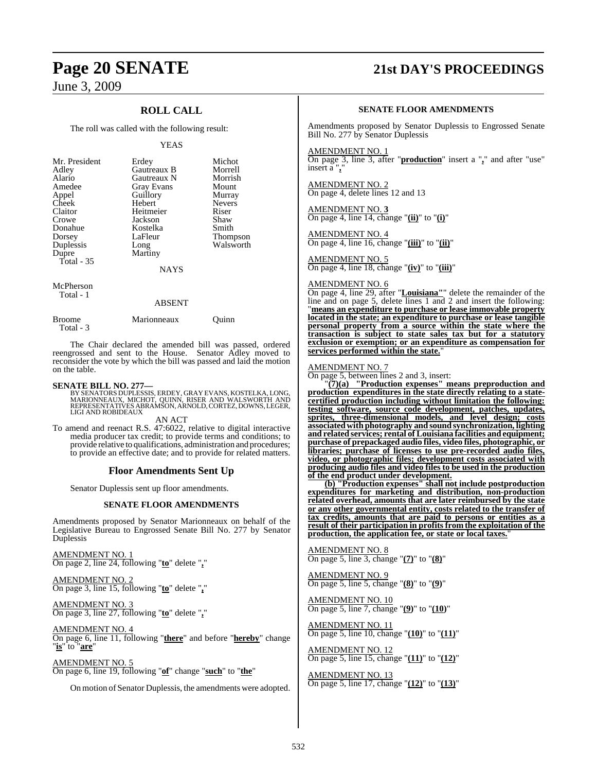June 3, 2009

### **ROLL CALL**

The roll was called with the following result:

#### YEAS

| Mr. President<br>Adley<br>Alario<br>Amedee<br>Appel<br>Cheek<br>Claitor<br>Crowe<br>Donahue<br>Dorsey<br>Duplessis<br>Dupre<br>Total - 35 | Erdey<br>Gautreaux B<br>Gautreaux N<br><b>Gray Evans</b><br>Guillory<br>Hebert<br>Heitmeier<br>Jackson<br>Kostelka<br>LaFleur<br>Long<br>Martiny<br><b>NAYS</b> | Michot<br>Morrell<br>Morrish<br>Mount<br>Murray<br><b>Nevers</b><br>Riser<br>Shaw<br>Smith<br>Thompson<br>Walsworth |
|-------------------------------------------------------------------------------------------------------------------------------------------|-----------------------------------------------------------------------------------------------------------------------------------------------------------------|---------------------------------------------------------------------------------------------------------------------|
|                                                                                                                                           |                                                                                                                                                                 |                                                                                                                     |

McPherson Total - 1

#### ABSENT

| Broome    | Marionneaux | Ouinn |
|-----------|-------------|-------|
| Total - 3 |             |       |

The Chair declared the amended bill was passed, ordered reengrossed and sent to the House. Senator Adley moved to reconsider the vote by which the bill was passed and laid the motion on the table.

**SENATE BILL NO. 277—**<br>BY SENATORS DUPLESSIS, ERDEY, GRAY EVANS, KOSTELKA, LONG, MARIONNEAUX, MICHOT, QUINN, RISER AND WALSWORTH AND<br>REPRESENTATIVES ABRAMSON, ARNOLD, CORTEZ, DOWNS, LEGER,<br>LIGI AND ROBIDEAUX

AN ACT

To amend and reenact R.S. 47:6022, relative to digital interactive media producer tax credit; to provide terms and conditions; to provide relative to qualifications, administration and procedures; to provide an effective date; and to provide for related matters.

#### **Floor Amendments Sent Up**

Senator Duplessis sent up floor amendments.

#### **SENATE FLOOR AMENDMENTS**

Amendments proposed by Senator Marionneaux on behalf of the Legislative Bureau to Engrossed Senate Bill No. 277 by Senator Duplessis

AMENDMENT NO. 1 On page 2, line 24, following "**to**" delete "**,**"

AMENDMENT NO. 2 On page 3, line 15, following "**to**" delete "**,**"

AMENDMENT NO. 3 On page 3, line 27, following "**to**" delete "**,**"

AMENDMENT NO. 4 On page 6, line 11, following "**there**" and before "**hereby**" change "**is**" to "**are**"

AMENDMENT NO. 5 On page 6, line 19, following "**of**" change "**such**" to "**the**"

On motion of Senator Duplessis, the amendments were adopted.

## **Page 20 SENATE 21st DAY'S PROCEEDINGS**

#### **SENATE FLOOR AMENDMENTS**

Amendments proposed by Senator Duplessis to Engrossed Senate Bill No. 277 by Senator Duplessis

#### AMENDMENT NO. 1

On page 3, line 3, after "**production**" insert a "**,**" and after "use" insert a "**,**"

AMENDMENT NO. 2 On page 4, delete lines 12 and 13

AMENDMENT NO. **3** On page 4, line 14, change "**(ii)**" to "**(i)**"

AMENDMENT NO. 4 On page 4, line 16, change "**(iii)**" to "**(ii)**"

#### AMENDMENT NO. 5

On page 4, line 18, change "**(iv)**" to "**(iii)**"

### AMENDMENT NO. 6

On page 4, line 29, after "**Louisiana"**" delete the remainder of the line and on page 5, delete lines 1 and 2 and insert the following: "**means an expenditure to purchase or lease immovable property located in the state; an expenditure to purchase or lease tangible personal property from a source within the state where the transaction is subject to state sales tax but for a statutory exclusion or exemption; or an expenditure as compensation for services performed within the state.**"

#### AMENDMENT NO. 7

On page 5, between lines 2 and 3, insert:

"**(7)(a) "Production expenses" means preproduction and production expenditures in the state directly relating to a statecertified production including without limitation the following: testing software, source code development, patches, updates, sprites, three-dimensional models, and level design; costs associatedwithphotography and sound synchronization, lighting and related services; rental of Louisiana facilities and equipment; purchase of prepackaged audio files, video files, photographic, or libraries; purchase of licenses to use pre-recorded audio files, video, or photographic files; development costs associated with producing audio files and video files to be used in the production of the end product under development.**

**(b) "Production expenses" shall not include postproduction expenditures for marketing and distribution, non-production related overhead, amounts that are later reimbursed by the state or any other governmental entity, costs related to the transfer of tax credits, amounts that are paid to persons or entities as a result of their participation in profits from the exploitation of the production, the application fee, or state or local taxes.**"

AMENDMENT NO. 8 On page 5, line 3, change "**(7)**" to "**(8)**"

AMENDMENT NO. 9 On page 5, line 5, change "**(8)**" to "**(9)**"

AMENDMENT NO. 10 On page 5, line 7, change "**(9)**" to "**(10)**"

AMENDMENT NO. 11 On page 5, line 10, change "**(10)**" to "**(11)**"

AMENDMENT NO. 12 On page 5, line 15, change "**(11)**" to "**(12)**"

AMENDMENT NO. 13 On page 5, line 17, change "**(12)**" to "**(13)**"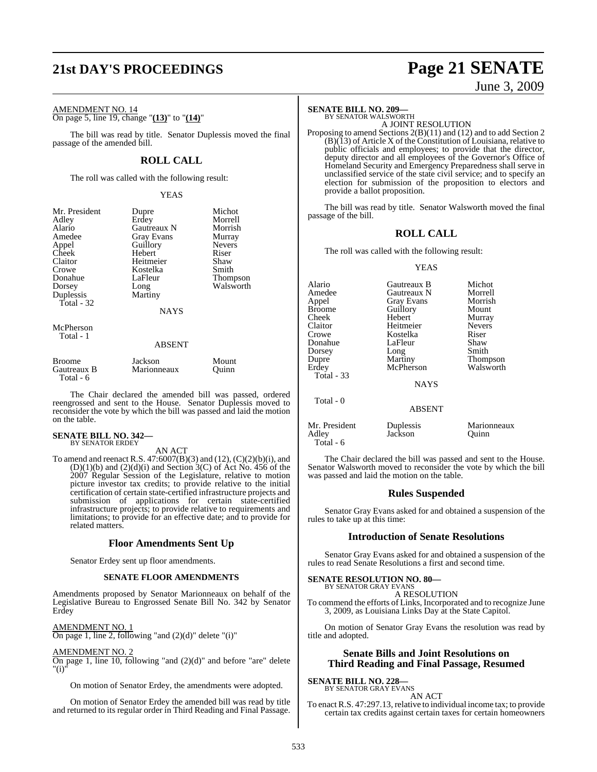## **21st DAY'S PROCEEDINGS Page 21 SENATE**

June 3, 2009

AMENDMENT NO. 14 On page 5, line 19, change "**(13)**" to "**(14)**"

The bill was read by title. Senator Duplessis moved the final passage of the amended bill.

### **ROLL CALL**

The roll was called with the following result:

YEAS

| Mr. President | Dupre                         | Michot          |
|---------------|-------------------------------|-----------------|
| Adley         | Erdey                         | Morrell         |
| Alario        | Gautreaux N                   | Morrish         |
| Amedee        | Gray Evans                    | Murray          |
| Appel         | Guillory                      | <b>Nevers</b>   |
| Cheek         | Hebert                        | Riser           |
| Claitor       | Heitmeier                     | Shaw            |
| Crowe         | Kostelka                      | Smith           |
| Donahue       | LaFleur                       | <b>Thompson</b> |
| Dorsey        | Long                          | Walsworth       |
| Duplessis     | Martiny                       |                 |
| Total - 32    |                               |                 |
|               | <b>NAYS</b>                   |                 |
| McPherson     |                               |                 |
| Total - 1     |                               |                 |
|               | <b>ABSENT</b>                 |                 |
| $\mathbf{D}$  | $\mathbf{r}$ . $\mathbf{1}$ . | $\mathbf{M}$    |

| Broome                   | Jackson     | Mount |
|--------------------------|-------------|-------|
| Gautreaux B<br>Total - 6 | Marionneaux | Ouinn |

The Chair declared the amended bill was passed, ordered reengrossed and sent to the House. Senator Duplessis moved to reconsider the vote by which the bill was passed and laid the motion on the table.

## **SENATE BILL NO. 342—** BY SENATOR ERDEY

AN ACT

To amend and reenact R.S. 47:6007(B)(3) and (12), (C)(2)(b)(i), and  $(D)(1)(b)$  and  $(2)(d)(i)$  and Section 3(C) of Act No. 456 of the 2007 Regular Session of the Legislature, relative to motion picture investor tax credits; to provide relative to the initial certification of certain state-certified infrastructure projects and submission of applications for certain state-certified infrastructure projects; to provide relative to requirements and limitations; to provide for an effective date; and to provide for related matters.

#### **Floor Amendments Sent Up**

Senator Erdey sent up floor amendments.

#### **SENATE FLOOR AMENDMENTS**

Amendments proposed by Senator Marionneaux on behalf of the Legislative Bureau to Engrossed Senate Bill No. 342 by Senator Erdey

#### AMENDMENT NO. 1

On page 1, line 2, following "and  $(2)(d)$ " delete " $(i)$ "

#### AMENDMENT NO. 2

 $\overline{\text{On page 1, line 10, following}}$  "and  $(2)(d)$ " and before "are" delete "(i)"

On motion of Senator Erdey, the amendments were adopted.

On motion of Senator Erdey the amended bill was read by title and returned to its regular order in Third Reading and Final Passage.

### **SENATE BILL NO. 209—** BY SENATOR WALSWORTH

A JOINT RESOLUTION

Proposing to amend Sections 2(B)(11) and (12) and to add Section 2  $(B)(13)$  of Article X of the Constitution of Louisiana, relative to public officials and employees; to provide that the director, deputy director and all employees of the Governor's Office of Homeland Security and Emergency Preparedness shall serve in unclassified service of the state civil service; and to specify an election for submission of the proposition to electors and provide a ballot proposition.

The bill was read by title. Senator Walsworth moved the final passage of the bill.

#### **ROLL CALL**

The roll was called with the following result:

#### YEAS

| Alario<br>Amedee<br>Appel<br><b>Broome</b><br>Cheek<br>Claitor<br>Crowe<br>Donahue<br>Dorsey<br>Dupre | Gautreaux B<br>Gautreaux N<br><b>Gray Evans</b><br>Guillory<br>Hebert<br>Heitmeier<br>Kostelka<br>LaFleur<br>Long<br>Martiny | Michot<br>Morrell<br>Morrish<br>Mount<br>Murray<br><b>Nevers</b><br>Riser<br>Shaw<br>Smith<br>Thompson |
|-------------------------------------------------------------------------------------------------------|------------------------------------------------------------------------------------------------------------------------------|--------------------------------------------------------------------------------------------------------|
| Erdev<br>Total - 33                                                                                   | McPherson<br><b>NAYS</b>                                                                                                     | Walsworth                                                                                              |
| Total - 0                                                                                             | <b>ABSENT</b>                                                                                                                |                                                                                                        |
| Mr. President<br>Adley<br>Total - 6                                                                   | Duplessis<br>Jackson                                                                                                         | Marionneaux<br>Ouinn                                                                                   |

The Chair declared the bill was passed and sent to the House. Senator Walsworth moved to reconsider the vote by which the bill was passed and laid the motion on the table.

#### **Rules Suspended**

Senator Gray Evans asked for and obtained a suspension of the rules to take up at this time:

#### **Introduction of Senate Resolutions**

Senator Gray Evans asked for and obtained a suspension of the rules to read Senate Resolutions a first and second time.

## **SENATE RESOLUTION NO. 80—** BY SENATOR GRAY EVANS

A RESOLUTION

To commend the efforts of Links, Incorporated and to recognize June 3, 2009, as Louisiana Links Day at the State Capitol.

On motion of Senator Gray Evans the resolution was read by title and adopted.

#### **Senate Bills and Joint Resolutions on Third Reading and Final Passage, Resumed**

### **SENATE BILL NO. 228—**

BY SENATOR GRAY EVANS AN ACT

To enact R.S. 47:297.13, relative to individual income tax; to provide certain tax credits against certain taxes for certain homeowners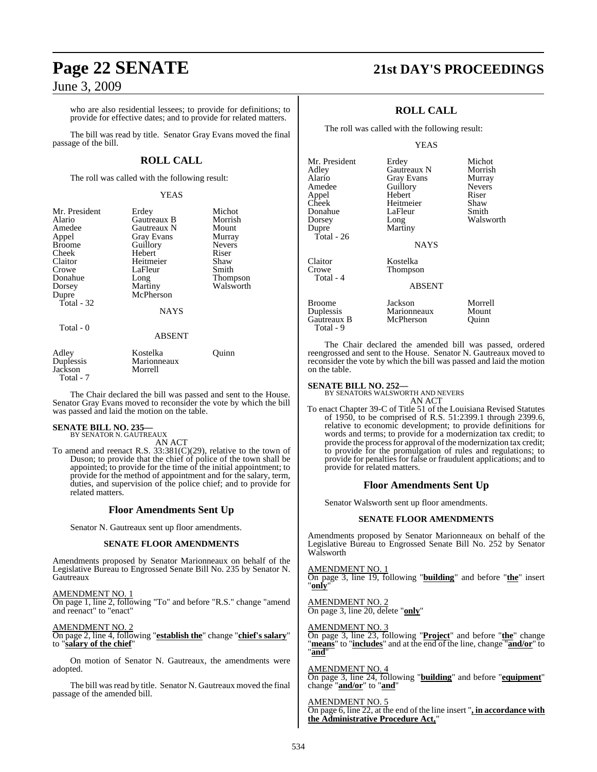### June 3, 2009

who are also residential lessees; to provide for definitions; to provide for effective dates; and to provide for related matters.

The bill was read by title. Senator Gray Evans moved the final passage of the bill.

#### **ROLL CALL**

The roll was called with the following result:

#### YEAS

| Mr. President<br>Alario<br>Amedee<br>Appel<br><b>Broome</b><br>Cheek<br>Claitor<br>Crowe<br>Donahue<br>Dorsey | Erdey<br>Gautreaux B<br>Gautreaux N<br><b>Gray Evans</b><br>Guillory<br>Hebert<br>Heitmeier<br>LaFleur<br>Long<br>Martiny<br>McPherson | Michot<br>Morrish<br>Mount<br>Murray<br><b>Nevers</b><br>Riser<br>Shaw<br>Smith<br>Thompson<br>Walsworth |
|---------------------------------------------------------------------------------------------------------------|----------------------------------------------------------------------------------------------------------------------------------------|----------------------------------------------------------------------------------------------------------|
| Dupre<br>Total - 32<br>Total - 0                                                                              | <b>NAYS</b><br><b>ABSENT</b>                                                                                                           |                                                                                                          |
| Adley                                                                                                         | Kostelka                                                                                                                               | Ouinn                                                                                                    |

Duplessis Marionneaux Jackson Total - 7

The Chair declared the bill was passed and sent to the House. Senator Gray Evans moved to reconsider the vote by which the bill was passed and laid the motion on the table.

# **SENATE BILL NO. 235—** BY SENATOR N. GAUTREAUX AN ACT

To amend and reenact R.S.  $33:381(C)(29)$ , relative to the town of Duson; to provide that the chief of police of the town shall be appointed; to provide for the time of the initial appointment; to provide for the method of appointment and for the salary, term, duties, and supervision of the police chief; and to provide for related matters.

### **Floor Amendments Sent Up**

Senator N. Gautreaux sent up floor amendments.

#### **SENATE FLOOR AMENDMENTS**

Amendments proposed by Senator Marionneaux on behalf of the Legislative Bureau to Engrossed Senate Bill No. 235 by Senator N. **Gautreaux** 

AMENDMENT NO. 1 On page 1, line 2, following "To" and before "R.S." change "amend and reenact" to "enact"

### AMENDMENT NO. 2

On page 2, line 4, following "**establish the**" change "**chief's salary**" to "**salary of the chief**"

On motion of Senator N. Gautreaux, the amendments were adopted.

The bill was read by title. Senator N. Gautreaux moved the final passage of the amended bill.

## **Page 22 SENATE 21st DAY'S PROCEEDINGS**

### **ROLL CALL**

The roll was called with the following result:

Gautreaux N

LaFleur

Martiny

#### YEAS

| Mr. President |
|---------------|
| Adley         |
| Alario        |
| Amedee        |
| Appel         |
| Cheek         |
| Donahue       |
| Dorsey        |
| Dupre         |
| Total - 26    |
|               |
| Claitor       |
| Crowe         |
| Total - 4     |
|               |
|               |
| Broome        |
| Duplossis     |

Gautreaux B Total - 9

Erdey Michot<br>Gautreaux N Morrish Gray Evans Murray<br>
Guillorv Nevers Guillory Never<br>
Hebert Riser Hebert Riser<br>
Heitmeier Shaw Heitmeier Shaw<br>LaFleur Smith Long Walsworth

#### NAYS

Kostelka **Thompson** 

Jackson Marionneaux<br>McPherson

## ABSENT

| Morrell |  |
|---------|--|
| Mount   |  |
| Quinn   |  |

The Chair declared the amended bill was passed, ordered reengrossed and sent to the House. Senator N. Gautreaux moved to reconsider the vote by which the bill was passed and laid the motion on the table.

#### **SENATE BILL NO. 252—**

BY SENATORS WALSWORTH AND NEVERS AN ACT

To enact Chapter 39-C of Title 51 of the Louisiana Revised Statutes of 1950, to be comprised of R.S. 51:2399.1 through 2399.6, relative to economic development; to provide definitions for words and terms; to provide for a modernization tax credit; to provide the process for approval of the modernization tax credit; to provide for the promulgation of rules and regulations; to provide for penalties for false or fraudulent applications; and to provide for related matters.

#### **Floor Amendments Sent Up**

Senator Walsworth sent up floor amendments.

#### **SENATE FLOOR AMENDMENTS**

Amendments proposed by Senator Marionneaux on behalf of the Legislative Bureau to Engrossed Senate Bill No. 252 by Senator Walsworth

AMENDMENT NO. 1 On page 3, line 19, following "**building**" and before "**the**" insert "**only**"

AMENDMENT NO. 2 On page 3, line 20, delete "**only**"

AMENDMENT NO. 3

On page 3, line 23, following "**Project**" and before "**the**" change "**means**" to "**includes**" and at the end of the line, change "**and/or**" to "**and**"

AMENDMENT NO. 4 On page 3, line 24, following "**building**" and before "**equipment**" change "**and/or**" to "**and**"

#### AMENDMENT NO. 5

On page 6, line 22, at the end of the line insert "**, in accordance with the Administrative Procedure Act,**"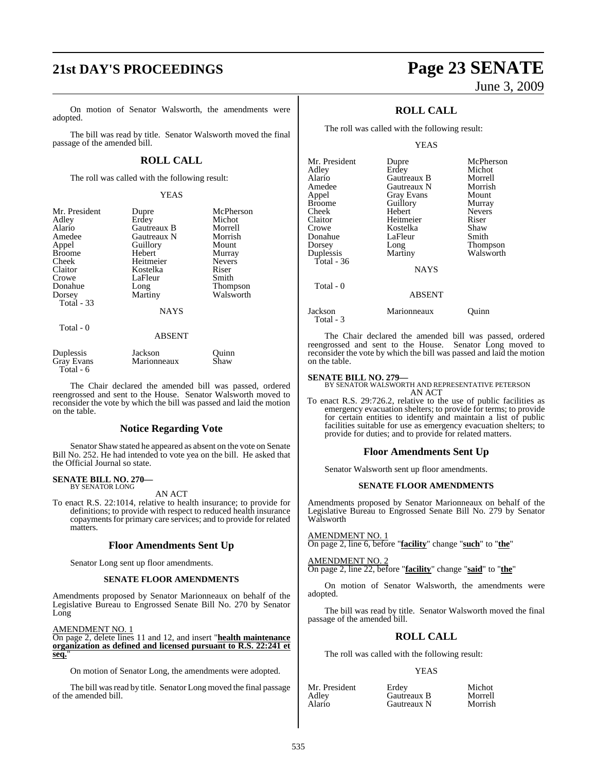## **21st DAY'S PROCEEDINGS Page 23 SENATE**

On motion of Senator Walsworth, the amendments were adopted.

The bill was read by title. Senator Walsworth moved the final passage of the amended bill.

#### **ROLL CALL**

The roll was called with the following result:

#### YEAS

| Mr. President<br>Adley<br>Alario<br>Amedee<br>Appel<br><b>Broome</b><br>Cheek<br>Claitor<br>Crowe<br>Donahue<br>Dorsey<br><b>Total - 33</b> | Dupre<br>Erdey<br>Gautreaux B<br>Gautreaux N<br>Guillory<br>Hebert<br>Heitmeier<br>Kostelka<br>LaFleur<br>Long<br>Martiny<br><b>NAYS</b> | McPherson<br>Michot<br>Morrell<br>Morrish<br>Mount<br>Murray<br><b>Nevers</b><br>Riser<br>Smith<br><b>Thompson</b><br>Walsworth |
|---------------------------------------------------------------------------------------------------------------------------------------------|------------------------------------------------------------------------------------------------------------------------------------------|---------------------------------------------------------------------------------------------------------------------------------|
| Total - 0                                                                                                                                   | <b>ABSENT</b>                                                                                                                            |                                                                                                                                 |

| Duplessis  | Jackson     | Ouinn |
|------------|-------------|-------|
| Gray Evans | Marionneaux | Shaw  |
| Total - 6  |             |       |

The Chair declared the amended bill was passed, ordered reengrossed and sent to the House. Senator Walsworth moved to reconsider the vote by which the bill was passed and laid the motion on the table.

#### **Notice Regarding Vote**

Senator Shaw stated he appeared as absent on the vote on Senate Bill No. 252. He had intended to vote yea on the bill. He asked that the Official Journal so state.

## **SENATE BILL NO. 270—** BY SENATOR LONG

AN ACT

To enact R.S. 22:1014, relative to health insurance; to provide for definitions; to provide with respect to reduced health insurance copayments for primary care services; and to provide for related matters.

#### **Floor Amendments Sent Up**

Senator Long sent up floor amendments.

#### **SENATE FLOOR AMENDMENTS**

Amendments proposed by Senator Marionneaux on behalf of the Legislative Bureau to Engrossed Senate Bill No. 270 by Senator Long

AMENDMENT NO. 1

On page 2, delete lines 11 and 12, and insert "**health maintenance organization as defined and licensed pursuant to R.S. 22:241 et seq.**"

On motion of Senator Long, the amendments were adopted.

The bill was read by title. Senator Long moved the final passage of the amended bill.

# June 3, 2009

### **ROLL CALL**

The roll was called with the following result:

YEAS

| Mr. President | Dupre             | McPherson<br>Michot |
|---------------|-------------------|---------------------|
| Adlev         | Erdey             |                     |
| Alario        | Gautreaux B       | Morrell             |
| Amedee        | Gautreaux N       | Morrish             |
| Appel         | <b>Gray Evans</b> | Mount               |
| <b>Broome</b> | Guillory          | Murray              |
| Cheek         | Hebert            | <b>Nevers</b>       |
| Claitor       | Heitmeier         | Riser               |
| Crowe         | Kostelka          | Shaw                |
| Donahue       | LaFleur           | Smith               |
| Dorsey        | Long              | Thompson            |
| Duplessis     | Martiny           | Walsworth           |
| Total - 36    |                   |                     |
|               | <b>NAYS</b>       |                     |
| Total - 0     |                   |                     |
|               | <b>ABSENT</b>     |                     |
| Jackson       | Marionneaux       | Ouinn               |
|               |                   |                     |

The Chair declared the amended bill was passed, ordered reengrossed and sent to the House. Senator Long moved to reconsider the vote by which the bill was passed and laid the motion on the table.

Total - 3

**SENATE BILL NO. 279—** BY SENATOR WALSWORTH AND REPRESENTATIVE PETERSON AN ACT

To enact R.S. 29:726.2, relative to the use of public facilities as emergency evacuation shelters; to provide for terms; to provide for certain entities to identify and maintain a list of public facilities suitable for use as emergency evacuation shelters; to provide for duties; and to provide for related matters.

#### **Floor Amendments Sent Up**

Senator Walsworth sent up floor amendments.

#### **SENATE FLOOR AMENDMENTS**

Amendments proposed by Senator Marionneaux on behalf of the Legislative Bureau to Engrossed Senate Bill No. 279 by Senator Walsworth

AMENDMENT NO. 1

On page 2, line 6, before "**facility**" change "**such**" to "**the**"

AMENDMENT NO. 2 On page 2, line 22, before "**facility**" change "**said**" to "**the**"

On motion of Senator Walsworth, the amendments were adopted.

The bill was read by title. Senator Walsworth moved the final passage of the amended bill.

#### **ROLL CALL**

The roll was called with the following result:

#### YEAS

| Mr. President | Erdev       | Michot  |
|---------------|-------------|---------|
| Adley         | Gautreaux B | Morrell |
| Alario        | Gautreaux N | Morrish |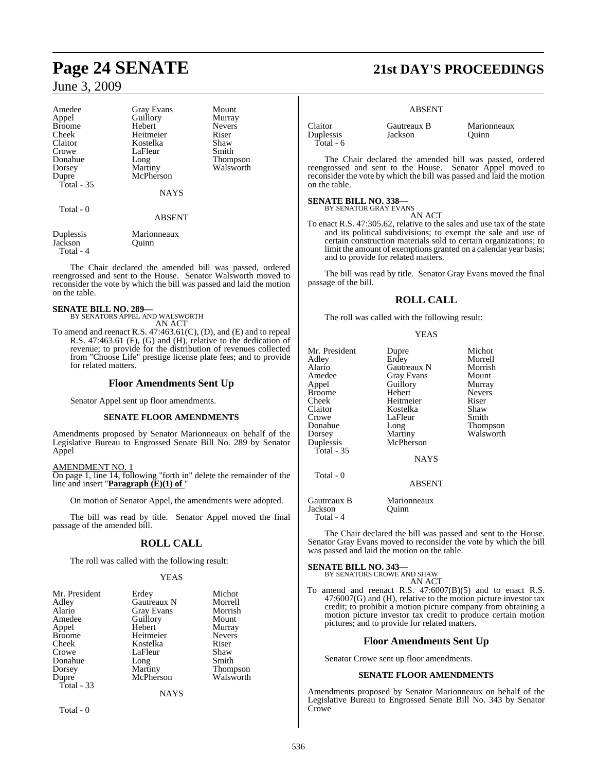### June 3, 2009

| Amedee               | <b>Gray Evans</b>    | Mount           |
|----------------------|----------------------|-----------------|
| Appel                | Guillory             | Murray          |
| <b>Broome</b>        | Hebert               | <b>Nevers</b>   |
| Cheek                | Heitmeier            | Riser           |
| Claitor              | Kostelka             | Shaw            |
| Crowe                | LaFleur              | Smith           |
| Donahue              | Long                 | <b>Thompson</b> |
| Dorsey               | Martiny              | Walsworth       |
| Dupre                | McPherson            |                 |
| Total $-35$          |                      |                 |
|                      | <b>NAYS</b>          |                 |
| Total - 0            |                      |                 |
|                      | <b>ABSENT</b>        |                 |
| Duplessis<br>Jackson | Marionneaux<br>Ouinn |                 |

The Chair declared the amended bill was passed, ordered reengrossed and sent to the House. Senator Walsworth moved to reconsider the vote by which the bill was passed and laid the motion on the table.

#### **SENATE BILL NO. 289—**

Total - 4

BY SENATORS APPEL AND WALSWORTH AN ACT

To amend and reenact R.S. 47:463.61(C), (D), and (E) and to repeal R.S. 47:463.61 (F), (G) and (H), relative to the dedication of revenue; to provide for the distribution of revenues collected from "Choose Life" prestige license plate fees; and to provide for related matters.

### **Floor Amendments Sent Up**

Senator Appel sent up floor amendments.

#### **SENATE FLOOR AMENDMENTS**

Amendments proposed by Senator Marionneaux on behalf of the Legislative Bureau to Engrossed Senate Bill No. 289 by Senator Appel

#### AMENDMENT NO. 1

On page 1, line 14, following "forth in" delete the remainder of the line and insert "**Paragraph (E)(1) of** "

On motion of Senator Appel, the amendments were adopted.

The bill was read by title. Senator Appel moved the final passage of the amended bill.

### **ROLL CALL**

The roll was called with the following result:

#### YEAS

| Mr. President | Erdey             | Michot          |
|---------------|-------------------|-----------------|
| Adley         | Gautreaux N       | Morrell         |
| Alario        | <b>Gray Evans</b> | Morrish         |
| Amedee        | Guillory          | Mount           |
| Appel         | Hebert            | Murray          |
| <b>Broome</b> | Heitmeier         | <b>Nevers</b>   |
| Cheek         | Kostelka          | Riser           |
| Crowe         | LaFleur           | Shaw            |
| Donahue       | Long              | Smith           |
| Dorsey        | Martiny           | <b>Thompson</b> |
| Dupre         | McPherson         | Walsworth       |
| Total - 33    |                   |                 |
|               | NAYS              |                 |

Total - 0

## **Page 24 SENATE 21st DAY'S PROCEEDINGS**

#### ABSENT

**Lackson** 

| Claitor   |  |
|-----------|--|
| Duplessis |  |
| Total - 6 |  |

Claitor Gautreaux B Marionneaux<br>
Duplessis Jackson Ouinn

The Chair declared the amended bill was passed, ordered reengrossed and sent to the House. Senator Appel moved to reconsider the vote by which the bill was passed and laid the motion on the table.

### **SENATE BILL NO. 338—** BY SENATOR GRAY EVANS

AN ACT

To enact R.S. 47:305.62, relative to the sales and use tax of the state and its political subdivisions; to exempt the sale and use of certain construction materials sold to certain organizations; to limit the amount of exemptions granted on a calendar year basis; and to provide for related matters.

The bill was read by title. Senator Gray Evans moved the final passage of the bill.

#### **ROLL CALL**

The roll was called with the following result:

#### YEAS

| Mr. President<br>Adley<br>Alario<br>Amedee<br>Appel<br><b>Broome</b><br>Cheek<br>Claitor<br>Crowe<br>Donahue | Dupre<br>Erdey<br>Gautreaux N<br>Gray Evans<br>Guillory<br>Hebert<br>Heitmeier<br>Kostelka<br>LaFleur<br>Long | Michot<br>Morrell<br>Morrish<br>Mount<br>Murray<br><b>Nevers</b><br>Riser<br>Shaw<br>Smith<br>Thompson |
|--------------------------------------------------------------------------------------------------------------|---------------------------------------------------------------------------------------------------------------|--------------------------------------------------------------------------------------------------------|
| Dorsey<br>Duplessis                                                                                          | Martiny<br>McPherson                                                                                          | Walsworth                                                                                              |
| Total - $35$                                                                                                 | <b>NAYS</b>                                                                                                   |                                                                                                        |
| Total - 0                                                                                                    | <b>ABSENT</b>                                                                                                 |                                                                                                        |

Gautreaux B Marionneaux<br>Jackson Ouinn Jackson Total - 4

The Chair declared the bill was passed and sent to the House. Senator Gray Evans moved to reconsider the vote by which the bill was passed and laid the motion on the table.

## **SENATE BILL NO. 343—** BY SENATORS CROWE AND SHAW

AN ACT

To amend and reenact R.S. 47:6007(B)(5) and to enact R.S. 47:6007(G) and (H), relative to the motion picture investor tax credit; to prohibit a motion picture company from obtaining a motion picture investor tax credit to produce certain motion pictures; and to provide for related matters.

#### **Floor Amendments Sent Up**

Senator Crowe sent up floor amendments.

#### **SENATE FLOOR AMENDMENTS**

Amendments proposed by Senator Marionneaux on behalf of the Legislative Bureau to Engrossed Senate Bill No. 343 by Senator Crowe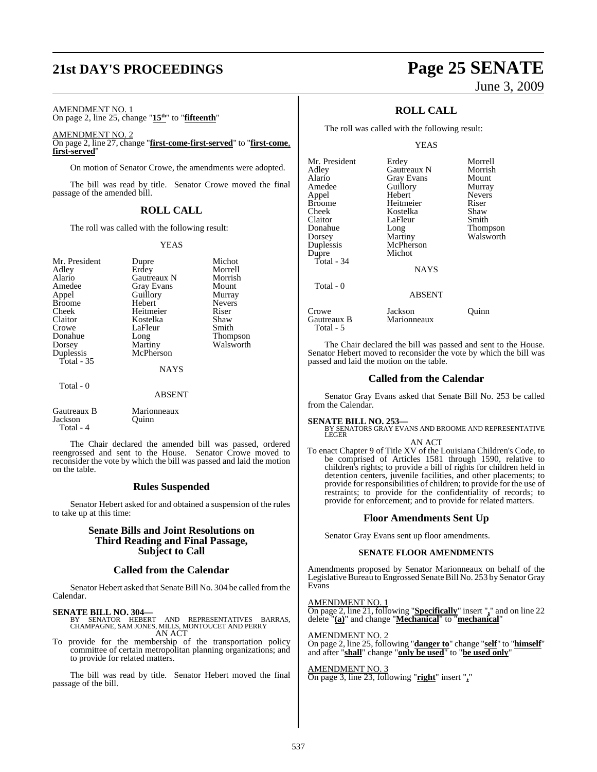## **21st DAY'S PROCEEDINGS Page 25 SENATE**

### AMENDMENT NO. 1

On page 2, line 25, change "**15th**" to "**fifteenth**"

#### AMENDMENT NO. 2 On page 2, line 27, change "**first-come-first-served**" to "**first-come**, **first-served**"

On motion of Senator Crowe, the amendments were adopted.

The bill was read by title. Senator Crowe moved the final passage of the amended bill.

#### **ROLL CALL**

The roll was called with the following result:

#### YEAS

| Mr. President<br>Adley<br>Alario<br>Amedee<br>Appel<br><b>Broome</b><br>Cheek<br>Claitor<br>Crowe<br>Donahue<br>Dorsey<br>Duplessis<br>Total $-35$ | Dupre<br>Erdey<br>Gautreaux N<br><b>Gray Evans</b><br>Guillory<br>Hebert<br>Heitmeier<br>Kostelka<br>LaFleur<br>Long<br>Martiny<br>McPherson<br><b>NAYS</b> | Michot<br>Morrell<br>Morrish<br>Mount<br>Murray<br><b>Nevers</b><br>Riser<br>Shaw<br>Smith<br>Thompson<br>Walsworth |
|----------------------------------------------------------------------------------------------------------------------------------------------------|-------------------------------------------------------------------------------------------------------------------------------------------------------------|---------------------------------------------------------------------------------------------------------------------|
| Total - 0                                                                                                                                          | <b>ABSENT</b>                                                                                                                                               |                                                                                                                     |
| Gautreaux B                                                                                                                                        | Marionneaux                                                                                                                                                 |                                                                                                                     |

Jackson Quinn Total - 4

The Chair declared the amended bill was passed, ordered reengrossed and sent to the House. Senator Crowe moved to reconsider the vote by which the bill was passed and laid the motion on the table.

#### **Rules Suspended**

Senator Hebert asked for and obtained a suspension of the rules to take up at this time:

#### **Senate Bills and Joint Resolutions on Third Reading and Final Passage, Subject to Call**

#### **Called from the Calendar**

Senator Hebert asked that Senate Bill No. 304 be called fromthe Calendar.

#### **SENATE BILL NO. 304—**

BY SENATOR HEBERT AND REPRESENTATIVES BARRAS, CHAMPAGNE, SAM JONES, MILLS, MONTOUCET AND PERRY AN ACT

To provide for the membership of the transportation policy committee of certain metropolitan planning organizations; and to provide for related matters.

The bill was read by title. Senator Hebert moved the final passage of the bill.

# June 3, 2009

### **ROLL CALL**

The roll was called with the following result:

#### YEAS

| Mr. President | Erdey         | Morrell       |
|---------------|---------------|---------------|
| Adley         | Gautreaux N   | Morrish       |
| Alario        | Gray Evans    | Mount         |
| Amedee        | Guillory      | Murray        |
| Appel         | Hebert        | <b>Nevers</b> |
| <b>Broome</b> | Heitmeier     | Riser         |
| Cheek         | Kostelka      | Shaw          |
| Claitor       | LaFleur       | Smith         |
| Donahue       | Long          | Thompson      |
| Dorsey        | Martiny       | Walsworth     |
| Duplessis     | McPherson     |               |
| Dupre         | Michot        |               |
| Total - 34    |               |               |
|               | <b>NAYS</b>   |               |
| Total - 0     |               |               |
|               | <b>ABSENT</b> |               |
| Crowe         | Jackson       | Ouınn         |
| Gautreaux B   | Marionneaux   |               |

The Chair declared the bill was passed and sent to the House. Senator Hebert moved to reconsider the vote by which the bill was passed and laid the motion on the table.

#### **Called from the Calendar**

Senator Gray Evans asked that Senate Bill No. 253 be called from the Calendar.

Total - 5

**SENATE BILL NO. 253—** BY SENATORS GRAY EVANS AND BROOME AND REPRESENTATIVE LEGER AN ACT

To enact Chapter 9 of Title XV of the Louisiana Children's Code, to be comprised of Articles 1581 through 1590, relative to children's rights; to provide a bill of rights for children held in detention centers, juvenile facilities, and other placements; to provide for responsibilities of children; to provide for the use of restraints; to provide for the confidentiality of records; to provide for enforcement; and to provide for related matters.

#### **Floor Amendments Sent Up**

Senator Gray Evans sent up floor amendments.

#### **SENATE FLOOR AMENDMENTS**

Amendments proposed by Senator Marionneaux on behalf of the Legislative Bureau to Engrossed Senate Bill No. 253 by Senator Gray Evans

#### AMENDMENT NO. 1

On page 2, line 21, following "**Specifically**" insert "**,**" and on line 22 delete "**(a)**" and change "**Mechanical**" to "**mechanical**"

AMENDMENT NO. 2 On page 2, line 25, following "**danger to**" change "**self**" to "**himself**" and after "**shall**" change "**only be used**" to "**be used only**"

AMENDMENT NO. 3 On page 3, line 23, following "**right**" insert "**,**"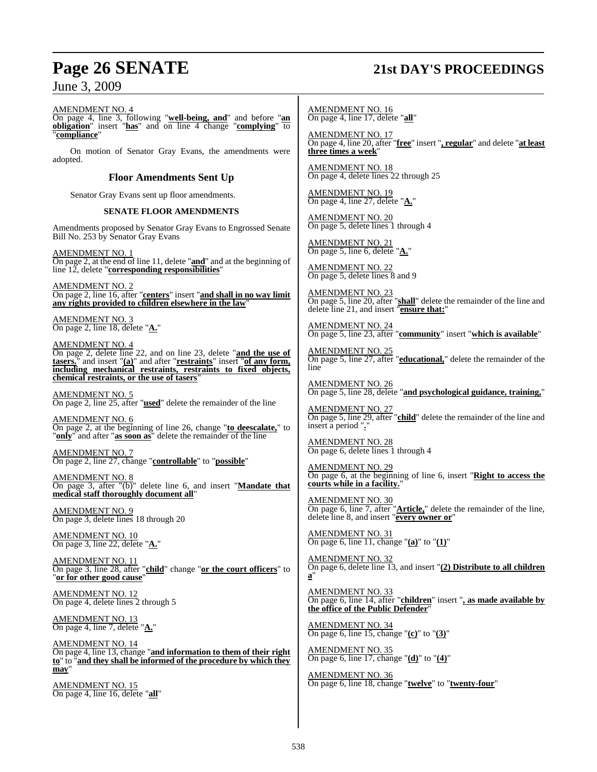### **Page 26 SENATE 21st DAY'S PROCEEDINGS**

### June 3, 2009

AMENDMENT NO. 4

On page 4, line 3, following "**well-being, and**" and before "**an obligation**" insert "**has**" and on line 4 change "**complying**" to "**compliance**"

On motion of Senator Gray Evans, the amendments were adopted.

#### **Floor Amendments Sent Up**

Senator Gray Evans sent up floor amendments.

#### **SENATE FLOOR AMENDMENTS**

Amendments proposed by Senator Gray Evans to Engrossed Senate Bill No. 253 by Senator Gray Evans

AMENDMENT NO. 1 On page 2, at the end of line 11, delete "**and**" and at the beginning of line 12, delete "**corresponding responsibilities**"

AMENDMENT NO. 2 On page 2, line 16, after "**centers**" insert "**and shall in no way limit any rights provided to children elsewhere in the law**"

AMENDMENT NO. 3 On page 2, line 18, delete "**A.**"

AMENDMENT NO. 4 On page 2, delete line 22, and on line 23, delete "**and the use of tasers.**" and insert "**(a)**" and after "**restraints**" insert "**of any form, including mechanical restraints, restraints to fixed objects, chemical restraints, or the use of tasers**"

AMENDMENT NO. 5 On page 2, line 25, after "**used**" delete the remainder of the line

AMENDMENT NO. 6 On page 2, at the beginning of line 26, change "**to deescalate,**" to "**only**" and after "**as soon as**" delete the remainder of the line

AMENDMENT NO. 7 On page 2, line 27, change "**controllable**" to "**possible**"

AMENDMENT NO. 8 On page 3, after "(b)" delete line 6, and insert "**Mandate that medical staff thoroughly document all**"

AMENDMENT NO. 9 On page 3, delete lines 18 through 20

AMENDMENT NO. 10 On page 3, line 22, delete "**A.**"

AMENDMENT NO. 11 On page 3, line 28, after "**child**" change "**or the court officers**" to "**or for other good cause**"

AMENDMENT NO. 12 On page 4, delete lines 2 through 5

AMENDMENT NO. 13 On page 4, line 7, delete "**A.**"

AMENDMENT NO. 14 On page 4, line 13, change "**and information to them of their right to**" to "**and they shall be informed of the procedure by which they may**"

AMENDMENT NO. 15 On page 4, line 16, delete "**all**" AMENDMENT NO. 16 On page 4, line 17, delete "**all**"

AMENDMENT NO. 17 On page 4, line 20, after "**free**" insert "**, regular**" and delete "**at least three times a week**"

AMENDMENT NO. 18 On page 4, delete lines 22 through 25

AMENDMENT NO. 19 On page 4, line 27, delete "**A.**"

AMENDMENT NO. 20 On page 5, delete lines 1 through 4

AMENDMENT NO. 21 On page 5, line 6, delete "**A.**"

AMENDMENT NO. 22 On page 5, delete lines 8 and 9

AMENDMENT NO. 23 On page 5, line 20, after "**shall**" delete the remainder of the line and delete line 21, and insert "**ensure that:**"

AMENDMENT NO. 24 On page 5, line 23, after "**community**" insert "**which is available**"

AMENDMENT NO. 25 On page 5, line 27, after "**educational,**" delete the remainder of the line

AMENDMENT NO. 26 On page 5, line 28, delete "**and psychological guidance, training,**"

AMENDMENT NO. 27 On page 5, line 29, after "**child**" delete the remainder of the line and insert a period "**.**"

AMENDMENT NO. 28 On page 6, delete lines 1 through 4

AMENDMENT NO. 29 On page 6, at the beginning of line 6, insert "**Right to access the courts while in a facility.**"

AMENDMENT NO. 30 On page 6, line 7, after "**Article,**" delete the remainder of the line, delete line 8, and insert "**every owner or**"

AMENDMENT NO. 31 On page 6, line 11, change "**(a)**" to "**(1)**"

AMENDMENT NO. 32 On page 6, delete line 13, and insert "**(2) Distribute to all children a**"

AMENDMENT NO. 33 On page 6, line 14, after "**children**" insert "**, as made available by the office of the Public Defender**"

AMENDMENT NO. 34 On page 6, line 15, change "**(c)**" to "**(3)**"

AMENDMENT NO. 35 On page 6, line 17, change "**(d)**" to "**(4)**"

AMENDMENT NO. 36 On page 6, line 18, change "**twelve**" to "**twenty-four**"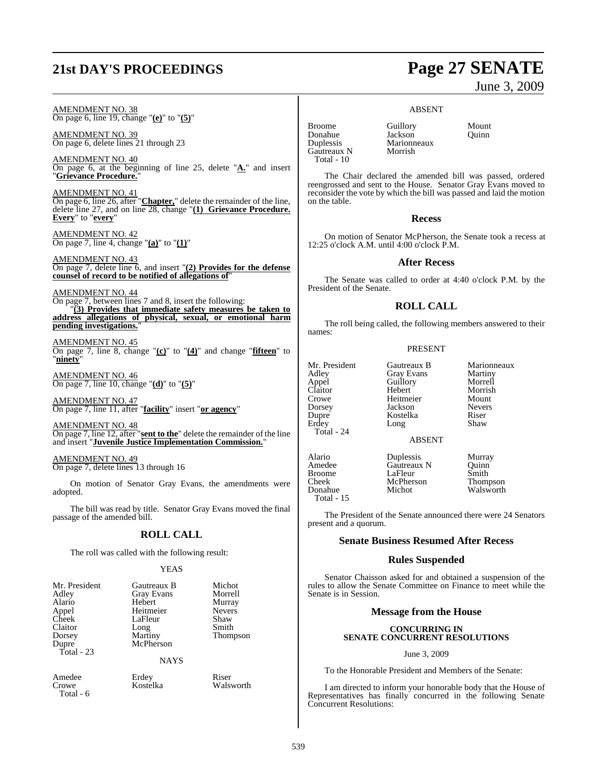## **21st DAY'S PROCEEDINGS Page 27 SENATE**

# June 3, 2009

### ABSENT

AMENDMENT NO. 38 On page 6, line 19, change "**(e)**" to "**(5)**"

AMENDMENT NO. 39 On page 6, delete lines 21 through 23

AMENDMENT NO. 40  $\overline{On}$  page 6, at the beginning of line 25, delete  $"_{\underline{A}'}$  and insert "**Grievance Procedure.**"

AMENDMENT NO. 41 On page 6, line 26, after "**Chapter,**" delete the remainder of the line, delete line 27, and on line 28, change "**(1) Grievance Procedure. Every**" to "**every**"

AMENDMENT NO. 42 On page 7, line 4, change "**(a)**" to "**(1)**"

AMENDMENT NO. 43 On page 7, delete line 6, and insert "**(2) Provides for the defense counsel of record to be notified of allegations of**"

AMENDMENT NO. 44

On page 7, between lines 7 and 8, insert the following: "**(3) Provides that immediate safety measures be taken to address allegations of physical, sexual, or emotional harm pending investigations.**"

AMENDMENT NO. 45 On page 7, line 8, change "**(c)**" to "**(4)**" and change "**fifteen**" to "**ninety**"

AMENDMENT NO. 46 On page 7, line 10, change "**(d)**" to "**(5)**"

AMENDMENT NO. 47 On page 7, line 11, after "**facility**" insert "**or agency**"

AMENDMENT NO. 48 On page 7, line 12, after "**sent to the**" delete the remainder of the line and insert "**Juvenile Justice Implementation Commission.**"

AMENDMENT NO. 49 On page 7, delete lines 13 through 16

On motion of Senator Gray Evans, the amendments were adopted.

The bill was read by title. Senator Gray Evans moved the final passage of the amended bill.

#### **ROLL CALL**

The roll was called with the following result:

#### YEAS

| Mr. President | Gautreaux B       | Michot          |
|---------------|-------------------|-----------------|
| Adley         | <b>Gray Evans</b> | Morrell         |
| Alario        | Hebert            | Murray          |
| Appel         | Heitmeier         | <b>Nevers</b>   |
| Cheek         | LaFleur           | Shaw            |
| Claitor       | Long              | Smith           |
| Dorsey        | Martiny           | <b>Thompson</b> |
| Dupre         | McPherson         |                 |
| Total - 23    |                   |                 |
|               |                   |                 |

NAYS

Amedee Erdey Riser<br>Crowe Kostelka Wals Total - 6

Walsworth

Broome Guillory Mount<br>
Donahue Jackson Ouinn Donahue Jackson<br>Duplessis Marionn Gautreaux N Morrish Total - 10

**Marionneaux** 

The Chair declared the amended bill was passed, ordered reengrossed and sent to the House. Senator Gray Evans moved to reconsider the vote by which the bill was passed and laid the motion on the table.

#### **Recess**

On motion of Senator McPherson, the Senate took a recess at 12:25 o'clock A.M. until 4:00 o'clock P.M.

#### **After Recess**

The Senate was called to order at 4:40 o'clock P.M. by the President of the Senate.

#### **ROLL CALL**

The roll being called, the following members answered to their names:

#### PRESENT

| Mr. President | Gautreaux B       | Marionneaux   |
|---------------|-------------------|---------------|
| Adley         | <b>Gray Evans</b> | Martiny       |
| Appel         | Guillory          | Morrell       |
| Claitor       | Hebert            | Morrish       |
| Crowe         | Heitmeier         | Mount         |
| Dorsey        | Jackson           | <b>Nevers</b> |
| Dupre         | Kostelka          | Riser         |
| Erdey         | Long              | Shaw          |
| Total - 24    |                   |               |
|               | <b>ABSENT</b>     |               |
| Alario        | Duplessis         | Murray        |
| Amedee        | Gautreaux N       | Ouinn         |
| <b>Broome</b> | LaFleur           | Smith         |
| Cheek         | McPherson         | Thompson      |
| Donahue       | Michot            | Walsworth     |

Total - 15

Thompson

The President of the Senate announced there were 24 Senators present and a quorum.

#### **Senate Business Resumed After Recess**

#### **Rules Suspended**

Senator Chaisson asked for and obtained a suspension of the rules to allow the Senate Committee on Finance to meet while the Senate is in Session.

#### **Message from the House**

#### **CONCURRING IN SENATE CONCURRENT RESOLUTIONS**

#### June 3, 2009

To the Honorable President and Members of the Senate:

I am directed to inform your honorable body that the House of Representatives has finally concurred in the following Senate Concurrent Resolutions: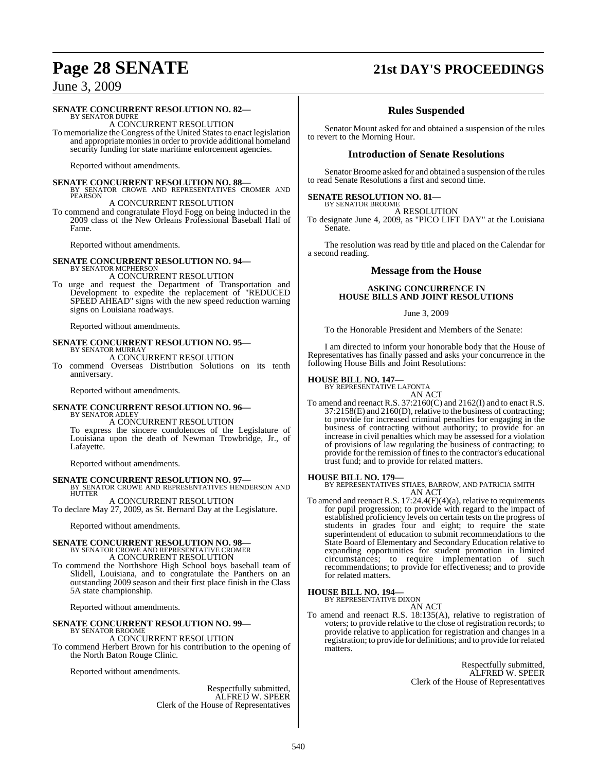## **Page 28 SENATE 21st DAY'S PROCEEDINGS**

### June 3, 2009

#### **SENATE CONCURRENT RESOLUTION NO. 82—**

BY SENATOR DUPRE A CONCURRENT RESOLUTION

To memorialize the Congress of the United States to enact legislation and appropriate moniesin order to provide additional homeland security funding for state maritime enforcement agencies.

Reported without amendments.

**SENATE CONCURRENT RESOLUTION NO. 88—<br>
BY SENATOR CROWE AND REPRESENTATIVES CROMER AND<br>
PEARSON** 

A CONCURRENT RESOLUTION To commend and congratulate Floyd Fogg on being inducted in the 2009 class of the New Orleans Professional Baseball Hall of Fame.

Reported without amendments.

**SENATE CONCURRENT RESOLUTION NO. 94—** BY SENATOR MCPHERSON A CONCURRENT RESOLUTION

To urge and request the Department of Transportation and Development to expedite the replacement of "REDUCED SPEED AHEAD" signs with the new speed reduction warning signs on Louisiana roadways.

Reported without amendments.

#### **SENATE CONCURRENT RESOLUTION NO. 95—** BY SENATOR MURRAY A CONCURRENT RESOLUTION

To commend Overseas Distribution Solutions on its tenth anniversary.

Reported without amendments.

#### **SENATE CONCURRENT RESOLUTION NO. 96—** BY SENATOR ADLEY

A CONCURRENT RESOLUTION To express the sincere condolences of the Legislature of Louisiana upon the death of Newman Trowbridge, Jr., of Lafayette.

Reported without amendments.

**SENATE CONCURRENT RESOLUTION NO. 97—** BY SENATOR CROWE AND REPRESENTATIVES HENDERSON AND **HUTTER** 

A CONCURRENT RESOLUTION To declare May 27, 2009, as St. Bernard Day at the Legislature.

Reported without amendments.

## **SENATE CONCURRENT RESOLUTION NO. 98—**<br>BY SENATOR CROWE AND REPRESENTATIVE CROMER<br>A CONCURRENT RESOLUTION

To commend the Northshore High School boys baseball team of Slidell, Louisiana, and to congratulate the Panthers on an outstanding 2009 season and their first place finish in the Class 5A state championship.

Reported without amendments.

#### **SENATE CONCURRENT RESOLUTION NO. 99—** BY SENATOR BROOME

A CONCURRENT RESOLUTION To commend Herbert Brown for his contribution to the opening of the North Baton Rouge Clinic.

Reported without amendments.

Respectfully submitted, ALFRED W. SPEER Clerk of the House of Representatives

### **Rules Suspended**

Senator Mount asked for and obtained a suspension of the rules to revert to the Morning Hour.

#### **Introduction of Senate Resolutions**

Senator Broome asked for and obtained a suspension of the rules to read Senate Resolutions a first and second time.

## **SENATE RESOLUTION NO. 81—** BY SENATOR BROOME

A RESOLUTION

To designate June 4, 2009, as "PICO LIFT DAY" at the Louisiana Senate.

The resolution was read by title and placed on the Calendar for a second reading.

#### **Message from the House**

#### **ASKING CONCURRENCE IN HOUSE BILLS AND JOINT RESOLUTIONS**

#### June 3, 2009

To the Honorable President and Members of the Senate:

I am directed to inform your honorable body that the House of Representatives has finally passed and asks your concurrence in the following House Bills and Joint Resolutions:

### **HOUSE BILL NO. 147—** BY REPRESENTATIVE LAFONTA

AN ACT

To amend and reenact R.S. 37:2160(C) and 2162(I) and to enact R.S. 37:2158(E) and 2160(D), relative to the business of contracting; to provide for increased criminal penalties for engaging in the business of contracting without authority; to provide for an increase in civil penalties which may be assessed for a violation of provisions of law regulating the business of contracting; to provide for the remission of fines to the contractor's educational trust fund; and to provide for related matters.

**HOUSE BILL NO. 179—** BY REPRESENTATIVES STIAES, BARROW, AND PATRICIA SMITH AN ACT

To amend and reenact R.S. 17:24.4(F)(4)(a), relative to requirements for pupil progression; to provide with regard to the impact of established proficiency levels on certain tests on the progress of students in grades four and eight; to require the state superintendent of education to submit recommendations to the State Board of Elementary and Secondary Education relative to expanding opportunities for student promotion in limited circumstances; to require implementation of such recommendations; to provide for effectiveness; and to provide for related matters.

## **HOUSE BILL NO. 194—** BY REPRESENTATIVE DIXON

AN ACT

To amend and reenact R.S. 18:135(A), relative to registration of voters; to provide relative to the close of registration records; to provide relative to application for registration and changes in a registration; to provide for definitions; and to provide forrelated matters.

> Respectfully submitted, ALFRED W. SPEER Clerk of the House of Representatives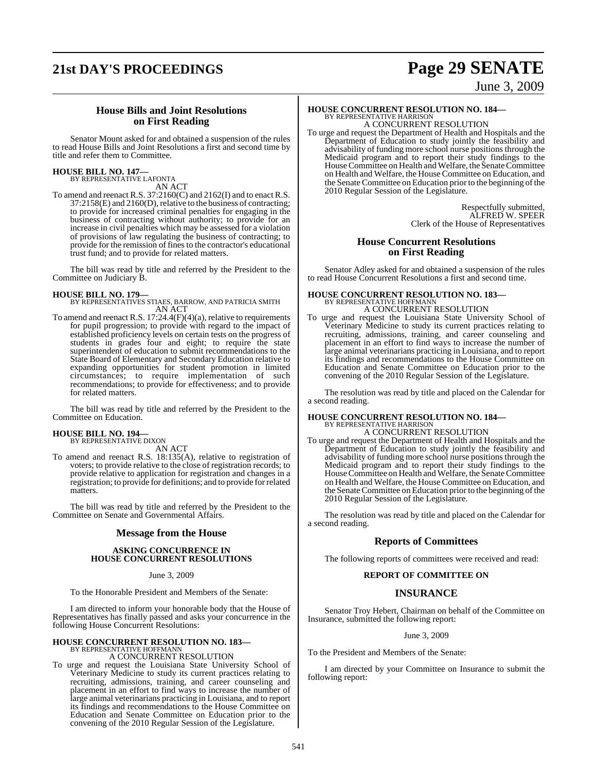## **21st DAY'S PROCEEDINGS Page 29 SENATE**

### June 3, 2009

#### **House Bills and Joint Resolutions on First Reading**

Senator Mount asked for and obtained a suspension of the rules to read House Bills and Joint Resolutions a first and second time by title and refer them to Committee.

#### **HOUSE BILL NO. 147—** BY REPRESENTATIVE LAFONTA

AN ACT

To amend and reenact R.S. 37:2160(C) and 2162(I) and to enact R.S. 37:2158(E) and 2160(D), relative to the business of contracting; to provide for increased criminal penalties for engaging in the business of contracting without authority; to provide for an increase in civil penalties which may be assessed for a violation of provisions of law regulating the business of contracting; to provide for the remission of fines to the contractor's educational trust fund; and to provide for related matters.

The bill was read by title and referred by the President to the Committee on Judiciary B.

**HOUSE BILL NO. 179—** BY REPRESENTATIVES STIAES, BARROW, AND PATRICIA SMITH AN ACT

To amend and reenact R.S. 17:24.4(F)(4)(a), relative to requirements for pupil progression; to provide with regard to the impact of established proficiency levels on certain tests on the progress of students in grades four and eight; to require the state superintendent of education to submit recommendations to the State Board of Elementary and Secondary Education relative to expanding opportunities for student promotion in limited circumstances; to require implementation of such recommendations; to provide for effectiveness; and to provide for related matters.

The bill was read by title and referred by the President to the Committee on Education.

## **HOUSE BILL NO. 194—** BY REPRESENTATIVE DIXON

AN ACT

To amend and reenact R.S. 18:135(A), relative to registration of voters; to provide relative to the close of registration records; to provide relative to application for registration and changes in a registration; to provide for definitions; and to provide for related matters.

The bill was read by title and referred by the President to the Committee on Senate and Governmental Affairs.

#### **Message from the House**

#### **ASKING CONCURRENCE IN HOUSE CONCURRENT RESOLUTIONS**

#### June 3, 2009

To the Honorable President and Members of the Senate:

I am directed to inform your honorable body that the House of Representatives has finally passed and asks your concurrence in the following House Concurrent Resolutions:

## **HOUSE CONCURRENT RESOLUTION NO. 183—** BY REPRESENTATIVE HOFFMANN

#### A CONCURRENT RESOLUTION

To urge and request the Louisiana State University School of Veterinary Medicine to study its current practices relating to recruiting, admissions, training, and career counseling and placement in an effort to find ways to increase the number of large animal veterinarians practicing in Louisiana, and to report its findings and recommendations to the House Committee on Education and Senate Committee on Education prior to the convening of the 2010 Regular Session of the Legislature.

### **HOUSE CONCURRENT RESOLUTION NO. 184—** BY REPRESENTATIVE HARRISON

A CONCURRENT RESOLUTION

To urge and request the Department of Health and Hospitals and the Department of Education to study jointly the feasibility and advisability of funding more school nurse positions through the Medicaid program and to report their study findings to the House Committee on Health and Welfare, the Senate Committee on Health and Welfare, the House Committee on Education, and the Senate Committee on Education prior to the beginning of the 2010 Regular Session of the Legislature.

> Respectfully submitted, ALFRED W. SPEER Clerk of the House of Representatives

#### **House Concurrent Resolutions on First Reading**

Senator Adley asked for and obtained a suspension of the rules to read House Concurrent Resolutions a first and second time.

### **HOUSE CONCURRENT RESOLUTION NO. 183—** BY REPRESENTATIVE HOFFMANN A CONCURRENT RESOLUTION

To urge and request the Louisiana State University School of Veterinary Medicine to study its current practices relating to recruiting, admissions, training, and career counseling and placement in an effort to find ways to increase the number of large animal veterinarians practicing in Louisiana, and to report its findings and recommendations to the House Committee on Education and Senate Committee on Education prior to the convening of the 2010 Regular Session of the Legislature.

The resolution was read by title and placed on the Calendar for a second reading.

## **HOUSE CONCURRENT RESOLUTION NO. 184—** BY REPRESENTATIVE HARRISON

A CONCURRENT RESOLUTION

To urge and request the Department of Health and Hospitals and the Department of Education to study jointly the feasibility and advisability of funding more school nurse positions through the Medicaid program and to report their study findings to the House Committee on Health and Welfare, the Senate Committee on Health and Welfare, the House Committee on Education, and the Senate Committee on Education prior to the beginning of the 2010 Regular Session of the Legislature.

The resolution was read by title and placed on the Calendar for a second reading.

#### **Reports of Committees**

The following reports of committees were received and read:

#### **REPORT OF COMMITTEE ON**

#### **INSURANCE**

Senator Troy Hebert, Chairman on behalf of the Committee on Insurance, submitted the following report:

June 3, 2009

To the President and Members of the Senate:

I am directed by your Committee on Insurance to submit the following report: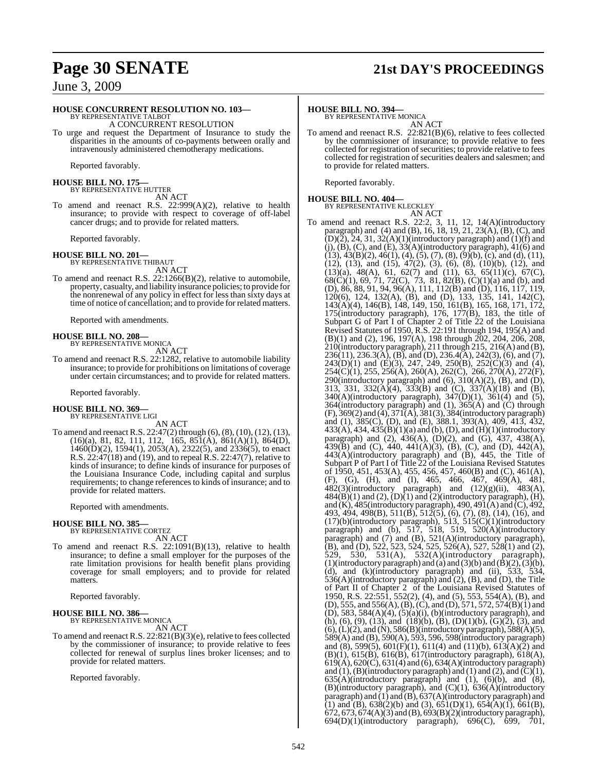## **Page 30 SENATE 21st DAY'S PROCEEDINGS**

### June 3, 2009

### **HOUSE CONCURRENT RESOLUTION NO. 103—**

BY REPRESENTATIVE TALBOT A CONCURRENT RESOLUTION

To urge and request the Department of Insurance to study the disparities in the amounts of co-payments between orally and intravenously administered chemotherapy medications.

Reported favorably.

**HOUSE BILL NO. 175—** BY REPRESENTATIVE HUTTER

AN ACT

To amend and reenact R.S. 22:999(A)(2), relative to health insurance; to provide with respect to coverage of off-label cancer drugs; and to provide for related matters.

Reported favorably.

**HOUSE BILL NO. 201—** BY REPRESENTATIVE THIBAUT

AN ACT

To amend and reenact R.S. 22:1266(B)(2), relative to automobile, property, casualty, and liability insurance policies; to provide for the nonrenewal of any policy in effect for less than sixty days at time of notice of cancellation; and to provide for related matters.

Reported with amendments.

#### **HOUSE BILL NO. 208—** BY REPRESENTATIVE MONICA

AN ACT

To amend and reenact R.S. 22:1282, relative to automobile liability insurance; to provide for prohibitions on limitations of coverage under certain circumstances; and to provide for related matters.

Reported favorably.

#### **HOUSE BILL NO. 369—** BY REPRESENTATIVE LIGI

AN ACT

To amend and reenact R.S. 22:47(2) through (6), (8), (10), (12), (13), (16)(a), 81, 82, 111, 112, 165, 851(A), 861(A)(1), 864(D), 1460(D)(2), 1594(1), 2053(A), 2322(5), and 2336(5), to enact R.S. 22:47(18) and (19), and to repeal R.S. 22:47(7), relative to kinds of insurance; to define kinds of insurance for purposes of the Louisiana Insurance Code, including capital and surplus requirements; to change references to kinds of insurance; and to provide for related matters.

Reported with amendments.

#### **HOUSE BILL NO. 385—** BY REPRESENTATIVE CORTEZ

AN ACT

To amend and reenact R.S. 22:1091(B)(13), relative to health insurance; to define a small employer for the purposes of the rate limitation provisions for health benefit plans providing coverage for small employers; and to provide for related matters.

Reported favorably.

### **HOUSE BILL NO. 386—** BY REPRESENTATIVE MONICA

AN ACT

To amend and reenact R.S. 22:821(B)(3)(e), relative to fees collected by the commissioner of insurance; to provide relative to fees collected for renewal of surplus lines broker licenses; and to provide for related matters.

Reported favorably.

#### **HOUSE BILL NO. 394—**

BY REPRESENTATIVE MONICA AN ACT

To amend and reenact R.S. 22:821(B)(6), relative to fees collected by the commissioner of insurance; to provide relative to fees  $c$ ollected for registration of securities; to provide relative to fees collected for registration of securities dealers and salesmen; and to provide for related matters.

Reported favorably.

#### **HOUSE BILL NO. 404—**

BY REPRESENTATIVE KLECKLEY

AN ACT To amend and reenact R.S. 22:2, 3, 11, 12, 14(A)(introductory paragraph) and (4) and (B), 16, 18, 19, 21, 23(A), (B), (C), and  $(D)(2)$ , 24, 31, 32(A)(1)(introductory paragraph) and (1)(f) and  $(i)$ ,  $(B)$ ,  $(C)$ , and  $(E)$ ,  $33(A)$ (introductory paragraph),  $41(6)$  and  $(13)$ ,  $43(B)(2)$ ,  $46(1)$ ,  $(4)$ ,  $(5)$ ,  $(7)$ ,  $(8)$ ,  $(9)(b)$ ,  $(c)$ , and  $(d)$ ,  $(11)$ ,  $(12)$ ,  $(13)$ , and  $(15)$ ,  $47(2)$ ,  $(3)$ ,  $(6)$ ,  $(8)$ ,  $(10)(b)$ ,  $(12)$ , and  $(13)(a)$ ,  $48(A)$ ,  $61$ ,  $62(7)$  and  $(11)$ ,  $63$ ,  $65(11)(c)$ ,  $67(C)$ ,  $68(C)(1)$ , 69, 71, 72(C), 73, 81, 82(B), (C)(1)(a) and (b), and (D), 86, 88, 91, 94, 96(A), 111, 112(B) and (D), 116, 117, 119, 120(6), 124, 132(A), (B), and (D), 133, 135, 141, 142(C), 143(A)(4), 146(B), 148, 149, 150, 161(B), 165, 168, 171, 172, 175(introductory paragraph),  $176$ ,  $177(B)$ , 183, the title of Subpart G of Part I of Chapter 2 of Title 22 of the Louisiana Revised Statutes of 1950, R.S. 22:191 through 194, 195(A) and (B)(1) and (2), 196, 197(A), 198 through 202, 204, 206, 208, 210(introductory paragraph), 211 through 215, 216(A) and (B), 236(11), 236.3(A), (B), and (D), 236.4(A), 242(3), (6), and (7), 243(D)(1) and (E)(3), 247, 249, 250(B), 252(C)(3) and (4), 254(C)(1), 255, 256(A), 260(A), 262(C), 266, 270(A), 272(F), 290(introductory paragraph) and  $(6)$ ,  $310(A)(2)$ ,  $(B)$ , and  $(D)$ , 313, 331, 332(A)(4), 333(B) and (C), 337(A)(18) and (B), 340(A)(introductory paragraph), 347(D)(1), 361(4) and (5), 364(introductory paragraph) and (1), 365(A) and (C) through (F), 369(2) and (4), 371(A), 381(3), 384(introductory paragraph) and (1), 385(C), (D), and (E), 388.1, 393(A), 409, 413, 432, 433(A), 434, 435(B)(1)(a) and (b), (D), and (H)(1)(introductory paragraph) and  $(2)$ ,  $436(A)$ ,  $(D)(2)$ , and  $(G)$ ,  $437$ ,  $438(A)$ , 439(B) and (C), 440, 441(A)(3), (B), (C), and (D), 442(A), 443(A)(introductory paragraph) and (B), 445, the Title of Subpart P of Part I of Title 22 of the Louisiana Revised Statutes of 1950, 451, 453(A), 455, 456, 457, 460(B) and (C), 461(A), (F), (G), (H), and (I), 465, 466, 467, 469(A), 481, 482(3)(introductory paragraph) and (12)(g)(ii), 483(A),  $484(B)(1)$  and  $(2), (D)(1)$  and  $(2)$ (introductory paragraph), (H), and (K),  $485$ (introductory paragraph),  $490, 491$ (A) and (C),  $492$ , 493, 494, 498(B), 511(B), 512(5), (6), (7), (8), (14), (16), and (17)(b)(introductory paragraph), 513, 515(C)(1)(introductory paragraph) and  $(b)$ , 517, 518, 519, 520 $(A)$ (introductory paragraph) and (7) and (B), 521(A)(introductory paragraph), (B), and (D), 522, 523, 524, 525, 526(A), 527, 528(1) and (2), 529, 530, 531(A), 532(A)(introductory paragraph), (1)(introductory paragraph) and (a) and (3)(b) and  $(\hat{B})(2)$ ,  $(\hat{3})(\hat{b})$ , (d), and (k)(introductory paragraph) and (ii), 533, 534, 536(A)(introductory paragraph) and (2), (B), and (D), the Title of Part II of Chapter 2 of the Louisiana Revised Statutes of 1950, R.S. 22:551, 552(2), (4), and (5), 553, 554(A), (B), and (D), 555, and 556(A), (B), (C), and (D), 571, 572, 574(B)(1) and  $(D)$ , 583, 584 $(A)(4)$ ,  $(5)(a)(i)$ ,  $(b)(introductory paragraph)$ , and (h), (6), (9), (13), and (18)(b), (B), (D)(1)(b), (G)(2), (3), and  $(6)$ ,  $(L)(2)$ , and  $(N)$ , 586 $(B)$ (introductory paragraph), 588 $(A)(5)$ , 589(A) and (B), 590(A), 593, 596, 598(introductory paragraph) and  $(8)$ , 599 $(5)$ , 601 $(F)(1)$ , 611 $(4)$  and  $(11)(b)$ , 61 $3(A)(2)$  and  $(B)(1)$ ,  $615(B)$ ,  $616(B)$ ,  $617$ (introductory paragraph),  $618(A)$ , 619(A), 620(C), 631(4) and (6), 634(A)(introductory paragraph) and (1), (B)(introductory paragraph) and (1) and (2), and  $\overline{C}$ )(1),  $635(A)$ (introductory paragraph) and (1), (6)(b), and (8), (B)(introductory paragraph), and (C)(1), 636(A)(introductory paragraph) and (1) and (B), 637(A)(introductory paragraph) and (1) and (B),  $638(2)(b)$  and (3),  $651(D)(1)$ ,  $654(A)(1)$ ,  $661(B)$ , 672, 673, 674(A)(3) and (B), 693(B)(2)(introductory paragraph), 694(D)(1)(introductory paragraph), 696(C), 699, 701,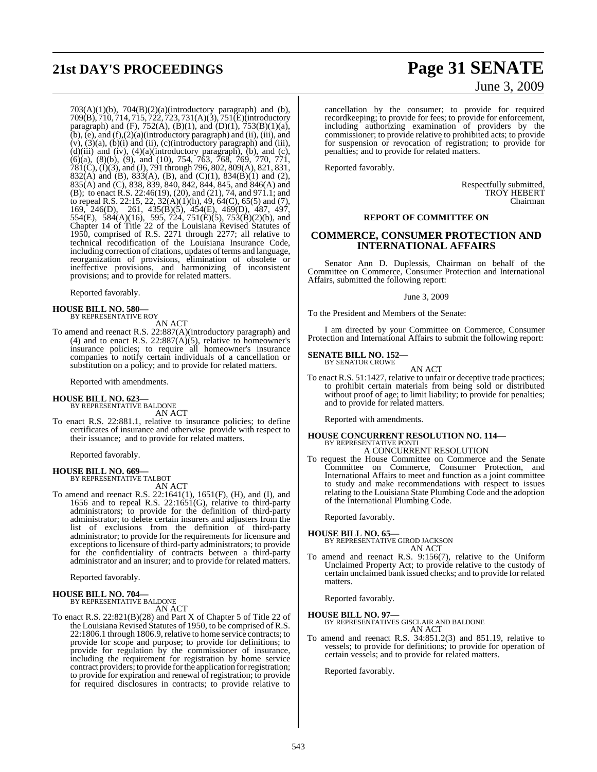## **21st DAY'S PROCEEDINGS Page 31 SENATE**

# June 3, 2009

 $703(A)(1)(b)$ ,  $704(B)(2)(a)(introducing paragraph)$  and  $(b)$ , 709(B), 710, 714, 715, 722, 723, 731(A)(3), 751(E)(introductory paragraph) and (F),  $752(A)$ , (B)(1), and (D)(1),  $753(B)(1)(a)$ , (b),  $(e)$ , and  $(f)$ , $(2)(a)$ (introductory paragraph) and (ii), (iii), and  $(v)$ ,  $(3)(a)$ ,  $(b)(i)$  and  $(ii)$ ,  $(c)(introducing paragraph)$  and  $(iii)$ ,  $(d)(iii)$  and  $(iv)$ ,  $(4)(a)(introductory paragraph)$ ,  $(b)$ , and  $(c)$ , (6)(a), (8)(b), (9), and (10), 754, 763, 768, 769, 770, 771, 781(C), (I)(3), and (J), 791 through 796, 802, 809(A), 821, 831, 832(A) and (B), 833(A), (B), and (C)(1), 834(B)(1) and (2), 835(A) and (C), 838, 839, 840, 842, 844, 845, and 846(A) and (B); to enact R.S. 22:46(19), (20), and (21), 74, and 971.1; and to repeal R.S. 22:15, 22, 32(A)(1)(h), 49, 64(C), 65(5) and (7), 169, 246(D), 261, 435(B)(5), 454(E), 469(D), 487, 497, 554(E), 584(A)(16), 595, 724, 751(E)(5), 753(B)(2)(b), and Chapter 14 of Title 22 of the Louisiana Revised Statutes of 1950, comprised of R.S. 2271 through 2277; all relative to technical recodification of the Louisiana Insurance Code, including correction of citations, updates of terms and language, reorganization of provisions, elimination of obsolete or ineffective provisions, and harmonizing of inconsistent provisions; and to provide for related matters.

Reported favorably.

#### **HOUSE BILL NO. 580—**

BY REPRESENTATIVE ROY

AN ACT

To amend and reenact R.S. 22:887(A)(introductory paragraph) and (4) and to enact R.S.  $22:887(A)(5)$ , relative to homeowner's insurance policies; to require all homeowner's insurance companies to notify certain individuals of a cancellation or substitution on a policy; and to provide for related matters.

Reported with amendments.

#### **HOUSE BILL NO. 623—**

BY REPRESENTATIVE BALDONE AN ACT

To enact R.S. 22:881.1, relative to insurance policies; to define certificates of insurance and otherwise provide with respect to their issuance; and to provide for related matters.

Reported favorably.

#### **HOUSE BILL NO. 669—** BY REPRESENTATIVE TALBOT

AN ACT

To amend and reenact R.S. 22:1641(1), 1651(F), (H), and (I), and 1656 and to repeal R.S. 22:1651(G), relative to third-party administrators; to provide for the definition of third-party administrator; to delete certain insurers and adjusters from the list of exclusions from the definition of third-party administrator; to provide for the requirements for licensure and exceptions to licensure of third-party administrators; to provide for the confidentiality of contracts between a third-party administrator and an insurer; and to provide for related matters.

Reported favorably.

#### **HOUSE BILL NO. 704—** BY REPRESENTATIVE BALDONE

AN ACT

To enact R.S. 22:821(B)(28) and Part X of Chapter 5 of Title 22 of the Louisiana Revised Statutes of 1950, to be comprised of R.S. 22:1806.1 through 1806.9,relative to home service contracts; to provide for scope and purpose; to provide for definitions; to provide for regulation by the commissioner of insurance, including the requirement for registration by home service contract providers; to provide for the application for registration; to provide for expiration and renewal of registration; to provide for required disclosures in contracts; to provide relative to

cancellation by the consumer; to provide for required recordkeeping; to provide for fees; to provide for enforcement, including authorizing examination of providers by the commissioner; to provide relative to prohibited acts; to provide for suspension or revocation of registration; to provide for penalties; and to provide for related matters.

Reported favorably.

Respectfully submitted, TROY HEBERT Chairman

#### **REPORT OF COMMITTEE ON**

### **COMMERCE, CONSUMER PROTECTION AND INTERNATIONAL AFFAIRS**

Senator Ann D. Duplessis, Chairman on behalf of the Committee on Commerce, Consumer Protection and International Affairs, submitted the following report:

June 3, 2009

To the President and Members of the Senate:

I am directed by your Committee on Commerce, Consumer Protection and International Affairs to submit the following report:

#### **SENATE BILL NO. 152—** BY SENATOR CROWE

AN ACT

To enact R.S. 51:1427, relative to unfair or deceptive trade practices; to prohibit certain materials from being sold or distributed without proof of age; to limit liability; to provide for penalties; and to provide for related matters.

Reported with amendments.

### **HOUSE CONCURRENT RESOLUTION NO. 114—** BY REPRESENTATIVE PONTI

A CONCURRENT RESOLUTION

To request the House Committee on Commerce and the Senate Committee on Commerce, Consumer Protection, and International Affairs to meet and function as a joint committee to study and make recommendations with respect to issues relating to the Louisiana State Plumbing Code and the adoption of the International Plumbing Code.

Reported favorably.

**HOUSE BILL NO. 65—**

BY REPRESENTATIVE GIROD JACKSON AN ACT

To amend and reenact R.S. 9:156(7), relative to the Uniform Unclaimed Property Act; to provide relative to the custody of certain unclaimed bank issued checks; and to provide for related matters.

Reported favorably.

**HOUSE BILL NO. 97—**

BY REPRESENTATIVES GISCLAIR AND BALDONE AN ACT

To amend and reenact R.S. 34:851.2(3) and 851.19, relative to vessels; to provide for definitions; to provide for operation of certain vessels; and to provide for related matters.

Reported favorably.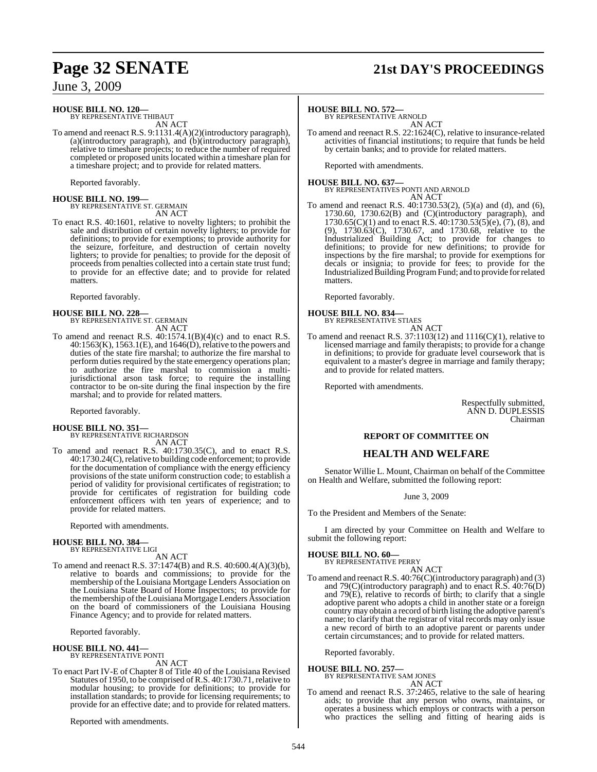### June 3, 2009

### **HOUSE BILL NO. 120—**

BY REPRESENTATIVE THIBAUT AN ACT

To amend and reenact R.S. 9:1131.4(A)(2)(introductory paragraph), (a)(introductory paragraph), and (b)(introductory paragraph), relative to timeshare projects; to reduce the number of required completed or proposed units located within a timeshare plan for a timeshare project; and to provide for related matters.

Reported favorably.

## **HOUSE BILL NO. 199—** BY REPRESENTATIVE ST. GERMAIN

AN ACT

To enact R.S. 40:1601, relative to novelty lighters; to prohibit the sale and distribution of certain novelty lighters; to provide for definitions; to provide for exemptions; to provide authority for the seizure, forfeiture, and destruction of certain novelty lighters; to provide for penalties; to provide for the deposit of proceeds from penalties collected into a certain state trust fund; to provide for an effective date; and to provide for related matters.

Reported favorably.

### **HOUSE BILL NO. 228—**

BY REPRESENTATIVE ST. GERMAIN AN ACT

To amend and reenact R.S.  $40:1574.1(B)(4)(c)$  and to enact R.S.  $40:1563(K), 1563.1(E),$  and  $1646(D),$  relative to the powers and duties of the state fire marshal; to authorize the fire marshal to perform duties required by the state emergency operations plan; to authorize the fire marshal to commission a multijurisdictional arson task force; to require the installing contractor to be on-site during the final inspection by the fire marshal; and to provide for related matters.

Reported favorably.

## **HOUSE BILL NO. 351—** BY REPRESENTATIVE RICHARDSON

AN ACT

To amend and reenact R.S. 40:1730.35(C), and to enact R.S. 40:1730.24(C), relative to building code enforcement; to provide for the documentation of compliance with the energy efficiency provisions of the state uniform construction code; to establish a period of validity for provisional certificates of registration; to provide for certificates of registration for building code enforcement officers with ten years of experience; and to provide for related matters.

Reported with amendments.

#### **HOUSE BILL NO. 384—** BY REPRESENTATIVE LIGI

AN ACT

To amend and reenact R.S. 37:1474(B) and R.S. 40:600.4(A)(3)(b), relative to boards and commissions; to provide for the membership of the Louisiana Mortgage Lenders Association on the Louisiana State Board of Home Inspectors; to provide for the membership of the Louisiana Mortgage Lenders Association on the board of commissioners of the Louisiana Housing Finance Agency; and to provide for related matters.

Reported favorably.

#### **HOUSE BILL NO. 441—** BY REPRESENTATIVE PONTI

AN ACT

To enact Part IV-E of Chapter 8 of Title 40 of the Louisiana Revised Statutes of 1950, to be comprised ofR.S. 40:1730.71, relative to modular housing; to provide for definitions; to provide for installation standards; to provide for licensing requirements; to provide for an effective date; and to provide for related matters.

Reported with amendments.

## **Page 32 SENATE 21st DAY'S PROCEEDINGS**

#### **HOUSE BILL NO. 572—**

BY REPRESENTATIVE ARNOLD AN ACT

To amend and reenact R.S. 22:1624(C), relative to insurance-related activities of financial institutions; to require that funds be held by certain banks; and to provide for related matters.

Reported with amendments.

**HOUSE BILL NO. 637—** BY REPRESENTATIVES PONTI AND ARNOLD

AN ACT

To amend and reenact R.S. 40:1730.53(2), (5)(a) and (d), and (6), 1730.60, 1730.62(B) and (C)(introductory paragraph), and 1730.65(C)(1) and to enact R.S. 40:1730.53(5)(e),  $(7)$ ,  $(8)$ , and (9), 1730.63(C), 1730.67, and 1730.68, relative to the Industrialized Building Act; to provide for changes to definitions; to provide for new definitions; to provide for inspections by the fire marshal; to provide for exemptions for decals or insignia; to provide for fees; to provide for the Industrialized Building Program Fund; and to provide for related matters.

Reported favorably.

**HOUSE BILL NO. 834—** BY REPRESENTATIVE STIAES AN ACT

To amend and reenact R.S.  $37:1103(12)$  and  $1116(C)(1)$ , relative to licensed marriage and family therapists; to provide for a change in definitions; to provide for graduate level coursework that is equivalent to a master's degree in marriage and family therapy; and to provide for related matters.

Reported with amendments.

Respectfully submitted, ANN D. DUPLESSIS Chairman

#### **REPORT OF COMMITTEE ON**

### **HEALTH AND WELFARE**

Senator Willie L. Mount, Chairman on behalf of the Committee on Health and Welfare, submitted the following report:

June 3, 2009

To the President and Members of the Senate:

I am directed by your Committee on Health and Welfare to submit the following report:

#### **HOUSE BILL NO. 60—** BY REPRESENTATIVE PERRY

AN ACT To amend and reenact R.S. 40:76(C)(introductory paragraph) and (3) and 79 $(C)$ (introductory paragraph) and to enact  $\overline{R}$ . S. 40:76 $(D)$ and 79(E), relative to records of birth; to clarify that a single adoptive parent who adopts a child in another state or a foreign country may obtain a record of birth listing the adoptive parent's name; to clarify that the registrar of vital records may only issue a new record of birth to an adoptive parent or parents under certain circumstances; and to provide for related matters.

Reported favorably.

#### **HOUSE BILL NO. 257—**

BY REPRESENTATIVE SAM JONES AN ACT

To amend and reenact R.S. 37:2465, relative to the sale of hearing aids; to provide that any person who owns, maintains, or operates a business which employs or contracts with a person who practices the selling and fitting of hearing aids is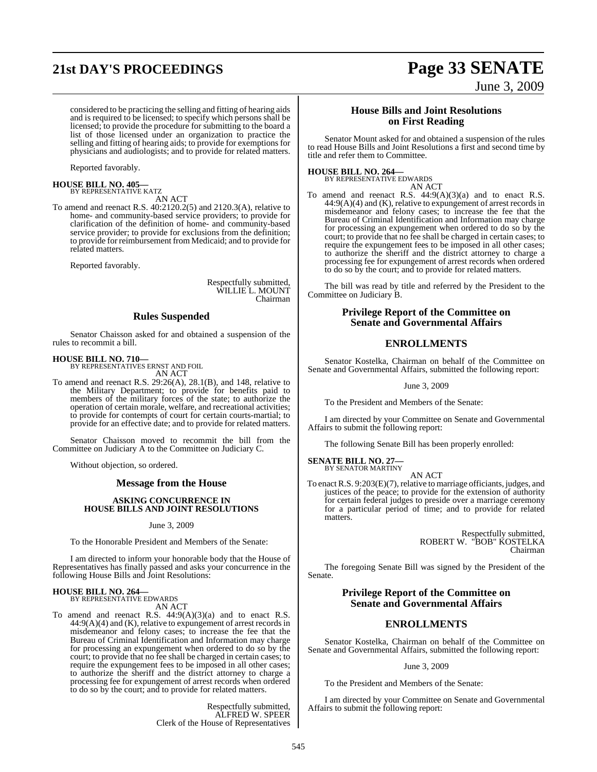## **21st DAY'S PROCEEDINGS Page 33 SENATE**

# June 3, 2009

considered to be practicing the selling and fitting of hearing aids and is required to be licensed; to specify which persons shall be licensed; to provide the procedure for submitting to the board a list of those licensed under an organization to practice the selling and fitting of hearing aids; to provide for exemptions for physicians and audiologists; and to provide for related matters.

Reported favorably.

**HOUSE BILL NO. 405—** BY REPRESENTATIVE KATZ

AN ACT

To amend and reenact R.S. 40:2120.2(5) and 2120.3(A), relative to home- and community-based service providers; to provide for clarification of the definition of home- and community-based service provider; to provide for exclusions from the definition; to provide for reimbursement from Medicaid; and to provide for related matters.

Reported favorably.

Respectfully submitted, WILLIE L. MOUNT Chairman

#### **Rules Suspended**

Senator Chaisson asked for and obtained a suspension of the rules to recommit a bill.

**HOUSE BILL NO. 710—** BY REPRESENTATIVES ERNST AND FOIL AN ACT

To amend and reenact R.S. 29:26(A), 28.1(B), and 148, relative to the Military Department; to provide for benefits paid to members of the military forces of the state; to authorize the operation of certain morale, welfare, and recreational activities; to provide for contempts of court for certain courts-martial; to provide for an effective date; and to provide for related matters.

Senator Chaisson moved to recommit the bill from the Committee on Judiciary A to the Committee on Judiciary C.

Without objection, so ordered.

#### **Message from the House**

#### **ASKING CONCURRENCE IN HOUSE BILLS AND JOINT RESOLUTIONS**

June 3, 2009

To the Honorable President and Members of the Senate:

I am directed to inform your honorable body that the House of Representatives has finally passed and asks your concurrence in the following House Bills and Joint Resolutions:

#### **HOUSE BILL NO. 264—** BY REPRESENTATIVE EDWARDS

AN ACT

To amend and reenact R.S. 44:9(A)(3)(a) and to enact R.S. 44:9(A)(4) and (K), relative to expungement of arrest records in misdemeanor and felony cases; to increase the fee that the Bureau of Criminal Identification and Information may charge for processing an expungement when ordered to do so by the court; to provide that no fee shall be charged in certain cases; to require the expungement fees to be imposed in all other cases; to authorize the sheriff and the district attorney to charge a processing fee for expungement of arrest records when ordered to do so by the court; and to provide for related matters.

> Respectfully submitted, ALFRED W. SPEER Clerk of the House of Representatives

#### **House Bills and Joint Resolutions on First Reading**

Senator Mount asked for and obtained a suspension of the rules to read House Bills and Joint Resolutions a first and second time by title and refer them to Committee.

#### **HOUSE BILL NO. 264—**

BY REPRESENTATIVE EDWARDS AN ACT

To amend and reenact R.S.  $44:9(A)(3)(a)$  and to enact R.S.  $44:9(A)(4)$  and  $(K)$ , relative to expungement of arrest records in misdemeanor and felony cases; to increase the fee that the Bureau of Criminal Identification and Information may charge for processing an expungement when ordered to do so by the court; to provide that no fee shall be charged in certain cases; to require the expungement fees to be imposed in all other cases; to authorize the sheriff and the district attorney to charge a processing fee for expungement of arrest records when ordered to do so by the court; and to provide for related matters.

The bill was read by title and referred by the President to the Committee on Judiciary B.

#### **Privilege Report of the Committee on Senate and Governmental Affairs**

#### **ENROLLMENTS**

Senator Kostelka, Chairman on behalf of the Committee on Senate and Governmental Affairs, submitted the following report:

June 3, 2009

To the President and Members of the Senate:

I am directed by your Committee on Senate and Governmental Affairs to submit the following report:

The following Senate Bill has been properly enrolled:

#### **SENATE BILL NO. 27—** BY SENATOR MARTINY

AN ACT

To enact R.S. 9:203(E)(7), relative to marriage officiants, judges, and justices of the peace; to provide for the extension of authority for certain federal judges to preside over a marriage ceremony for a particular period of time; and to provide for related matters.

> Respectfully submitted, ROBERT W. "BOB" KOSTELKA Chairman

The foregoing Senate Bill was signed by the President of the Senate.

### **Privilege Report of the Committee on Senate and Governmental Affairs**

### **ENROLLMENTS**

Senator Kostelka, Chairman on behalf of the Committee on Senate and Governmental Affairs, submitted the following report:

#### June 3, 2009

To the President and Members of the Senate:

I am directed by your Committee on Senate and Governmental Affairs to submit the following report: